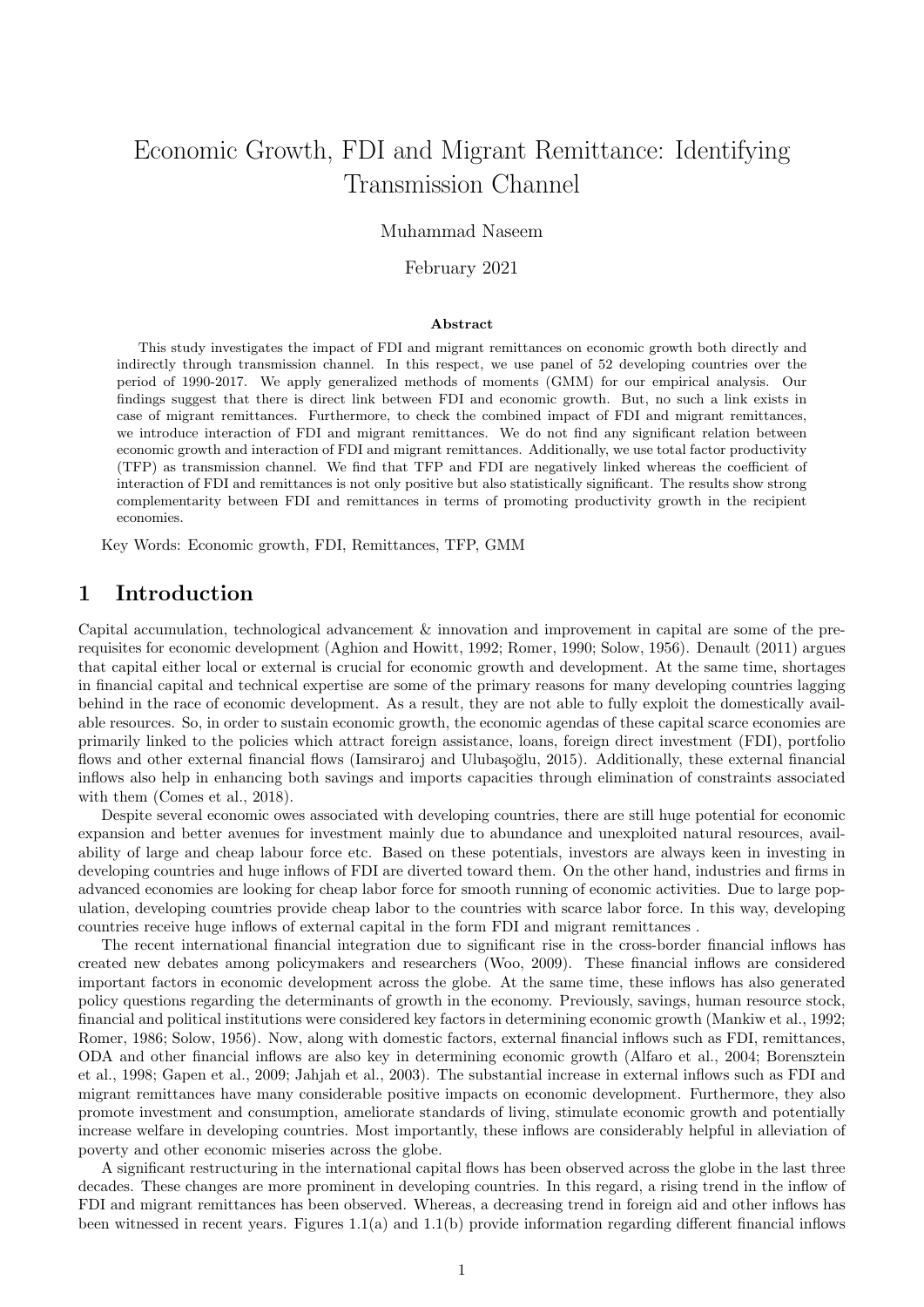# Economic Growth, FDI and Migrant Remittance: Identifying Transmission Channel

### Muhammad Naseem

### February 2021

#### Abstract

This study investigates the impact of FDI and migrant remittances on economic growth both directly and indirectly through transmission channel. In this respect, we use panel of 52 developing countries over the period of 1990-2017. We apply generalized methods of moments (GMM) for our empirical analysis. Our findings suggest that there is direct link between FDI and economic growth. But, no such a link exists in case of migrant remittances. Furthermore, to check the combined impact of FDI and migrant remittances, we introduce interaction of FDI and migrant remittances. We do not find any significant relation between economic growth and interaction of FDI and migrant remittances. Additionally, we use total factor productivity (TFP) as transmission channel. We find that TFP and FDI are negatively linked whereas the coefficient of interaction of FDI and remittances is not only positive but also statistically significant. The results show strong complementarity between FDI and remittances in terms of promoting productivity growth in the recipient economies.

Key Words: Economic growth, FDI, Remittances, TFP, GMM

### 1 Introduction

Capital accumulation, technological advancement & innovation and improvement in capital are some of the prerequisites for economic development (Aghion and Howitt, 1992; Romer, 1990; Solow, 1956). Denault (2011) argues that capital either local or external is crucial for economic growth and development. At the same time, shortages in financial capital and technical expertise are some of the primary reasons for many developing countries lagging behind in the race of economic development. As a result, they are not able to fully exploit the domestically available resources. So, in order to sustain economic growth, the economic agendas of these capital scarce economies are primarily linked to the policies which attract foreign assistance, loans, foreign direct investment (FDI), portfolio flows and other external financial flows (Iamsiraroj and Ulubaşoğlu, 2015). Additionally, these external financial inflows also help in enhancing both savings and imports capacities through elimination of constraints associated with them (Comes et al., 2018).

Despite several economic owes associated with developing countries, there are still huge potential for economic expansion and better avenues for investment mainly due to abundance and unexploited natural resources, availability of large and cheap labour force etc. Based on these potentials, investors are always keen in investing in developing countries and huge inflows of FDI are diverted toward them. On the other hand, industries and firms in advanced economies are looking for cheap labor force for smooth running of economic activities. Due to large population, developing countries provide cheap labor to the countries with scarce labor force. In this way, developing countries receive huge inflows of external capital in the form FDI and migrant remittances .

The recent international financial integration due to significant rise in the cross-border financial inflows has created new debates among policymakers and researchers (Woo, 2009). These financial inflows are considered important factors in economic development across the globe. At the same time, these inflows has also generated policy questions regarding the determinants of growth in the economy. Previously, savings, human resource stock, financial and political institutions were considered key factors in determining economic growth (Mankiw et al., 1992; Romer, 1986; Solow, 1956). Now, along with domestic factors, external financial inflows such as FDI, remittances, ODA and other financial inflows are also key in determining economic growth (Alfaro et al., 2004; Borensztein et al., 1998; Gapen et al., 2009; Jahjah et al., 2003). The substantial increase in external inflows such as FDI and migrant remittances have many considerable positive impacts on economic development. Furthermore, they also promote investment and consumption, ameliorate standards of living, stimulate economic growth and potentially increase welfare in developing countries. Most importantly, these inflows are considerably helpful in alleviation of poverty and other economic miseries across the globe.

A significant restructuring in the international capital flows has been observed across the globe in the last three decades. These changes are more prominent in developing countries. In this regard, a rising trend in the inflow of FDI and migrant remittances has been observed. Whereas, a decreasing trend in foreign aid and other inflows has been witnessed in recent years. Figures 1.1(a) and 1.1(b) provide information regarding different financial inflows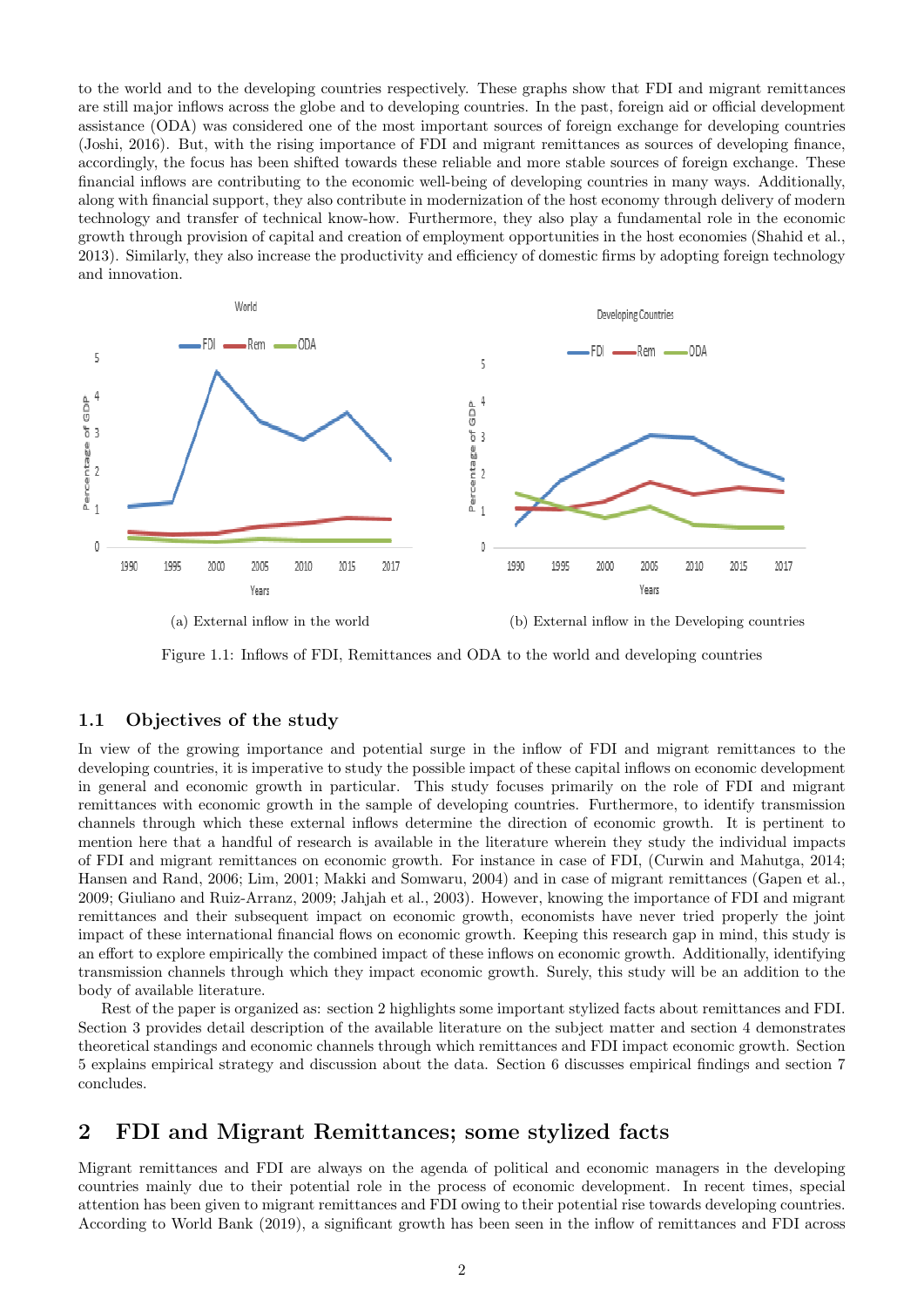to the world and to the developing countries respectively. These graphs show that FDI and migrant remittances are still major inflows across the globe and to developing countries. In the past, foreign aid or official development assistance (ODA) was considered one of the most important sources of foreign exchange for developing countries (Joshi, 2016). But, with the rising importance of FDI and migrant remittances as sources of developing finance, accordingly, the focus has been shifted towards these reliable and more stable sources of foreign exchange. These financial inflows are contributing to the economic well-being of developing countries in many ways. Additionally, along with financial support, they also contribute in modernization of the host economy through delivery of modern technology and transfer of technical know-how. Furthermore, they also play a fundamental role in the economic growth through provision of capital and creation of employment opportunities in the host economies (Shahid et al., 2013). Similarly, they also increase the productivity and efficiency of domestic firms by adopting foreign technology and innovation.



(a) External inflow in the world (b) External inflow in the Developing countries

Figure 1.1: Inflows of FDI, Remittances and ODA to the world and developing countries

### 1.1 Objectives of the study

In view of the growing importance and potential surge in the inflow of FDI and migrant remittances to the developing countries, it is imperative to study the possible impact of these capital inflows on economic development in general and economic growth in particular. This study focuses primarily on the role of FDI and migrant remittances with economic growth in the sample of developing countries. Furthermore, to identify transmission channels through which these external inflows determine the direction of economic growth. It is pertinent to mention here that a handful of research is available in the literature wherein they study the individual impacts of FDI and migrant remittances on economic growth. For instance in case of FDI, (Curwin and Mahutga, 2014; Hansen and Rand, 2006; Lim, 2001; Makki and Somwaru, 2004) and in case of migrant remittances (Gapen et al., 2009; Giuliano and Ruiz-Arranz, 2009; Jahjah et al., 2003). However, knowing the importance of FDI and migrant remittances and their subsequent impact on economic growth, economists have never tried properly the joint impact of these international financial flows on economic growth. Keeping this research gap in mind, this study is an effort to explore empirically the combined impact of these inflows on economic growth. Additionally, identifying transmission channels through which they impact economic growth. Surely, this study will be an addition to the body of available literature.

Rest of the paper is organized as: section 2 highlights some important stylized facts about remittances and FDI. Section 3 provides detail description of the available literature on the subject matter and section 4 demonstrates theoretical standings and economic channels through which remittances and FDI impact economic growth. Section 5 explains empirical strategy and discussion about the data. Section 6 discusses empirical findings and section 7 concludes.

# 2 FDI and Migrant Remittances; some stylized facts

Migrant remittances and FDI are always on the agenda of political and economic managers in the developing countries mainly due to their potential role in the process of economic development. In recent times, special attention has been given to migrant remittances and FDI owing to their potential rise towards developing countries. According to World Bank (2019), a significant growth has been seen in the inflow of remittances and FDI across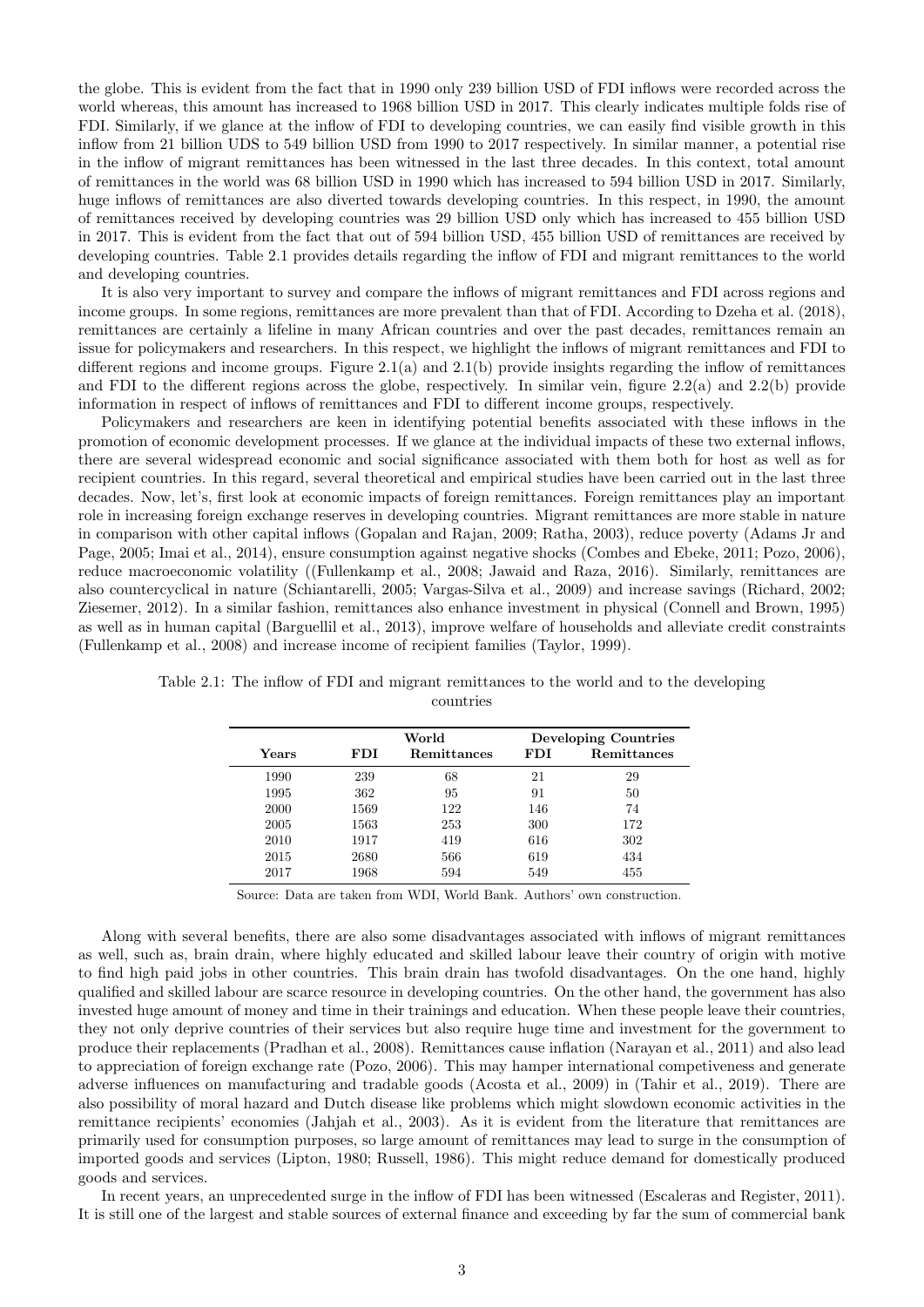the globe. This is evident from the fact that in 1990 only 239 billion USD of FDI inflows were recorded across the world whereas, this amount has increased to 1968 billion USD in 2017. This clearly indicates multiple folds rise of FDI. Similarly, if we glance at the inflow of FDI to developing countries, we can easily find visible growth in this inflow from 21 billion UDS to 549 billion USD from 1990 to 2017 respectively. In similar manner, a potential rise in the inflow of migrant remittances has been witnessed in the last three decades. In this context, total amount of remittances in the world was 68 billion USD in 1990 which has increased to 594 billion USD in 2017. Similarly, huge inflows of remittances are also diverted towards developing countries. In this respect, in 1990, the amount of remittances received by developing countries was 29 billion USD only which has increased to 455 billion USD in 2017. This is evident from the fact that out of 594 billion USD, 455 billion USD of remittances are received by developing countries. Table 2.1 provides details regarding the inflow of FDI and migrant remittances to the world and developing countries.

It is also very important to survey and compare the inflows of migrant remittances and FDI across regions and income groups. In some regions, remittances are more prevalent than that of FDI. According to Dzeha et al. (2018), remittances are certainly a lifeline in many African countries and over the past decades, remittances remain an issue for policymakers and researchers. In this respect, we highlight the inflows of migrant remittances and FDI to different regions and income groups. Figure 2.1(a) and 2.1(b) provide insights regarding the inflow of remittances and FDI to the different regions across the globe, respectively. In similar vein, figure  $2.2(a)$  and  $2.2(b)$  provide information in respect of inflows of remittances and FDI to different income groups, respectively.

Policymakers and researchers are keen in identifying potential benefits associated with these inflows in the promotion of economic development processes. If we glance at the individual impacts of these two external inflows, there are several widespread economic and social significance associated with them both for host as well as for recipient countries. In this regard, several theoretical and empirical studies have been carried out in the last three decades. Now, let's, first look at economic impacts of foreign remittances. Foreign remittances play an important role in increasing foreign exchange reserves in developing countries. Migrant remittances are more stable in nature in comparison with other capital inflows (Gopalan and Rajan, 2009; Ratha, 2003), reduce poverty (Adams Jr and Page, 2005; Imai et al., 2014), ensure consumption against negative shocks (Combes and Ebeke, 2011; Pozo, 2006), reduce macroeconomic volatility ((Fullenkamp et al., 2008; Jawaid and Raza, 2016). Similarly, remittances are also countercyclical in nature (Schiantarelli, 2005; Vargas-Silva et al., 2009) and increase savings (Richard, 2002; Ziesemer, 2012). In a similar fashion, remittances also enhance investment in physical (Connell and Brown, 1995) as well as in human capital (Barguellil et al., 2013), improve welfare of households and alleviate credit constraints (Fullenkamp et al., 2008) and increase income of recipient families (Taylor, 1999).

|       |      | World              | <b>Developing Countries</b> |             |  |
|-------|------|--------------------|-----------------------------|-------------|--|
| Years | FDI  | <b>Remittances</b> | FDI                         | Remittances |  |
| 1990  | 239  | 68                 | 21                          | 29          |  |
| 1995  | 362  | 95                 | 91                          | 50          |  |
| 2000  | 1569 | 122                | 146                         | 74          |  |
| 2005  | 1563 | 253                | 300                         | 172         |  |
| 2010  | 1917 | 419                | 616                         | 302         |  |
| 2015  | 2680 | 566                | 619                         | 434         |  |
| 2017  | 1968 | 594                | 549                         | 455         |  |

Table 2.1: The inflow of FDI and migrant remittances to the world and to the developing countries

Source: Data are taken from WDI, World Bank. Authors' own construction.

Along with several benefits, there are also some disadvantages associated with inflows of migrant remittances as well, such as, brain drain, where highly educated and skilled labour leave their country of origin with motive to find high paid jobs in other countries. This brain drain has twofold disadvantages. On the one hand, highly qualified and skilled labour are scarce resource in developing countries. On the other hand, the government has also invested huge amount of money and time in their trainings and education. When these people leave their countries, they not only deprive countries of their services but also require huge time and investment for the government to produce their replacements (Pradhan et al., 2008). Remittances cause inflation (Narayan et al., 2011) and also lead to appreciation of foreign exchange rate (Pozo, 2006). This may hamper international competiveness and generate adverse influences on manufacturing and tradable goods (Acosta et al., 2009) in (Tahir et al., 2019). There are also possibility of moral hazard and Dutch disease like problems which might slowdown economic activities in the remittance recipients' economies (Jahjah et al., 2003). As it is evident from the literature that remittances are primarily used for consumption purposes, so large amount of remittances may lead to surge in the consumption of imported goods and services (Lipton, 1980; Russell, 1986). This might reduce demand for domestically produced goods and services.

In recent years, an unprecedented surge in the inflow of FDI has been witnessed (Escaleras and Register, 2011). It is still one of the largest and stable sources of external finance and exceeding by far the sum of commercial bank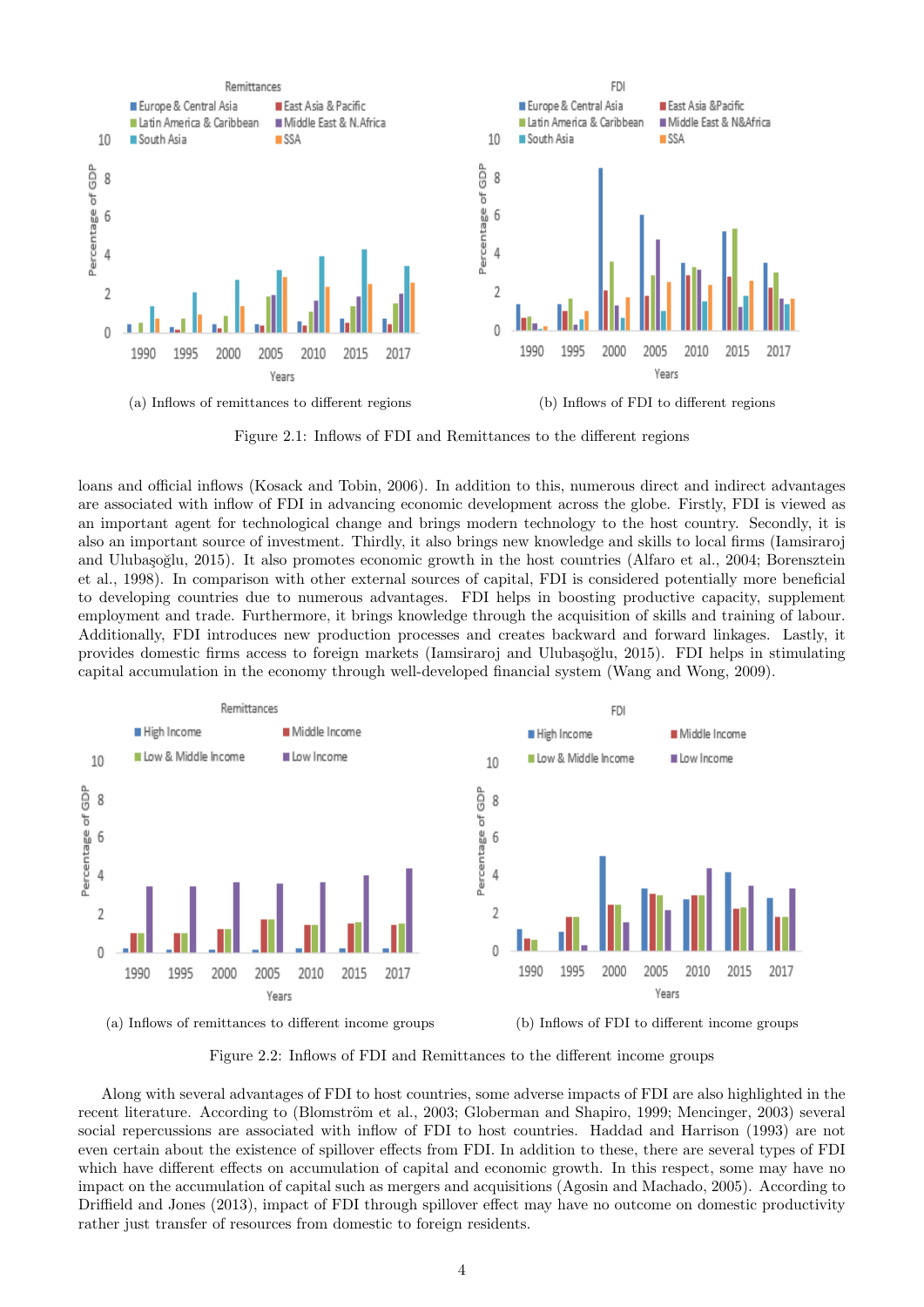

Figure 2.1: Inflows of FDI and Remittances to the different regions

loans and official inflows (Kosack and Tobin, 2006). In addition to this, numerous direct and indirect advantages are associated with inflow of FDI in advancing economic development across the globe. Firstly, FDI is viewed as an important agent for technological change and brings modern technology to the host country. Secondly, it is also an important source of investment. Thirdly, it also brings new knowledge and skills to local firms (Iamsiraroj and Ulubaşoğlu, 2015). It also promotes economic growth in the host countries (Alfaro et al., 2004; Borensztein et al., 1998). In comparison with other external sources of capital, FDI is considered potentially more beneficial to developing countries due to numerous advantages. FDI helps in boosting productive capacity, supplement employment and trade. Furthermore, it brings knowledge through the acquisition of skills and training of labour. Additionally, FDI introduces new production processes and creates backward and forward linkages. Lastly, it provides domestic firms access to foreign markets (Iamsiraroj and Ulubaşoğlu, 2015). FDI helps in stimulating capital accumulation in the economy through well-developed financial system (Wang and Wong, 2009).



(a) Inflows of remittances to different income groups (b) Inflows of FDI to different income groups

Figure 2.2: Inflows of FDI and Remittances to the different income groups

Along with several advantages of FDI to host countries, some adverse impacts of FDI are also highlighted in the recent literature. According to (Blomström et al., 2003; Globerman and Shapiro, 1999; Mencinger, 2003) several social repercussions are associated with inflow of FDI to host countries. Haddad and Harrison (1993) are not even certain about the existence of spillover effects from FDI. In addition to these, there are several types of FDI which have different effects on accumulation of capital and economic growth. In this respect, some may have no impact on the accumulation of capital such as mergers and acquisitions (Agosin and Machado, 2005). According to Driffield and Jones (2013), impact of FDI through spillover effect may have no outcome on domestic productivity rather just transfer of resources from domestic to foreign residents.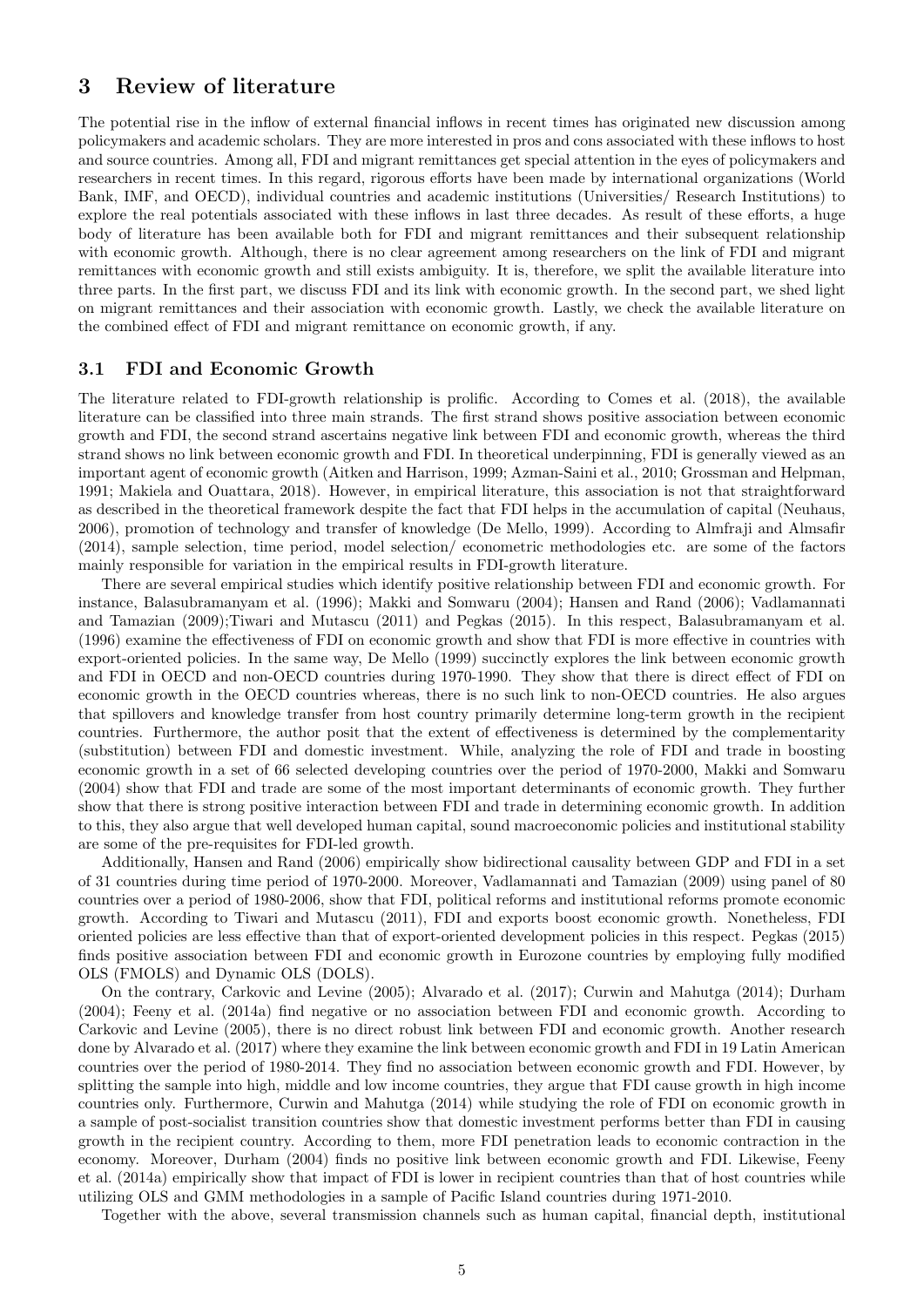### 3 Review of literature

The potential rise in the inflow of external financial inflows in recent times has originated new discussion among policymakers and academic scholars. They are more interested in pros and cons associated with these inflows to host and source countries. Among all, FDI and migrant remittances get special attention in the eyes of policymakers and researchers in recent times. In this regard, rigorous efforts have been made by international organizations (World Bank, IMF, and OECD), individual countries and academic institutions (Universities/ Research Institutions) to explore the real potentials associated with these inflows in last three decades. As result of these efforts, a huge body of literature has been available both for FDI and migrant remittances and their subsequent relationship with economic growth. Although, there is no clear agreement among researchers on the link of FDI and migrant remittances with economic growth and still exists ambiguity. It is, therefore, we split the available literature into three parts. In the first part, we discuss FDI and its link with economic growth. In the second part, we shed light on migrant remittances and their association with economic growth. Lastly, we check the available literature on the combined effect of FDI and migrant remittance on economic growth, if any.

#### 3.1 FDI and Economic Growth

The literature related to FDI-growth relationship is prolific. According to Comes et al. (2018), the available literature can be classified into three main strands. The first strand shows positive association between economic growth and FDI, the second strand ascertains negative link between FDI and economic growth, whereas the third strand shows no link between economic growth and FDI. In theoretical underpinning, FDI is generally viewed as an important agent of economic growth (Aitken and Harrison, 1999; Azman-Saini et al., 2010; Grossman and Helpman, 1991; Makiela and Ouattara, 2018). However, in empirical literature, this association is not that straightforward as described in the theoretical framework despite the fact that FDI helps in the accumulation of capital (Neuhaus, 2006), promotion of technology and transfer of knowledge (De Mello, 1999). According to Almfraji and Almsafir (2014), sample selection, time period, model selection/ econometric methodologies etc. are some of the factors mainly responsible for variation in the empirical results in FDI-growth literature.

There are several empirical studies which identify positive relationship between FDI and economic growth. For instance, Balasubramanyam et al. (1996); Makki and Somwaru (2004); Hansen and Rand (2006); Vadlamannati and Tamazian (2009);Tiwari and Mutascu (2011) and Pegkas (2015). In this respect, Balasubramanyam et al. (1996) examine the effectiveness of FDI on economic growth and show that FDI is more effective in countries with export-oriented policies. In the same way, De Mello (1999) succinctly explores the link between economic growth and FDI in OECD and non-OECD countries during 1970-1990. They show that there is direct effect of FDI on economic growth in the OECD countries whereas, there is no such link to non-OECD countries. He also argues that spillovers and knowledge transfer from host country primarily determine long-term growth in the recipient countries. Furthermore, the author posit that the extent of effectiveness is determined by the complementarity (substitution) between FDI and domestic investment. While, analyzing the role of FDI and trade in boosting economic growth in a set of 66 selected developing countries over the period of 1970-2000, Makki and Somwaru (2004) show that FDI and trade are some of the most important determinants of economic growth. They further show that there is strong positive interaction between FDI and trade in determining economic growth. In addition to this, they also argue that well developed human capital, sound macroeconomic policies and institutional stability are some of the pre-requisites for FDI-led growth.

Additionally, Hansen and Rand (2006) empirically show bidirectional causality between GDP and FDI in a set of 31 countries during time period of 1970-2000. Moreover, Vadlamannati and Tamazian (2009) using panel of 80 countries over a period of 1980-2006, show that FDI, political reforms and institutional reforms promote economic growth. According to Tiwari and Mutascu (2011), FDI and exports boost economic growth. Nonetheless, FDI oriented policies are less effective than that of export-oriented development policies in this respect. Pegkas (2015) finds positive association between FDI and economic growth in Eurozone countries by employing fully modified OLS (FMOLS) and Dynamic OLS (DOLS).

On the contrary, Carkovic and Levine (2005); Alvarado et al. (2017); Curwin and Mahutga (2014); Durham (2004); Feeny et al. (2014a) find negative or no association between FDI and economic growth. According to Carkovic and Levine (2005), there is no direct robust link between FDI and economic growth. Another research done by Alvarado et al. (2017) where they examine the link between economic growth and FDI in 19 Latin American countries over the period of 1980-2014. They find no association between economic growth and FDI. However, by splitting the sample into high, middle and low income countries, they argue that FDI cause growth in high income countries only. Furthermore, Curwin and Mahutga (2014) while studying the role of FDI on economic growth in a sample of post-socialist transition countries show that domestic investment performs better than FDI in causing growth in the recipient country. According to them, more FDI penetration leads to economic contraction in the economy. Moreover, Durham (2004) finds no positive link between economic growth and FDI. Likewise, Feeny et al. (2014a) empirically show that impact of FDI is lower in recipient countries than that of host countries while utilizing OLS and GMM methodologies in a sample of Pacific Island countries during 1971-2010.

Together with the above, several transmission channels such as human capital, financial depth, institutional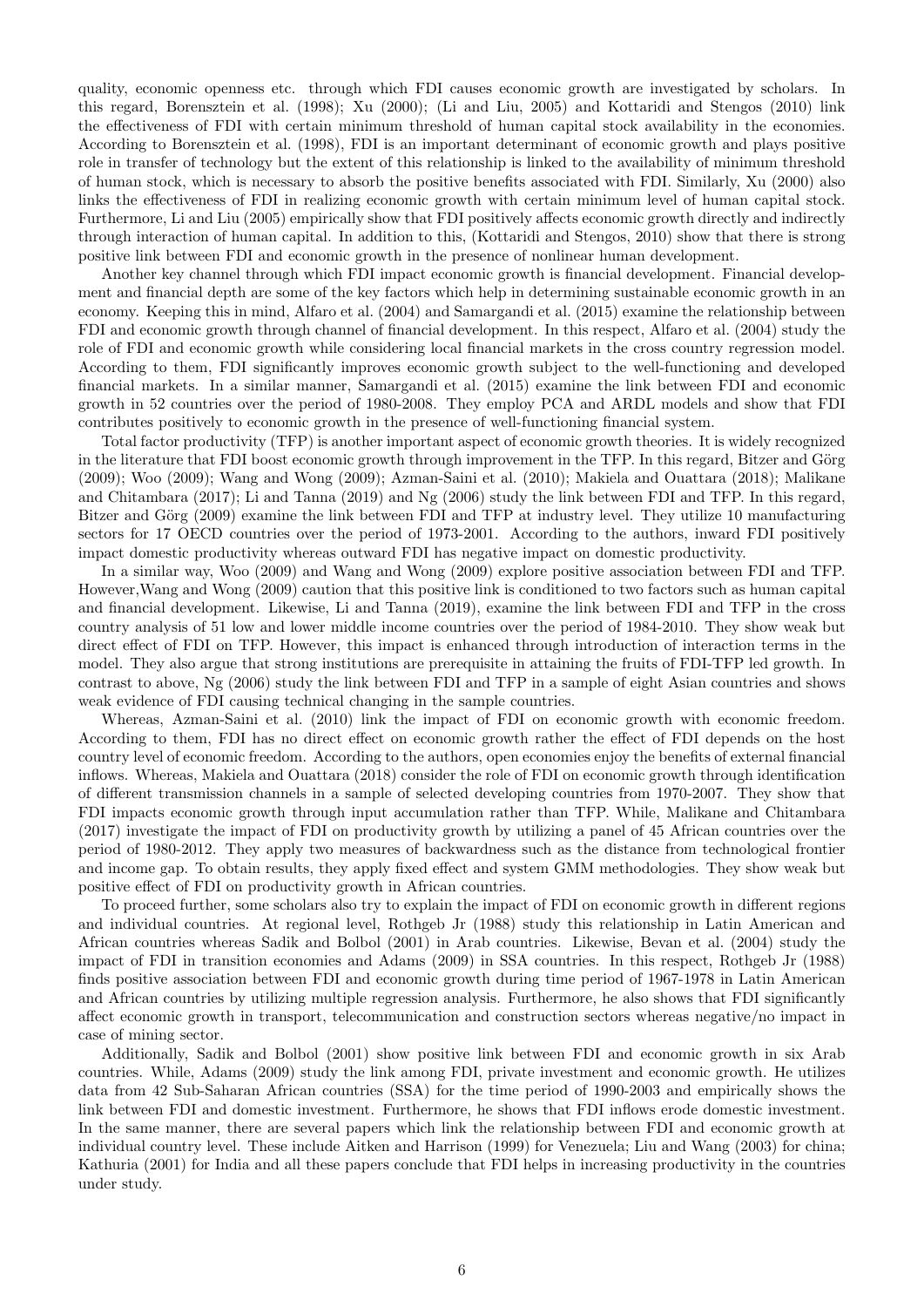quality, economic openness etc. through which FDI causes economic growth are investigated by scholars. In this regard, Borensztein et al. (1998); Xu (2000); (Li and Liu, 2005) and Kottaridi and Stengos (2010) link the effectiveness of FDI with certain minimum threshold of human capital stock availability in the economies. According to Borensztein et al. (1998), FDI is an important determinant of economic growth and plays positive role in transfer of technology but the extent of this relationship is linked to the availability of minimum threshold of human stock, which is necessary to absorb the positive benefits associated with FDI. Similarly, Xu (2000) also links the effectiveness of FDI in realizing economic growth with certain minimum level of human capital stock. Furthermore, Li and Liu (2005) empirically show that FDI positively affects economic growth directly and indirectly through interaction of human capital. In addition to this, (Kottaridi and Stengos, 2010) show that there is strong positive link between FDI and economic growth in the presence of nonlinear human development.

Another key channel through which FDI impact economic growth is financial development. Financial development and financial depth are some of the key factors which help in determining sustainable economic growth in an economy. Keeping this in mind, Alfaro et al. (2004) and Samargandi et al. (2015) examine the relationship between FDI and economic growth through channel of financial development. In this respect, Alfaro et al. (2004) study the role of FDI and economic growth while considering local financial markets in the cross country regression model. According to them, FDI significantly improves economic growth subject to the well-functioning and developed financial markets. In a similar manner, Samargandi et al. (2015) examine the link between FDI and economic growth in 52 countries over the period of 1980-2008. They employ PCA and ARDL models and show that FDI contributes positively to economic growth in the presence of well-functioning financial system.

Total factor productivity (TFP) is another important aspect of economic growth theories. It is widely recognized in the literature that FDI boost economic growth through improvement in the TFP. In this regard, Bitzer and Görg (2009); Woo (2009); Wang and Wong (2009); Azman-Saini et al. (2010); Makiela and Ouattara (2018); Malikane and Chitambara (2017); Li and Tanna (2019) and Ng (2006) study the link between FDI and TFP. In this regard, Bitzer and Görg (2009) examine the link between FDI and TFP at industry level. They utilize 10 manufacturing sectors for 17 OECD countries over the period of 1973-2001. According to the authors, inward FDI positively impact domestic productivity whereas outward FDI has negative impact on domestic productivity.

In a similar way, Woo (2009) and Wang and Wong (2009) explore positive association between FDI and TFP. However,Wang and Wong (2009) caution that this positive link is conditioned to two factors such as human capital and financial development. Likewise, Li and Tanna (2019), examine the link between FDI and TFP in the cross country analysis of 51 low and lower middle income countries over the period of 1984-2010. They show weak but direct effect of FDI on TFP. However, this impact is enhanced through introduction of interaction terms in the model. They also argue that strong institutions are prerequisite in attaining the fruits of FDI-TFP led growth. In contrast to above, Ng (2006) study the link between FDI and TFP in a sample of eight Asian countries and shows weak evidence of FDI causing technical changing in the sample countries.

Whereas, Azman-Saini et al. (2010) link the impact of FDI on economic growth with economic freedom. According to them, FDI has no direct effect on economic growth rather the effect of FDI depends on the host country level of economic freedom. According to the authors, open economies enjoy the benefits of external financial inflows. Whereas, Makiela and Ouattara (2018) consider the role of FDI on economic growth through identification of different transmission channels in a sample of selected developing countries from 1970-2007. They show that FDI impacts economic growth through input accumulation rather than TFP. While, Malikane and Chitambara (2017) investigate the impact of FDI on productivity growth by utilizing a panel of 45 African countries over the period of 1980-2012. They apply two measures of backwardness such as the distance from technological frontier and income gap. To obtain results, they apply fixed effect and system GMM methodologies. They show weak but positive effect of FDI on productivity growth in African countries.

To proceed further, some scholars also try to explain the impact of FDI on economic growth in different regions and individual countries. At regional level, Rothgeb Jr (1988) study this relationship in Latin American and African countries whereas Sadik and Bolbol (2001) in Arab countries. Likewise, Bevan et al. (2004) study the impact of FDI in transition economies and Adams (2009) in SSA countries. In this respect, Rothgeb Jr (1988) finds positive association between FDI and economic growth during time period of 1967-1978 in Latin American and African countries by utilizing multiple regression analysis. Furthermore, he also shows that FDI significantly affect economic growth in transport, telecommunication and construction sectors whereas negative/no impact in case of mining sector.

Additionally, Sadik and Bolbol (2001) show positive link between FDI and economic growth in six Arab countries. While, Adams (2009) study the link among FDI, private investment and economic growth. He utilizes data from 42 Sub-Saharan African countries (SSA) for the time period of 1990-2003 and empirically shows the link between FDI and domestic investment. Furthermore, he shows that FDI inflows erode domestic investment. In the same manner, there are several papers which link the relationship between FDI and economic growth at individual country level. These include Aitken and Harrison (1999) for Venezuela; Liu and Wang (2003) for china; Kathuria (2001) for India and all these papers conclude that FDI helps in increasing productivity in the countries under study.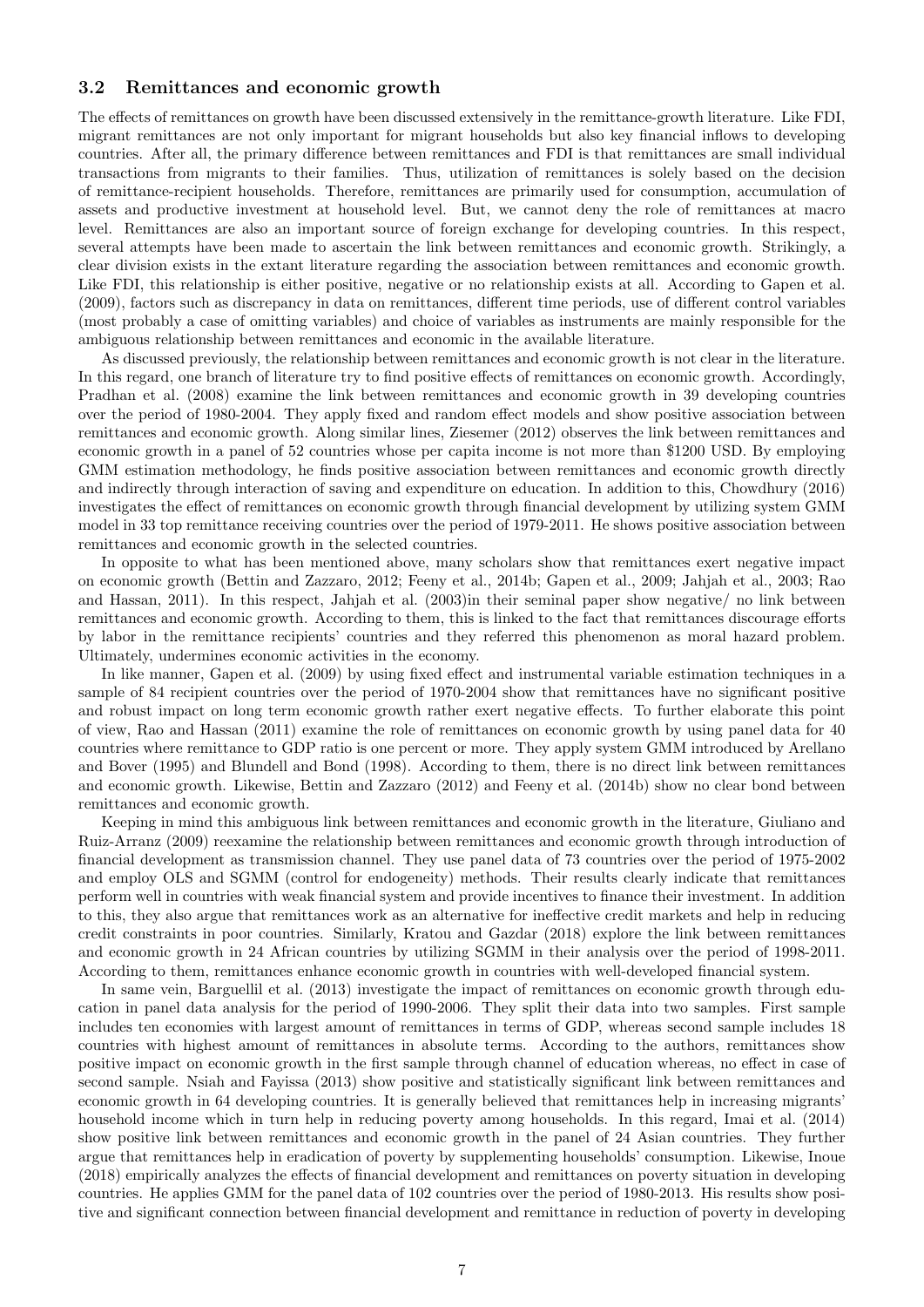#### 3.2 Remittances and economic growth

The effects of remittances on growth have been discussed extensively in the remittance-growth literature. Like FDI, migrant remittances are not only important for migrant households but also key financial inflows to developing countries. After all, the primary difference between remittances and FDI is that remittances are small individual transactions from migrants to their families. Thus, utilization of remittances is solely based on the decision of remittance-recipient households. Therefore, remittances are primarily used for consumption, accumulation of assets and productive investment at household level. But, we cannot deny the role of remittances at macro level. Remittances are also an important source of foreign exchange for developing countries. In this respect, several attempts have been made to ascertain the link between remittances and economic growth. Strikingly, a clear division exists in the extant literature regarding the association between remittances and economic growth. Like FDI, this relationship is either positive, negative or no relationship exists at all. According to Gapen et al. (2009), factors such as discrepancy in data on remittances, different time periods, use of different control variables (most probably a case of omitting variables) and choice of variables as instruments are mainly responsible for the ambiguous relationship between remittances and economic in the available literature.

As discussed previously, the relationship between remittances and economic growth is not clear in the literature. In this regard, one branch of literature try to find positive effects of remittances on economic growth. Accordingly, Pradhan et al. (2008) examine the link between remittances and economic growth in 39 developing countries over the period of 1980-2004. They apply fixed and random effect models and show positive association between remittances and economic growth. Along similar lines, Ziesemer (2012) observes the link between remittances and economic growth in a panel of 52 countries whose per capita income is not more than \$1200 USD. By employing GMM estimation methodology, he finds positive association between remittances and economic growth directly and indirectly through interaction of saving and expenditure on education. In addition to this, Chowdhury (2016) investigates the effect of remittances on economic growth through financial development by utilizing system GMM model in 33 top remittance receiving countries over the period of 1979-2011. He shows positive association between remittances and economic growth in the selected countries.

In opposite to what has been mentioned above, many scholars show that remittances exert negative impact on economic growth (Bettin and Zazzaro, 2012; Feeny et al., 2014b; Gapen et al., 2009; Jahjah et al., 2003; Rao and Hassan, 2011). In this respect, Jahjah et al. (2003)in their seminal paper show negative/ no link between remittances and economic growth. According to them, this is linked to the fact that remittances discourage efforts by labor in the remittance recipients' countries and they referred this phenomenon as moral hazard problem. Ultimately, undermines economic activities in the economy.

In like manner, Gapen et al. (2009) by using fixed effect and instrumental variable estimation techniques in a sample of 84 recipient countries over the period of 1970-2004 show that remittances have no significant positive and robust impact on long term economic growth rather exert negative effects. To further elaborate this point of view, Rao and Hassan (2011) examine the role of remittances on economic growth by using panel data for 40 countries where remittance to GDP ratio is one percent or more. They apply system GMM introduced by Arellano and Bover (1995) and Blundell and Bond (1998). According to them, there is no direct link between remittances and economic growth. Likewise, Bettin and Zazzaro (2012) and Feeny et al. (2014b) show no clear bond between remittances and economic growth.

Keeping in mind this ambiguous link between remittances and economic growth in the literature, Giuliano and Ruiz-Arranz (2009) reexamine the relationship between remittances and economic growth through introduction of financial development as transmission channel. They use panel data of 73 countries over the period of 1975-2002 and employ OLS and SGMM (control for endogeneity) methods. Their results clearly indicate that remittances perform well in countries with weak financial system and provide incentives to finance their investment. In addition to this, they also argue that remittances work as an alternative for ineffective credit markets and help in reducing credit constraints in poor countries. Similarly, Kratou and Gazdar (2018) explore the link between remittances and economic growth in 24 African countries by utilizing SGMM in their analysis over the period of 1998-2011. According to them, remittances enhance economic growth in countries with well-developed financial system.

In same vein, Barguellil et al. (2013) investigate the impact of remittances on economic growth through education in panel data analysis for the period of 1990-2006. They split their data into two samples. First sample includes ten economies with largest amount of remittances in terms of GDP, whereas second sample includes 18 countries with highest amount of remittances in absolute terms. According to the authors, remittances show positive impact on economic growth in the first sample through channel of education whereas, no effect in case of second sample. Nsiah and Fayissa (2013) show positive and statistically significant link between remittances and economic growth in 64 developing countries. It is generally believed that remittances help in increasing migrants' household income which in turn help in reducing poverty among households. In this regard, Imai et al. (2014) show positive link between remittances and economic growth in the panel of 24 Asian countries. They further argue that remittances help in eradication of poverty by supplementing households' consumption. Likewise, Inoue (2018) empirically analyzes the effects of financial development and remittances on poverty situation in developing countries. He applies GMM for the panel data of 102 countries over the period of 1980-2013. His results show positive and significant connection between financial development and remittance in reduction of poverty in developing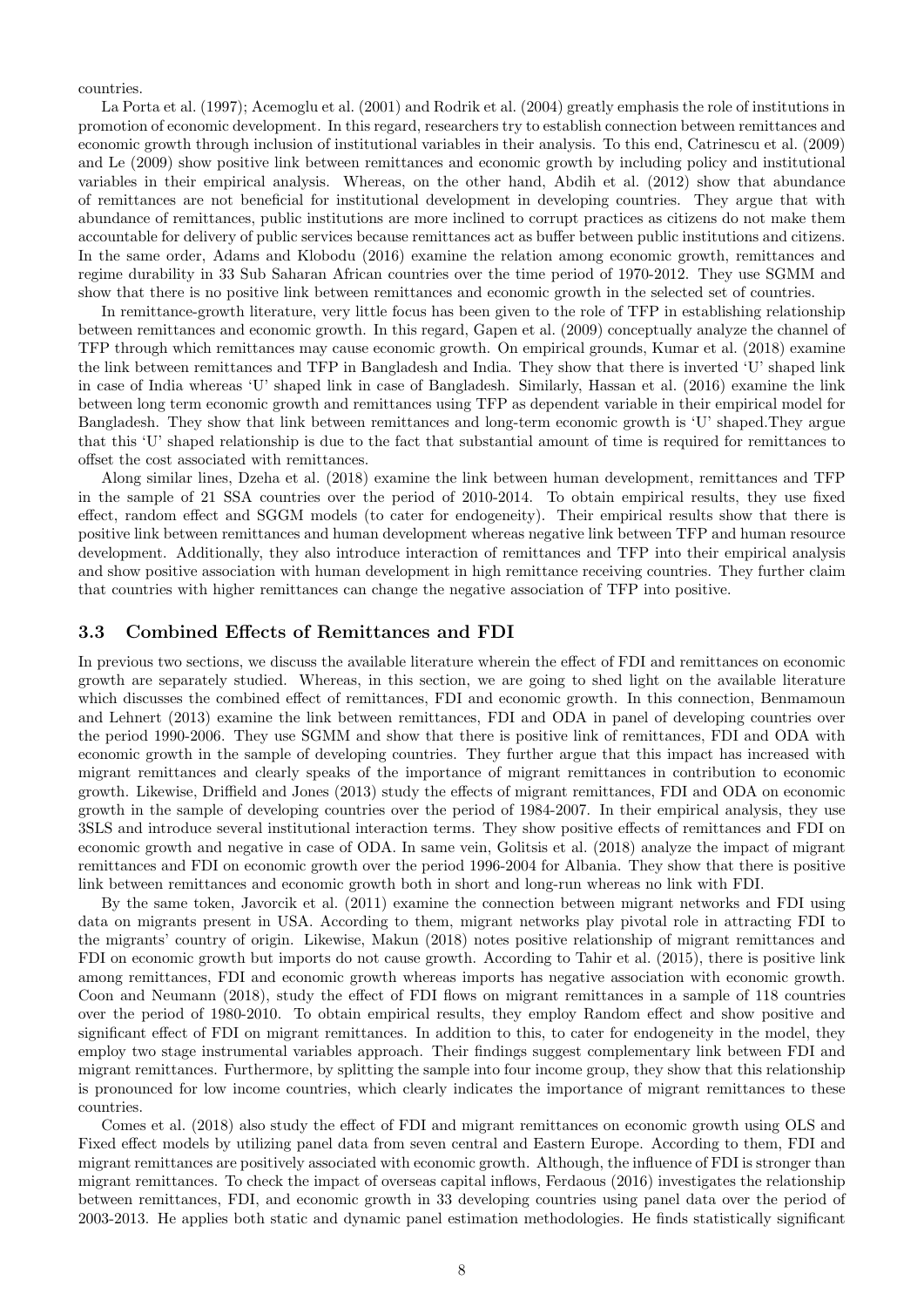countries.

La Porta et al. (1997); Acemoglu et al. (2001) and Rodrik et al. (2004) greatly emphasis the role of institutions in promotion of economic development. In this regard, researchers try to establish connection between remittances and economic growth through inclusion of institutional variables in their analysis. To this end, Catrinescu et al. (2009) and Le (2009) show positive link between remittances and economic growth by including policy and institutional variables in their empirical analysis. Whereas, on the other hand, Abdih et al. (2012) show that abundance of remittances are not beneficial for institutional development in developing countries. They argue that with abundance of remittances, public institutions are more inclined to corrupt practices as citizens do not make them accountable for delivery of public services because remittances act as buffer between public institutions and citizens. In the same order, Adams and Klobodu (2016) examine the relation among economic growth, remittances and regime durability in 33 Sub Saharan African countries over the time period of 1970-2012. They use SGMM and show that there is no positive link between remittances and economic growth in the selected set of countries.

In remittance-growth literature, very little focus has been given to the role of TFP in establishing relationship between remittances and economic growth. In this regard, Gapen et al. (2009) conceptually analyze the channel of TFP through which remittances may cause economic growth. On empirical grounds, Kumar et al. (2018) examine the link between remittances and TFP in Bangladesh and India. They show that there is inverted 'U' shaped link in case of India whereas 'U' shaped link in case of Bangladesh. Similarly, Hassan et al. (2016) examine the link between long term economic growth and remittances using TFP as dependent variable in their empirical model for Bangladesh. They show that link between remittances and long-term economic growth is 'U' shaped.They argue that this 'U' shaped relationship is due to the fact that substantial amount of time is required for remittances to offset the cost associated with remittances.

Along similar lines, Dzeha et al. (2018) examine the link between human development, remittances and TFP in the sample of 21 SSA countries over the period of 2010-2014. To obtain empirical results, they use fixed effect, random effect and SGGM models (to cater for endogeneity). Their empirical results show that there is positive link between remittances and human development whereas negative link between TFP and human resource development. Additionally, they also introduce interaction of remittances and TFP into their empirical analysis and show positive association with human development in high remittance receiving countries. They further claim that countries with higher remittances can change the negative association of TFP into positive.

#### 3.3 Combined Effects of Remittances and FDI

In previous two sections, we discuss the available literature wherein the effect of FDI and remittances on economic growth are separately studied. Whereas, in this section, we are going to shed light on the available literature which discusses the combined effect of remittances, FDI and economic growth. In this connection, Benmamoun and Lehnert (2013) examine the link between remittances, FDI and ODA in panel of developing countries over the period 1990-2006. They use SGMM and show that there is positive link of remittances, FDI and ODA with economic growth in the sample of developing countries. They further argue that this impact has increased with migrant remittances and clearly speaks of the importance of migrant remittances in contribution to economic growth. Likewise, Driffield and Jones (2013) study the effects of migrant remittances, FDI and ODA on economic growth in the sample of developing countries over the period of 1984-2007. In their empirical analysis, they use 3SLS and introduce several institutional interaction terms. They show positive effects of remittances and FDI on economic growth and negative in case of ODA. In same vein, Golitsis et al. (2018) analyze the impact of migrant remittances and FDI on economic growth over the period 1996-2004 for Albania. They show that there is positive link between remittances and economic growth both in short and long-run whereas no link with FDI.

By the same token, Javorcik et al. (2011) examine the connection between migrant networks and FDI using data on migrants present in USA. According to them, migrant networks play pivotal role in attracting FDI to the migrants' country of origin. Likewise, Makun (2018) notes positive relationship of migrant remittances and FDI on economic growth but imports do not cause growth. According to Tahir et al. (2015), there is positive link among remittances, FDI and economic growth whereas imports has negative association with economic growth. Coon and Neumann (2018), study the effect of FDI flows on migrant remittances in a sample of 118 countries over the period of 1980-2010. To obtain empirical results, they employ Random effect and show positive and significant effect of FDI on migrant remittances. In addition to this, to cater for endogeneity in the model, they employ two stage instrumental variables approach. Their findings suggest complementary link between FDI and migrant remittances. Furthermore, by splitting the sample into four income group, they show that this relationship is pronounced for low income countries, which clearly indicates the importance of migrant remittances to these countries.

Comes et al. (2018) also study the effect of FDI and migrant remittances on economic growth using OLS and Fixed effect models by utilizing panel data from seven central and Eastern Europe. According to them, FDI and migrant remittances are positively associated with economic growth. Although, the influence of FDI is stronger than migrant remittances. To check the impact of overseas capital inflows, Ferdaous (2016) investigates the relationship between remittances, FDI, and economic growth in 33 developing countries using panel data over the period of 2003-2013. He applies both static and dynamic panel estimation methodologies. He finds statistically significant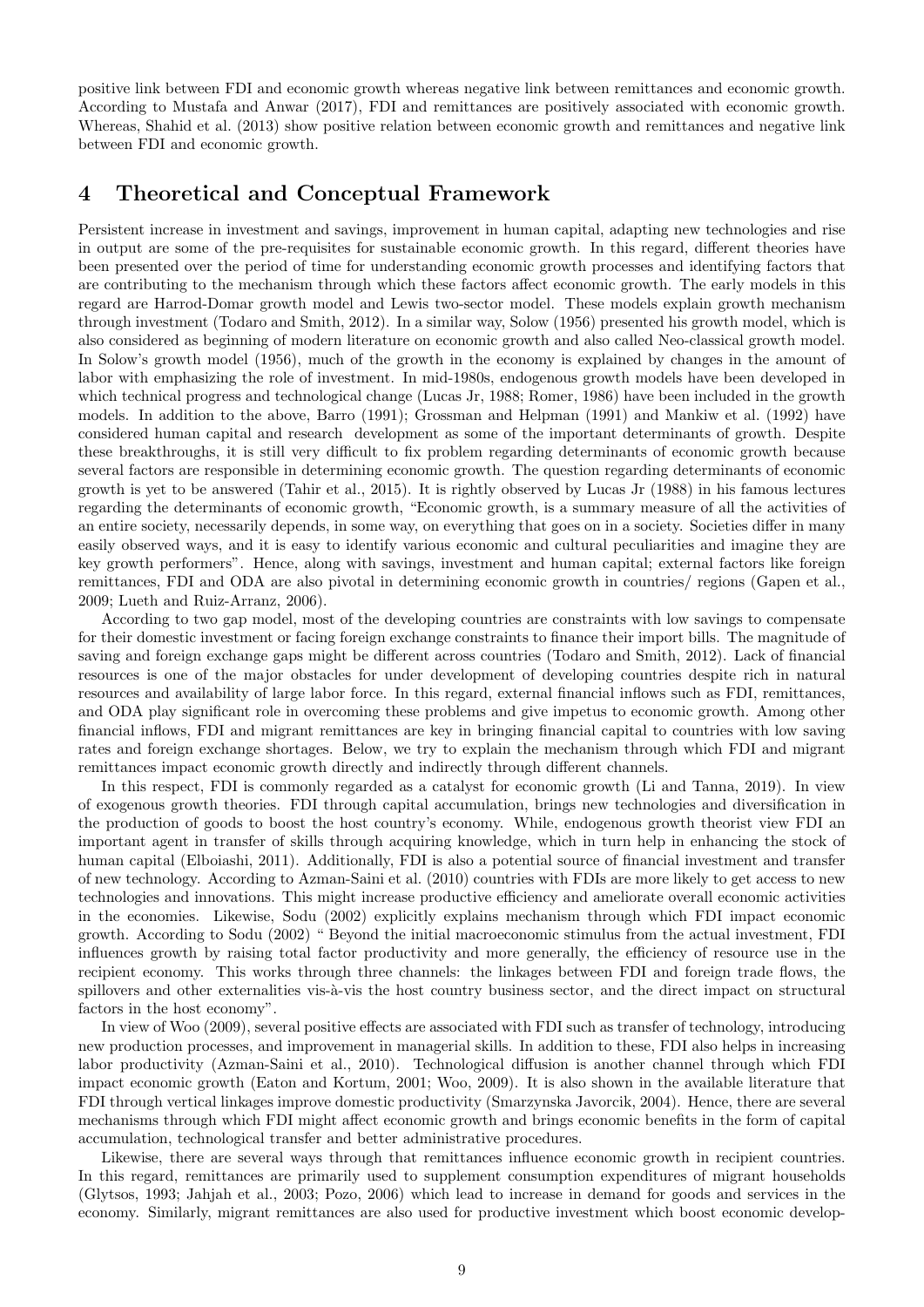positive link between FDI and economic growth whereas negative link between remittances and economic growth. According to Mustafa and Anwar (2017), FDI and remittances are positively associated with economic growth. Whereas, Shahid et al. (2013) show positive relation between economic growth and remittances and negative link between FDI and economic growth.

### 4 Theoretical and Conceptual Framework

Persistent increase in investment and savings, improvement in human capital, adapting new technologies and rise in output are some of the pre-requisites for sustainable economic growth. In this regard, different theories have been presented over the period of time for understanding economic growth processes and identifying factors that are contributing to the mechanism through which these factors affect economic growth. The early models in this regard are Harrod-Domar growth model and Lewis two-sector model. These models explain growth mechanism through investment (Todaro and Smith, 2012). In a similar way, Solow (1956) presented his growth model, which is also considered as beginning of modern literature on economic growth and also called Neo-classical growth model. In Solow's growth model (1956), much of the growth in the economy is explained by changes in the amount of labor with emphasizing the role of investment. In mid-1980s, endogenous growth models have been developed in which technical progress and technological change (Lucas Jr, 1988; Romer, 1986) have been included in the growth models. In addition to the above, Barro (1991); Grossman and Helpman (1991) and Mankiw et al. (1992) have considered human capital and research development as some of the important determinants of growth. Despite these breakthroughs, it is still very difficult to fix problem regarding determinants of economic growth because several factors are responsible in determining economic growth. The question regarding determinants of economic growth is yet to be answered (Tahir et al., 2015). It is rightly observed by Lucas Jr (1988) in his famous lectures regarding the determinants of economic growth, "Economic growth, is a summary measure of all the activities of an entire society, necessarily depends, in some way, on everything that goes on in a society. Societies differ in many easily observed ways, and it is easy to identify various economic and cultural peculiarities and imagine they are key growth performers". Hence, along with savings, investment and human capital; external factors like foreign remittances, FDI and ODA are also pivotal in determining economic growth in countries/ regions (Gapen et al., 2009; Lueth and Ruiz-Arranz, 2006).

According to two gap model, most of the developing countries are constraints with low savings to compensate for their domestic investment or facing foreign exchange constraints to finance their import bills. The magnitude of saving and foreign exchange gaps might be different across countries (Todaro and Smith, 2012). Lack of financial resources is one of the major obstacles for under development of developing countries despite rich in natural resources and availability of large labor force. In this regard, external financial inflows such as FDI, remittances, and ODA play significant role in overcoming these problems and give impetus to economic growth. Among other financial inflows, FDI and migrant remittances are key in bringing financial capital to countries with low saving rates and foreign exchange shortages. Below, we try to explain the mechanism through which FDI and migrant remittances impact economic growth directly and indirectly through different channels.

In this respect, FDI is commonly regarded as a catalyst for economic growth (Li and Tanna, 2019). In view of exogenous growth theories. FDI through capital accumulation, brings new technologies and diversification in the production of goods to boost the host country's economy. While, endogenous growth theorist view FDI an important agent in transfer of skills through acquiring knowledge, which in turn help in enhancing the stock of human capital (Elboiashi, 2011). Additionally, FDI is also a potential source of financial investment and transfer of new technology. According to Azman-Saini et al. (2010) countries with FDIs are more likely to get access to new technologies and innovations. This might increase productive efficiency and ameliorate overall economic activities in the economies. Likewise, Sodu (2002) explicitly explains mechanism through which FDI impact economic growth. According to Sodu (2002) " Beyond the initial macroeconomic stimulus from the actual investment, FDI influences growth by raising total factor productivity and more generally, the efficiency of resource use in the recipient economy. This works through three channels: the linkages between FDI and foreign trade flows, the spillovers and other externalities vis-à-vis the host country business sector, and the direct impact on structural factors in the host economy".

In view of Woo (2009), several positive effects are associated with FDI such as transfer of technology, introducing new production processes, and improvement in managerial skills. In addition to these, FDI also helps in increasing labor productivity (Azman-Saini et al., 2010). Technological diffusion is another channel through which FDI impact economic growth (Eaton and Kortum, 2001; Woo, 2009). It is also shown in the available literature that FDI through vertical linkages improve domestic productivity (Smarzynska Javorcik, 2004). Hence, there are several mechanisms through which FDI might affect economic growth and brings economic benefits in the form of capital accumulation, technological transfer and better administrative procedures.

Likewise, there are several ways through that remittances influence economic growth in recipient countries. In this regard, remittances are primarily used to supplement consumption expenditures of migrant households (Glytsos, 1993; Jahjah et al., 2003; Pozo, 2006) which lead to increase in demand for goods and services in the economy. Similarly, migrant remittances are also used for productive investment which boost economic develop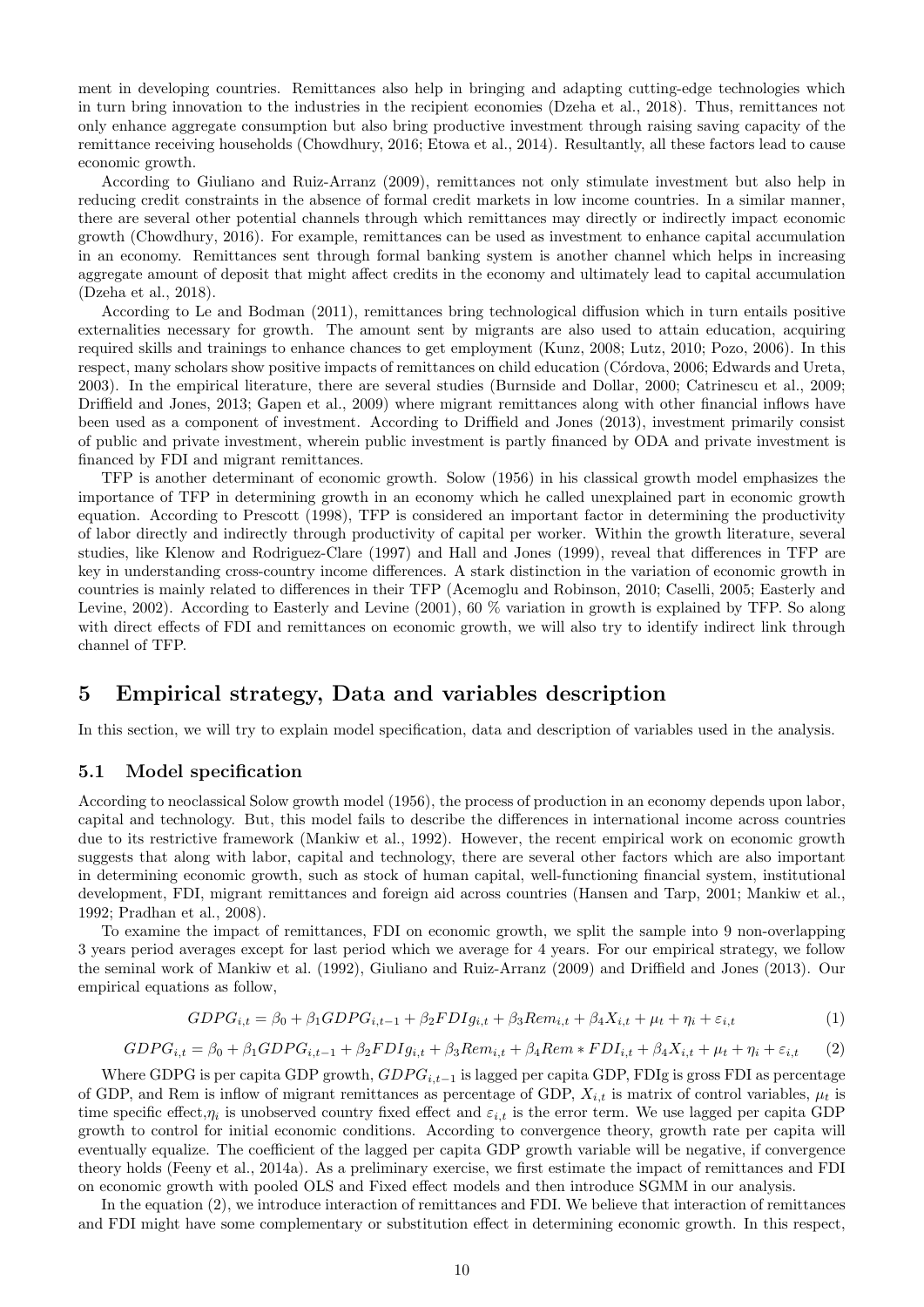ment in developing countries. Remittances also help in bringing and adapting cutting-edge technologies which in turn bring innovation to the industries in the recipient economies (Dzeha et al., 2018). Thus, remittances not only enhance aggregate consumption but also bring productive investment through raising saving capacity of the remittance receiving households (Chowdhury, 2016; Etowa et al., 2014). Resultantly, all these factors lead to cause economic growth.

According to Giuliano and Ruiz-Arranz (2009), remittances not only stimulate investment but also help in reducing credit constraints in the absence of formal credit markets in low income countries. In a similar manner, there are several other potential channels through which remittances may directly or indirectly impact economic growth (Chowdhury, 2016). For example, remittances can be used as investment to enhance capital accumulation in an economy. Remittances sent through formal banking system is another channel which helps in increasing aggregate amount of deposit that might affect credits in the economy and ultimately lead to capital accumulation (Dzeha et al., 2018).

According to Le and Bodman (2011), remittances bring technological diffusion which in turn entails positive externalities necessary for growth. The amount sent by migrants are also used to attain education, acquiring required skills and trainings to enhance chances to get employment (Kunz, 2008; Lutz, 2010; Pozo, 2006). In this respect, many scholars show positive impacts of remittances on child education (Córdova, 2006; Edwards and Ureta, 2003). In the empirical literature, there are several studies (Burnside and Dollar, 2000; Catrinescu et al., 2009; Driffield and Jones, 2013; Gapen et al., 2009) where migrant remittances along with other financial inflows have been used as a component of investment. According to Driffield and Jones (2013), investment primarily consist of public and private investment, wherein public investment is partly financed by ODA and private investment is financed by FDI and migrant remittances.

TFP is another determinant of economic growth. Solow (1956) in his classical growth model emphasizes the importance of TFP in determining growth in an economy which he called unexplained part in economic growth equation. According to Prescott (1998), TFP is considered an important factor in determining the productivity of labor directly and indirectly through productivity of capital per worker. Within the growth literature, several studies, like Klenow and Rodriguez-Clare (1997) and Hall and Jones (1999), reveal that differences in TFP are key in understanding cross-country income differences. A stark distinction in the variation of economic growth in countries is mainly related to differences in their TFP (Acemoglu and Robinson, 2010; Caselli, 2005; Easterly and Levine, 2002). According to Easterly and Levine (2001), 60 % variation in growth is explained by TFP. So along with direct effects of FDI and remittances on economic growth, we will also try to identify indirect link through channel of TFP.

### 5 Empirical strategy, Data and variables description

In this section, we will try to explain model specification, data and description of variables used in the analysis.

### 5.1 Model specification

According to neoclassical Solow growth model (1956), the process of production in an economy depends upon labor, capital and technology. But, this model fails to describe the differences in international income across countries due to its restrictive framework (Mankiw et al., 1992). However, the recent empirical work on economic growth suggests that along with labor, capital and technology, there are several other factors which are also important in determining economic growth, such as stock of human capital, well-functioning financial system, institutional development, FDI, migrant remittances and foreign aid across countries (Hansen and Tarp, 2001; Mankiw et al., 1992; Pradhan et al., 2008).

To examine the impact of remittances, FDI on economic growth, we split the sample into 9 non-overlapping 3 years period averages except for last period which we average for 4 years. For our empirical strategy, we follow the seminal work of Mankiw et al. (1992), Giuliano and Ruiz-Arranz (2009) and Driffield and Jones (2013). Our empirical equations as follow,

$$
GDPG_{i,t} = \beta_0 + \beta_1 GDPG_{i,t-1} + \beta_2 FDIg_{i,t} + \beta_3 Rem_{i,t} + \beta_4 X_{i,t} + \mu_t + \eta_i + \varepsilon_{i,t}
$$
\n(1)

$$
GDPG_{i,t} = \beta_0 + \beta_1 GDPG_{i,t-1} + \beta_2 FDIg_{i,t} + \beta_3 Rem_{i,t} + \beta_4 Rem * FDI_{i,t} + \beta_4 X_{i,t} + \mu_t + \eta_i + \varepsilon_{i,t} \tag{2}
$$

Where GDPG is per capita GDP growth,  $GDPG_{i,t-1}$  is lagged per capita GDP, FDIg is gross FDI as percentage of GDP, and Rem is inflow of migrant remittances as percentage of GDP,  $X_{i,t}$  is matrix of control variables,  $\mu_t$  is time specific effect, $\eta_i$  is unobserved country fixed effect and  $\varepsilon_{i,t}$  is the error term. We use lagged per capita GDP growth to control for initial economic conditions. According to convergence theory, growth rate per capita will eventually equalize. The coefficient of the lagged per capita GDP growth variable will be negative, if convergence theory holds (Feeny et al., 2014a). As a preliminary exercise, we first estimate the impact of remittances and FDI on economic growth with pooled OLS and Fixed effect models and then introduce SGMM in our analysis.

In the equation (2), we introduce interaction of remittances and FDI. We believe that interaction of remittances and FDI might have some complementary or substitution effect in determining economic growth. In this respect,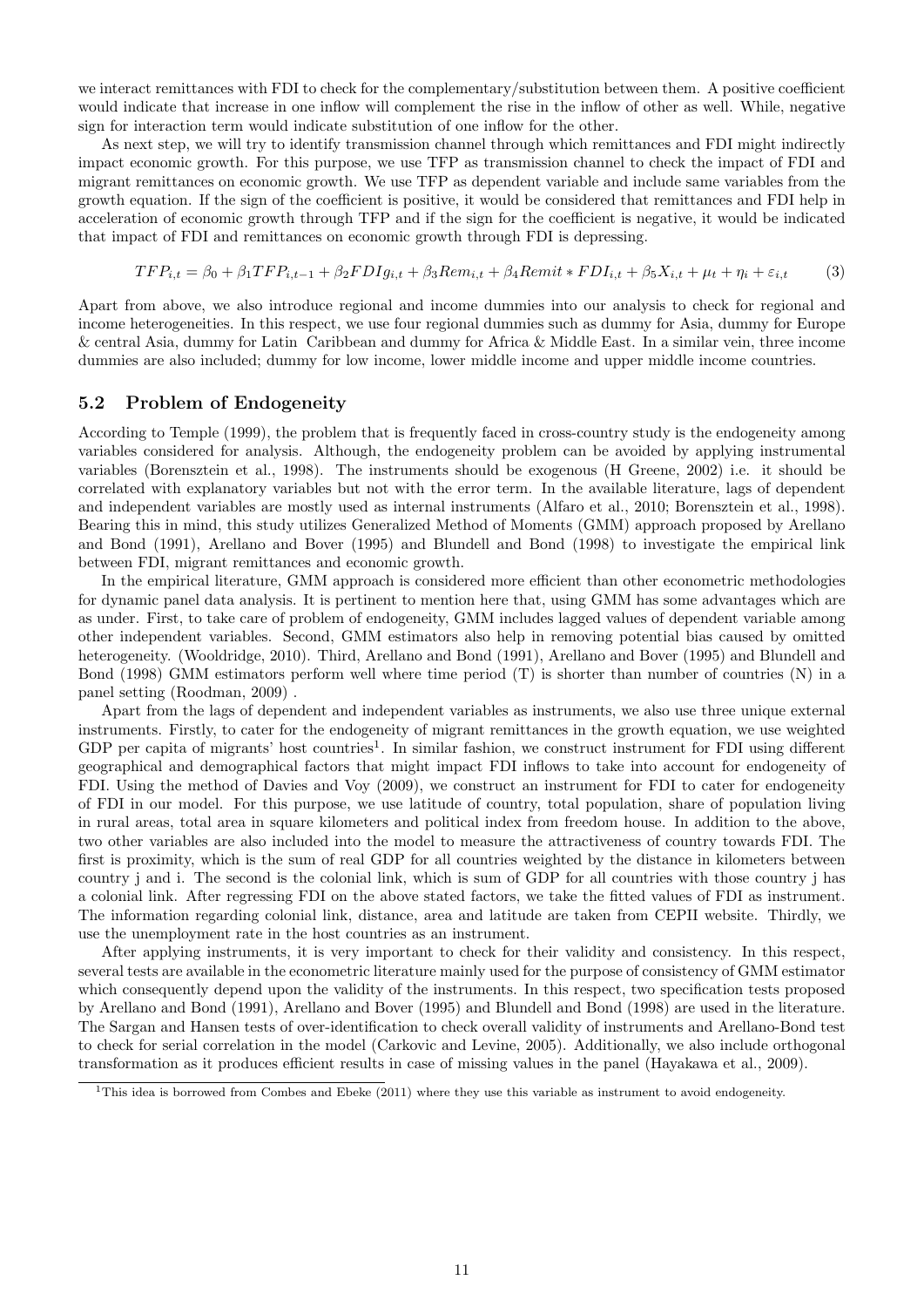we interact remittances with FDI to check for the complementary/substitution between them. A positive coefficient would indicate that increase in one inflow will complement the rise in the inflow of other as well. While, negative sign for interaction term would indicate substitution of one inflow for the other.

As next step, we will try to identify transmission channel through which remittances and FDI might indirectly impact economic growth. For this purpose, we use TFP as transmission channel to check the impact of FDI and migrant remittances on economic growth. We use TFP as dependent variable and include same variables from the growth equation. If the sign of the coefficient is positive, it would be considered that remittances and FDI help in acceleration of economic growth through TFP and if the sign for the coefficient is negative, it would be indicated that impact of FDI and remittances on economic growth through FDI is depressing.

$$
TFP_{i,t} = \beta_0 + \beta_1 TFP_{i,t-1} + \beta_2 FDIg_{i,t} + \beta_3 Rem_{i,t} + \beta_4 Remit * FDI_{i,t} + \beta_5 X_{i,t} + \mu_t + \eta_i + \varepsilon_{i,t} \tag{3}
$$

Apart from above, we also introduce regional and income dummies into our analysis to check for regional and income heterogeneities. In this respect, we use four regional dummies such as dummy for Asia, dummy for Europe & central Asia, dummy for Latin Caribbean and dummy for Africa & Middle East. In a similar vein, three income dummies are also included; dummy for low income, lower middle income and upper middle income countries.

#### 5.2 Problem of Endogeneity

According to Temple (1999), the problem that is frequently faced in cross-country study is the endogeneity among variables considered for analysis. Although, the endogeneity problem can be avoided by applying instrumental variables (Borensztein et al., 1998). The instruments should be exogenous (H Greene, 2002) i.e. it should be correlated with explanatory variables but not with the error term. In the available literature, lags of dependent and independent variables are mostly used as internal instruments (Alfaro et al., 2010; Borensztein et al., 1998). Bearing this in mind, this study utilizes Generalized Method of Moments (GMM) approach proposed by Arellano and Bond (1991), Arellano and Bover (1995) and Blundell and Bond (1998) to investigate the empirical link between FDI, migrant remittances and economic growth.

In the empirical literature, GMM approach is considered more efficient than other econometric methodologies for dynamic panel data analysis. It is pertinent to mention here that, using GMM has some advantages which are as under. First, to take care of problem of endogeneity, GMM includes lagged values of dependent variable among other independent variables. Second, GMM estimators also help in removing potential bias caused by omitted heterogeneity. (Wooldridge, 2010). Third, Arellano and Bond (1991), Arellano and Bover (1995) and Blundell and Bond (1998) GMM estimators perform well where time period (T) is shorter than number of countries (N) in a panel setting (Roodman, 2009) .

Apart from the lags of dependent and independent variables as instruments, we also use three unique external instruments. Firstly, to cater for the endogeneity of migrant remittances in the growth equation, we use weighted GDP per capita of migrants' host countries<sup>1</sup>. In similar fashion, we construct instrument for FDI using different geographical and demographical factors that might impact FDI inflows to take into account for endogeneity of FDI. Using the method of Davies and Voy (2009), we construct an instrument for FDI to cater for endogeneity of FDI in our model. For this purpose, we use latitude of country, total population, share of population living in rural areas, total area in square kilometers and political index from freedom house. In addition to the above, two other variables are also included into the model to measure the attractiveness of country towards FDI. The first is proximity, which is the sum of real GDP for all countries weighted by the distance in kilometers between country j and i. The second is the colonial link, which is sum of GDP for all countries with those country j has a colonial link. After regressing FDI on the above stated factors, we take the fitted values of FDI as instrument. The information regarding colonial link, distance, area and latitude are taken from CEPII website. Thirdly, we use the unemployment rate in the host countries as an instrument.

After applying instruments, it is very important to check for their validity and consistency. In this respect, several tests are available in the econometric literature mainly used for the purpose of consistency of GMM estimator which consequently depend upon the validity of the instruments. In this respect, two specification tests proposed by Arellano and Bond (1991), Arellano and Bover (1995) and Blundell and Bond (1998) are used in the literature. The Sargan and Hansen tests of over-identification to check overall validity of instruments and Arellano-Bond test to check for serial correlation in the model (Carkovic and Levine, 2005). Additionally, we also include orthogonal transformation as it produces efficient results in case of missing values in the panel (Hayakawa et al., 2009).

 $1$ This idea is borrowed from Combes and Ebeke (2011) where they use this variable as instrument to avoid endogeneity.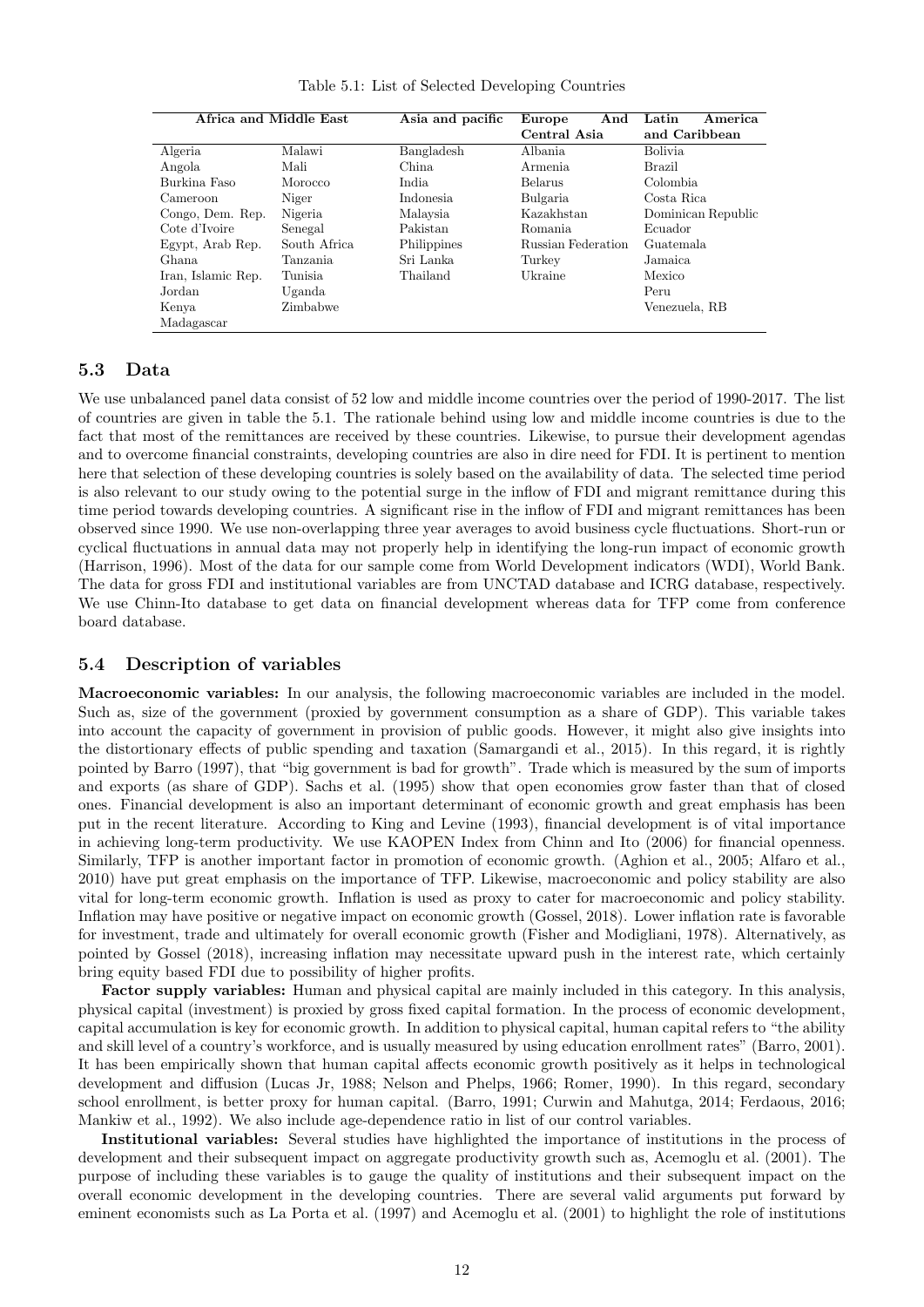| Africa and Middle East |              | Asia and pacific | Europe<br>And             | America<br>Latin   |
|------------------------|--------------|------------------|---------------------------|--------------------|
|                        |              |                  | Central Asia              | and Caribbean      |
| Algeria                | Malawi       | Bangladesh       | Albania                   | <b>Bolivia</b>     |
| Angola                 | Mali         | China.           | Armenia.                  | Brazil             |
| Burkina Faso           | Morocco      | India.           | Belarus                   | Colombia           |
| Cameroon               | Niger        | Indonesia        | Bulgaria                  | Costa Rica         |
| Congo, Dem. Rep.       | Nigeria      | Malaysia         | Kazakhstan                | Dominican Republic |
| Cote d'Ivoire          | Senegal      | Pakistan         | Romania                   | Ecuador            |
| Egypt, Arab Rep.       | South Africa | Philippines      | <b>Russian Federation</b> | Guatemala          |
| Ghana.                 | Tanzania     | Sri Lanka        | Turkey                    | Jamaica            |
| Iran, Islamic Rep.     | Tunisia.     | Thailand         | Ukraine                   | Mexico             |
| Jordan                 | Uganda       |                  |                           | Peru               |
| Kenya                  | Zimbabwe     |                  |                           | Venezuela, RB      |
| Madagascar             |              |                  |                           |                    |

Table 5.1: List of Selected Developing Countries

### 5.3 Data

We use unbalanced panel data consist of 52 low and middle income countries over the period of 1990-2017. The list of countries are given in table the 5.1. The rationale behind using low and middle income countries is due to the fact that most of the remittances are received by these countries. Likewise, to pursue their development agendas and to overcome financial constraints, developing countries are also in dire need for FDI. It is pertinent to mention here that selection of these developing countries is solely based on the availability of data. The selected time period is also relevant to our study owing to the potential surge in the inflow of FDI and migrant remittance during this time period towards developing countries. A significant rise in the inflow of FDI and migrant remittances has been observed since 1990. We use non-overlapping three year averages to avoid business cycle fluctuations. Short-run or cyclical fluctuations in annual data may not properly help in identifying the long-run impact of economic growth (Harrison, 1996). Most of the data for our sample come from World Development indicators (WDI), World Bank. The data for gross FDI and institutional variables are from UNCTAD database and ICRG database, respectively. We use Chinn-Ito database to get data on financial development whereas data for TFP come from conference board database.

### 5.4 Description of variables

Macroeconomic variables: In our analysis, the following macroeconomic variables are included in the model. Such as, size of the government (proxied by government consumption as a share of GDP). This variable takes into account the capacity of government in provision of public goods. However, it might also give insights into the distortionary effects of public spending and taxation (Samargandi et al., 2015). In this regard, it is rightly pointed by Barro (1997), that "big government is bad for growth". Trade which is measured by the sum of imports and exports (as share of GDP). Sachs et al. (1995) show that open economies grow faster than that of closed ones. Financial development is also an important determinant of economic growth and great emphasis has been put in the recent literature. According to King and Levine (1993), financial development is of vital importance in achieving long-term productivity. We use KAOPEN Index from Chinn and Ito (2006) for financial openness. Similarly, TFP is another important factor in promotion of economic growth. (Aghion et al., 2005; Alfaro et al., 2010) have put great emphasis on the importance of TFP. Likewise, macroeconomic and policy stability are also vital for long-term economic growth. Inflation is used as proxy to cater for macroeconomic and policy stability. Inflation may have positive or negative impact on economic growth (Gossel, 2018). Lower inflation rate is favorable for investment, trade and ultimately for overall economic growth (Fisher and Modigliani, 1978). Alternatively, as pointed by Gossel (2018), increasing inflation may necessitate upward push in the interest rate, which certainly bring equity based FDI due to possibility of higher profits.

Factor supply variables: Human and physical capital are mainly included in this category. In this analysis, physical capital (investment) is proxied by gross fixed capital formation. In the process of economic development, capital accumulation is key for economic growth. In addition to physical capital, human capital refers to "the ability and skill level of a country's workforce, and is usually measured by using education enrollment rates" (Barro, 2001). It has been empirically shown that human capital affects economic growth positively as it helps in technological development and diffusion (Lucas Jr, 1988; Nelson and Phelps, 1966; Romer, 1990). In this regard, secondary school enrollment, is better proxy for human capital. (Barro, 1991; Curwin and Mahutga, 2014; Ferdaous, 2016; Mankiw et al., 1992). We also include age-dependence ratio in list of our control variables.

Institutional variables: Several studies have highlighted the importance of institutions in the process of development and their subsequent impact on aggregate productivity growth such as, Acemoglu et al. (2001). The purpose of including these variables is to gauge the quality of institutions and their subsequent impact on the overall economic development in the developing countries. There are several valid arguments put forward by eminent economists such as La Porta et al. (1997) and Acemoglu et al. (2001) to highlight the role of institutions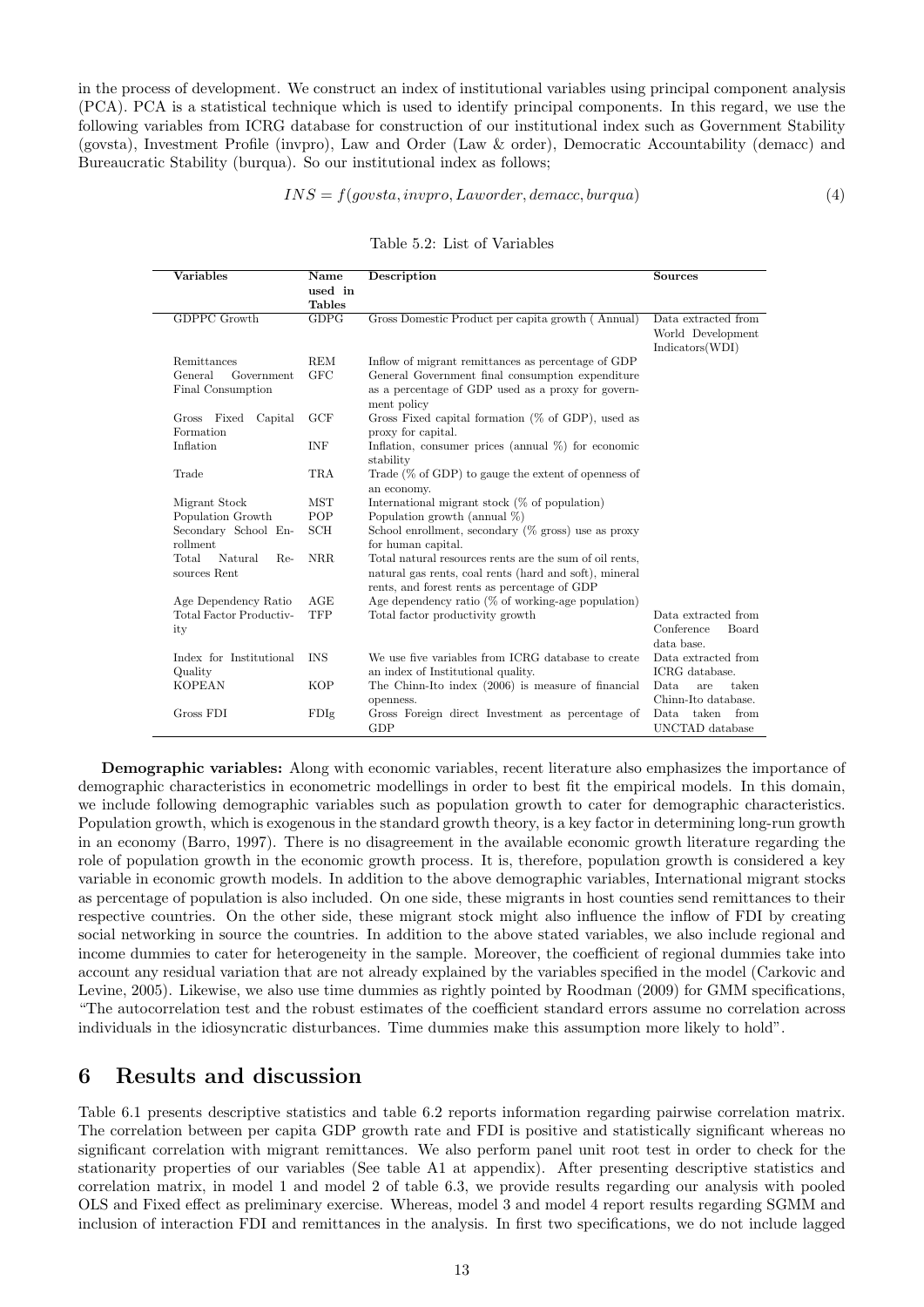in the process of development. We construct an index of institutional variables using principal component analysis (PCA). PCA is a statistical technique which is used to identify principal components. In this regard, we use the following variables from ICRG database for construction of our institutional index such as Government Stability (govsta), Investment Profile (invpro), Law and Order (Law & order), Democratic Accountability (demacc) and Bureaucratic Stability (burqua). So our institutional index as follows;

#### $INS = f(govsta, invpro, Laworder, demacc, burqua)$  (4)

#### Table 5.2: List of Variables

| <b>Variables</b>                        | Name<br>used in<br><b>Tables</b> | Description                                                                                                                                                       | <b>Sources</b>                                              |
|-----------------------------------------|----------------------------------|-------------------------------------------------------------------------------------------------------------------------------------------------------------------|-------------------------------------------------------------|
| <b>GDPPC Growth</b>                     | GDPG                             | Gross Domestic Product per capita growth (Annual)                                                                                                                 | Data extracted from<br>World Development<br>Indicators(WDI) |
| Remittances                             | <b>REM</b>                       | Inflow of migrant remittances as percentage of GDP                                                                                                                |                                                             |
| General<br>Government                   | <b>GFC</b>                       | General Government final consumption expenditure                                                                                                                  |                                                             |
| Final Consumption                       |                                  | as a percentage of GDP used as a proxy for govern-<br>ment policy                                                                                                 |                                                             |
| Gross Fixed<br>Capital<br>Formation     | <b>GCF</b>                       | Gross Fixed capital formation $(\%$ of GDP), used as<br>proxy for capital.                                                                                        |                                                             |
| Inflation                               | <b>INF</b>                       | Inflation, consumer prices (annual $\%$ ) for economic<br>stability                                                                                               |                                                             |
| Trade                                   | <b>TRA</b>                       | Trade $(\%$ of GDP) to gauge the extent of openness of<br>an economy.                                                                                             |                                                             |
| Migrant Stock                           | <b>MST</b>                       | International migrant stock $(\%$ of population)                                                                                                                  |                                                             |
| Population Growth                       | POP                              | Population growth (annual $\%$ )                                                                                                                                  |                                                             |
| Secondary School En-<br>rollment        | <b>SCH</b>                       | School enrollment, secondary $(\%$ gross) use as proxy<br>for human capital.                                                                                      |                                                             |
| Total<br>Natural<br>Re-<br>sources Rent | <b>NRR</b>                       | Total natural resources rents are the sum of oil rents,<br>natural gas rents, coal rents (hard and soft), mineral<br>rents, and forest rents as percentage of GDP |                                                             |
| Age Dependency Ratio                    | AGE                              | Age dependency ratio ( $\%$ of working-age population)                                                                                                            |                                                             |
| Total Factor Productiv-                 | TFP                              | Total factor productivity growth                                                                                                                                  | Data extracted from                                         |
| ity                                     |                                  |                                                                                                                                                                   | Conference<br><b>Board</b>                                  |
|                                         |                                  |                                                                                                                                                                   | data base.                                                  |
| Index for Institutional                 | <b>INS</b>                       | We use five variables from ICRG database to create                                                                                                                | Data extracted from                                         |
| Quality                                 |                                  | an index of Institutional quality.                                                                                                                                | ICRG database.                                              |
| <b>KOPEAN</b>                           | <b>KOP</b>                       | The Chinn-Ito index (2006) is measure of financial                                                                                                                | Data.<br>taken<br>are                                       |
|                                         |                                  | openness.                                                                                                                                                         | Chinn-Ito database.                                         |
| Gross FDI                               | FDIg                             | Gross Foreign direct Investment as percentage of<br>GDP                                                                                                           | taken<br>from<br>Data.<br>UNCTAD database                   |

Demographic variables: Along with economic variables, recent literature also emphasizes the importance of demographic characteristics in econometric modellings in order to best fit the empirical models. In this domain, we include following demographic variables such as population growth to cater for demographic characteristics. Population growth, which is exogenous in the standard growth theory, is a key factor in determining long-run growth in an economy (Barro, 1997). There is no disagreement in the available economic growth literature regarding the role of population growth in the economic growth process. It is, therefore, population growth is considered a key variable in economic growth models. In addition to the above demographic variables, International migrant stocks as percentage of population is also included. On one side, these migrants in host counties send remittances to their respective countries. On the other side, these migrant stock might also influence the inflow of FDI by creating social networking in source the countries. In addition to the above stated variables, we also include regional and income dummies to cater for heterogeneity in the sample. Moreover, the coefficient of regional dummies take into account any residual variation that are not already explained by the variables specified in the model (Carkovic and Levine, 2005). Likewise, we also use time dummies as rightly pointed by Roodman (2009) for GMM specifications, "The autocorrelation test and the robust estimates of the coefficient standard errors assume no correlation across individuals in the idiosyncratic disturbances. Time dummies make this assumption more likely to hold".

### 6 Results and discussion

Table 6.1 presents descriptive statistics and table 6.2 reports information regarding pairwise correlation matrix. The correlation between per capita GDP growth rate and FDI is positive and statistically significant whereas no significant correlation with migrant remittances. We also perform panel unit root test in order to check for the stationarity properties of our variables (See table A1 at appendix). After presenting descriptive statistics and correlation matrix, in model 1 and model 2 of table 6.3, we provide results regarding our analysis with pooled OLS and Fixed effect as preliminary exercise. Whereas, model 3 and model 4 report results regarding SGMM and inclusion of interaction FDI and remittances in the analysis. In first two specifications, we do not include lagged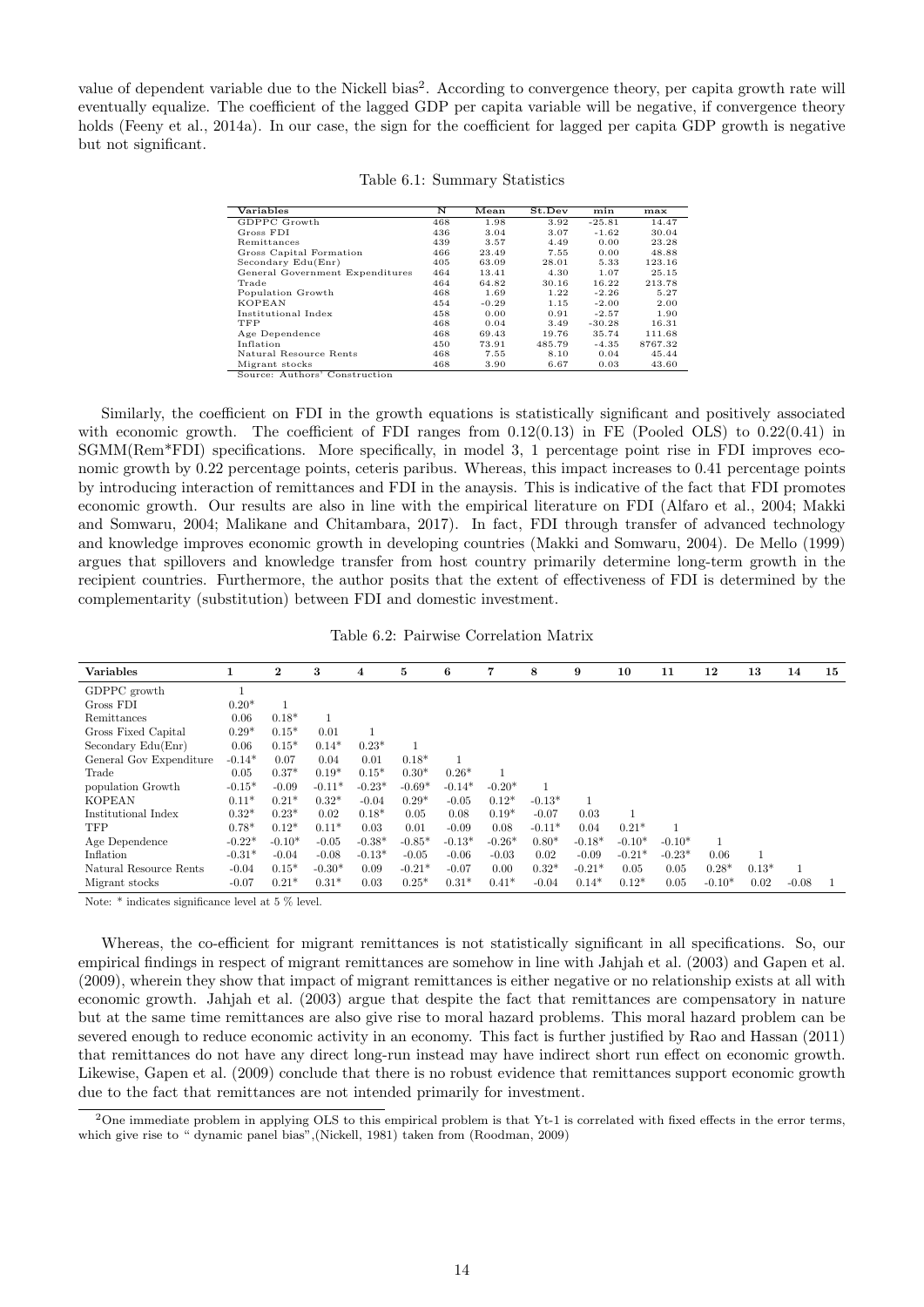value of dependent variable due to the Nickell bias<sup>2</sup>. According to convergence theory, per capita growth rate will eventually equalize. The coefficient of the lagged GDP per capita variable will be negative, if convergence theory holds (Feeny et al., 2014a). In our case, the sign for the coefficient for lagged per capita GDP growth is negative but not significant.

| Variables                       | N   | Mean    | St.Dev | min      | max     |
|---------------------------------|-----|---------|--------|----------|---------|
| GDPPC Growth                    | 468 | 1.98    | 3.92   | $-25.81$ | 14.47   |
| Gross FDI                       | 436 | 3.04    | 3.07   | $-1.62$  | 30.04   |
| Remittances                     | 439 | 3.57    | 4.49   | 0.00     | 23.28   |
| Gross Capital Formation         | 466 | 23.49   | 7.55   | 0.00     | 48.88   |
| Secondary Edu(Enr)              | 405 | 63.09   | 28.01  | 5.33     | 123.16  |
| General Government Expenditures | 464 | 13.41   | 4.30   | 1.07     | 25.15   |
| Trade                           | 464 | 64.82   | 30.16  | 16.22    | 213.78  |
| Population Growth               | 468 | 1.69    | 1.22   | $-2.26$  | 5.27    |
| <b>KOPEAN</b>                   | 454 | $-0.29$ | 1.15   | $-2.00$  | 2.00    |
| Institutional Index             | 458 | 0.00    | 0.91   | $-2.57$  | 1.90    |
| TFP                             | 468 | 0.04    | 3.49   | $-30.28$ | 16.31   |
| Age Dependence                  | 468 | 69.43   | 19.76  | 35.74    | 111.68  |
| Inflation                       | 450 | 73.91   | 485.79 | $-4.35$  | 8767.32 |
| Natural Resource Rents          | 468 | 7.55    | 8.10   | 0.04     | 45.44   |
| Migrant stocks                  | 468 | 3.90    | 6.67   | 0.03     | 43.60   |
| Source: Authors' Construction   |     |         |        |          |         |

Similarly, the coefficient on FDI in the growth equations is statistically significant and positively associated with economic growth. The coefficient of FDI ranges from  $0.12(0.13)$  in FE (Pooled OLS) to  $0.22(0.41)$  in SGMM(Rem\*FDI) specifications. More specifically, in model 3, 1 percentage point rise in FDI improves economic growth by 0.22 percentage points, ceteris paribus. Whereas, this impact increases to 0.41 percentage points by introducing interaction of remittances and FDI in the anaysis. This is indicative of the fact that FDI promotes economic growth. Our results are also in line with the empirical literature on FDI (Alfaro et al., 2004; Makki and Somwaru, 2004; Malikane and Chitambara, 2017). In fact, FDI through transfer of advanced technology and knowledge improves economic growth in developing countries (Makki and Somwaru, 2004). De Mello (1999) argues that spillovers and knowledge transfer from host country primarily determine long-term growth in the recipient countries. Furthermore, the author posits that the extent of effectiveness of FDI is determined by the complementarity (substitution) between FDI and domestic investment.

Table 6.2: Pairwise Correlation Matrix

| <b>Variables</b>        | 1        | $\mathbf 2$ | 3        | 4        | 5        | 6        | $\overline{7}$ | 8        | 9        | 10       | 11       | 12       | 13      | 14      | 15 |
|-------------------------|----------|-------------|----------|----------|----------|----------|----------------|----------|----------|----------|----------|----------|---------|---------|----|
| GDPPC growth            |          |             |          |          |          |          |                |          |          |          |          |          |         |         |    |
| Gross FDI               | $0.20*$  |             |          |          |          |          |                |          |          |          |          |          |         |         |    |
| Remittances             | 0.06     | $0.18*$     |          |          |          |          |                |          |          |          |          |          |         |         |    |
| Gross Fixed Capital     | $0.29*$  | $0.15*$     | 0.01     |          |          |          |                |          |          |          |          |          |         |         |    |
| Secondary Edu(Enr)      | 0.06     | $0.15*$     | $0.14*$  | $0.23*$  |          |          |                |          |          |          |          |          |         |         |    |
| General Gov Expenditure | $-0.14*$ | 0.07        | 0.04     | 0.01     | $0.18*$  |          |                |          |          |          |          |          |         |         |    |
| Trade                   | 0.05     | $0.37*$     | $0.19*$  | $0.15*$  | $0.30*$  | $0.26*$  |                |          |          |          |          |          |         |         |    |
| population Growth       | $-0.15*$ | $-0.09$     | $-0.11*$ | $-0.23*$ | $-0.69*$ | $-0.14*$ | $-0.20*$       |          |          |          |          |          |         |         |    |
| <b>KOPEAN</b>           | $0.11*$  | $0.21*$     | $0.32*$  | $-0.04$  | $0.29*$  | $-0.05$  | $0.12*$        | $-0.13*$ |          |          |          |          |         |         |    |
| Institutional Index     | $0.32*$  | $0.23*$     | 0.02     | $0.18*$  | 0.05     | 0.08     | $0.19*$        | $-0.07$  | 0.03     |          |          |          |         |         |    |
| TFP                     | $0.78*$  | $0.12*$     | $0.11*$  | 0.03     | 0.01     | $-0.09$  | 0.08           | $-0.11*$ | 0.04     | $0.21*$  |          |          |         |         |    |
| Age Dependence          | $-0.22*$ | $-0.10*$    | $-0.05$  | $-0.38*$ | $-0.85*$ | $-0.13*$ | $-0.26*$       | $0.80*$  | $-0.18*$ | $-0.10*$ | $-0.10*$ |          |         |         |    |
| Inflation               | $-0.31*$ | $-0.04$     | $-0.08$  | $-0.13*$ | $-0.05$  | $-0.06$  | $-0.03$        | 0.02     | $-0.09$  | $-0.21*$ | $-0.23*$ | 0.06     |         |         |    |
| Natural Resource Rents  | $-0.04$  | $0.15*$     | $-0.30*$ | 0.09     | $-0.21*$ | $-0.07$  | 0.00           | $0.32*$  | $-0.21*$ | 0.05     | 0.05     | $0.28*$  | $0.13*$ |         |    |
| Migrant stocks          | $-0.07$  | $0.21*$     | $0.31*$  | 0.03     | $0.25*$  | $0.31*$  | $0.41*$        | $-0.04$  | $0.14*$  | $0.12*$  | 0.05     | $-0.10*$ | 0.02    | $-0.08$ |    |

Note: \* indicates significance level at 5 % level.

Whereas, the co-efficient for migrant remittances is not statistically significant in all specifications. So, our empirical findings in respect of migrant remittances are somehow in line with Jahjah et al. (2003) and Gapen et al. (2009), wherein they show that impact of migrant remittances is either negative or no relationship exists at all with economic growth. Jahjah et al. (2003) argue that despite the fact that remittances are compensatory in nature but at the same time remittances are also give rise to moral hazard problems. This moral hazard problem can be severed enough to reduce economic activity in an economy. This fact is further justified by Rao and Hassan (2011) that remittances do not have any direct long-run instead may have indirect short run effect on economic growth. Likewise, Gapen et al. (2009) conclude that there is no robust evidence that remittances support economic growth due to the fact that remittances are not intended primarily for investment.

<sup>&</sup>lt;sup>2</sup>One immediate problem in applying OLS to this empirical problem is that Yt-1 is correlated with fixed effects in the error terms, which give rise to " dynamic panel bias",(Nickell, 1981) taken from (Roodman, 2009)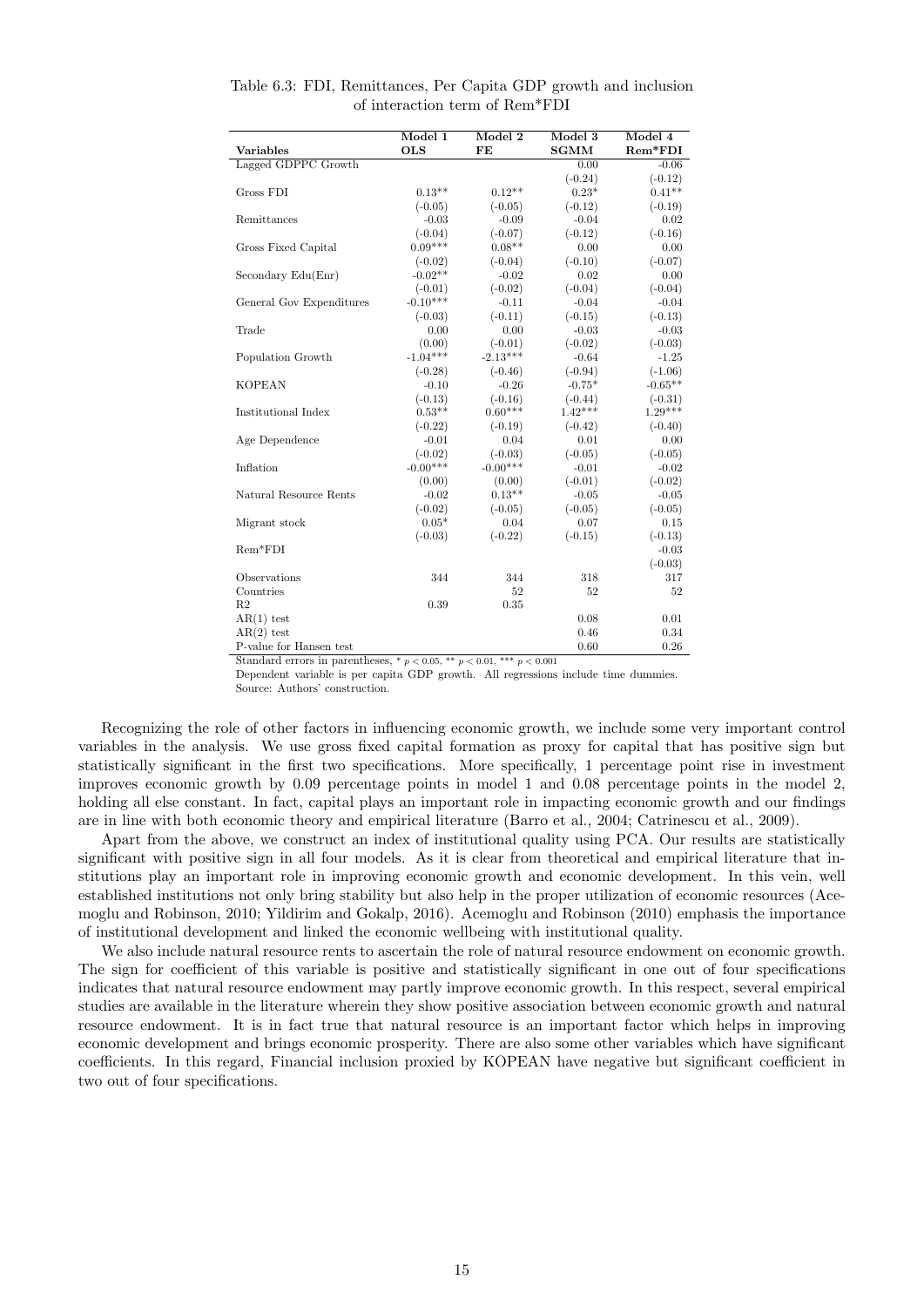|                          | Model 1    | Model 2    | Model 3     | Model 4   |
|--------------------------|------------|------------|-------------|-----------|
| <b>Variables</b>         | <b>OLS</b> | FE         | <b>SGMM</b> | Rem*FDI   |
| Lagged GDPPC Growth      |            |            | 0.00        | $-0.06$   |
|                          |            |            | $(-0.24)$   | $(-0.12)$ |
| Gross FDI                | $0.13**$   | $0.12**$   | $0.23*$     | $0.41**$  |
|                          | $(-0.05)$  | $(-0.05)$  | $(-0.12)$   | $(-0.19)$ |
| Remittances              | $-0.03$    | $-0.09$    | $-0.04$     | 0.02      |
|                          | $(-0.04)$  | $(-0.07)$  | $(-0.12)$   | $(-0.16)$ |
| Gross Fixed Capital      | $0.09***$  | $0.08**$   | 0.00        | 0.00      |
|                          | $(-0.02)$  | $(-0.04)$  | $(-0.10)$   | $(-0.07)$ |
| Secondary Edu(Enr)       | $-0.02**$  | $-0.02$    | 0.02        | 0.00      |
|                          | $(-0.01)$  | $(-0.02)$  | $(-0.04)$   | $(-0.04)$ |
| General Gov Expenditures | $-0.10***$ | $-0.11$    | $-0.04$     | $-0.04$   |
|                          | $(-0.03)$  | $(-0.11)$  | $(-0.15)$   | $(-0.13)$ |
| Trade                    | 0.00       | 0.00       | $-0.03$     | $-0.03$   |
|                          | (0.00)     | $(-0.01)$  | $(-0.02)$   | $(-0.03)$ |
| Population Growth        | $-1.04***$ | $-2.13***$ | $-0.64$     | $-1.25$   |
|                          | $(-0.28)$  | $(-0.46)$  | $(-0.94)$   | $(-1.06)$ |
| <b>KOPEAN</b>            | $-0.10$    | $-0.26$    | $-0.75*$    | $-0.65**$ |
|                          | $(-0.13)$  | $(-0.16)$  | $(-0.44)$   | $(-0.31)$ |
| Institutional Index      | $0.53**$   | $0.60***$  | $1.42***$   | $1.29***$ |
|                          | $(-0.22)$  | $(-0.19)$  | $(-0.42)$   | $(-0.40)$ |
| Age Dependence           | $-0.01$    | 0.04       | 0.01        | 0.00      |
|                          | $(-0.02)$  | $(-0.03)$  | $(-0.05)$   | $(-0.05)$ |
| Inflation                | $-0.00***$ | $-0.00***$ | $-0.01$     | $-0.02$   |
|                          | (0.00)     | (0.00)     | $(-0.01)$   | $(-0.02)$ |
| Natural Resource Rents   | $-0.02$    | $0.13**$   | $-0.05$     | $-0.05$   |
|                          | $(-0.02)$  | $(-0.05)$  | $(-0.05)$   | $(-0.05)$ |
| Migrant stock            | $0.05*$    | 0.04       | 0.07        | 0.15      |
|                          | $(-0.03)$  | $(-0.22)$  | $(-0.15)$   | $(-0.13)$ |
| $Rem*FDI$                |            |            |             | $-0.03$   |
|                          |            |            |             | $(-0.03)$ |
| Observations             | 344        | 344        | 318         | 317       |
| Countries                |            | 52         | 52          | 52        |
| R <sub>2</sub>           | 0.39       | 0.35       |             |           |
| $AR(1)$ test             |            |            | 0.08        | 0.01      |
| $AR(2)$ test             |            |            | 0.46        | 0.34      |
| P-value for Hansen test  |            |            | 0.60        | 0.26      |

Table 6.3: FDI, Remittances, Per Capita GDP growth and inclusion of interaction term of Rem\*FDI

Standard errors in parentheses,  $* p < 0.05$ ,  $** p < 0.01$ ,  $*** p < 0.001$ 

Dependent variable is per capita GDP growth. All regressions include time dummies. Source: Authors' construction.

Recognizing the role of other factors in influencing economic growth, we include some very important control variables in the analysis. We use gross fixed capital formation as proxy for capital that has positive sign but statistically significant in the first two specifications. More specifically, 1 percentage point rise in investment improves economic growth by 0.09 percentage points in model 1 and 0.08 percentage points in the model 2, holding all else constant. In fact, capital plays an important role in impacting economic growth and our findings are in line with both economic theory and empirical literature (Barro et al., 2004; Catrinescu et al., 2009).

Apart from the above, we construct an index of institutional quality using PCA. Our results are statistically significant with positive sign in all four models. As it is clear from theoretical and empirical literature that institutions play an important role in improving economic growth and economic development. In this vein, well established institutions not only bring stability but also help in the proper utilization of economic resources (Acemoglu and Robinson, 2010; Yildirim and Gokalp, 2016). Acemoglu and Robinson (2010) emphasis the importance of institutional development and linked the economic wellbeing with institutional quality.

We also include natural resource rents to ascertain the role of natural resource endowment on economic growth. The sign for coefficient of this variable is positive and statistically significant in one out of four specifications indicates that natural resource endowment may partly improve economic growth. In this respect, several empirical studies are available in the literature wherein they show positive association between economic growth and natural resource endowment. It is in fact true that natural resource is an important factor which helps in improving economic development and brings economic prosperity. There are also some other variables which have significant coefficients. In this regard, Financial inclusion proxied by KOPEAN have negative but significant coefficient in two out of four specifications.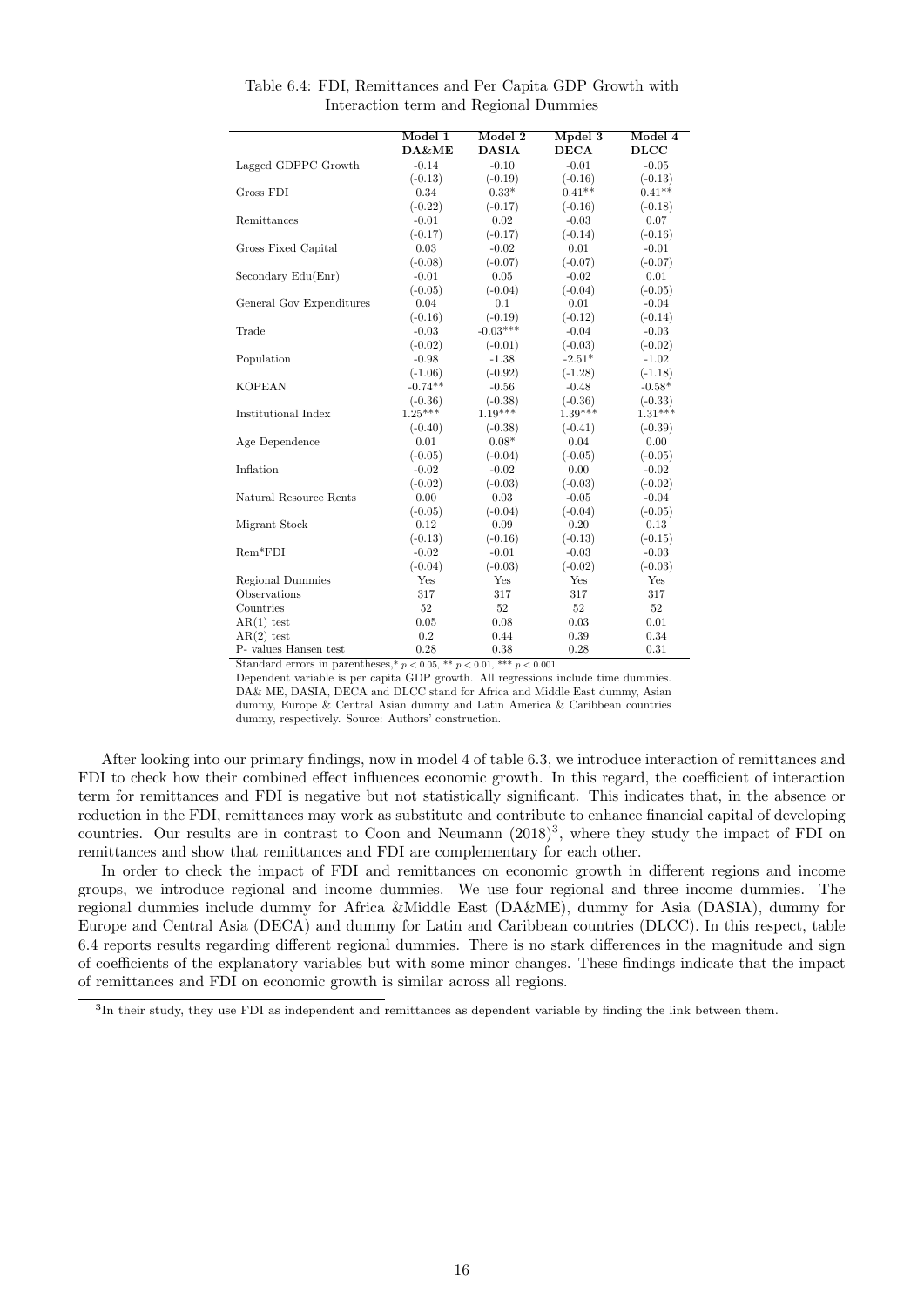|                          | Model 1   | Model 2      | Mpdel 3     | Model 4     |
|--------------------------|-----------|--------------|-------------|-------------|
|                          | DA&ME     | <b>DASIA</b> | <b>DECA</b> | <b>DLCC</b> |
| Lagged GDPPC Growth      | $-0.14$   | $-0.10$      | $-0.01$     | $-0.05$     |
|                          | $(-0.13)$ | $(-0.19)$    | $(-0.16)$   | $(-0.13)$   |
| Gross FDI                | 0.34      | $0.33*$      | $0.41**$    | $0.41**$    |
|                          | $(-0.22)$ | $(-0.17)$    | $(-0.16)$   | $(-0.18)$   |
| Remittances              | $-0.01$   | 0.02         | $-0.03$     | 0.07        |
|                          | $(-0.17)$ | $(-0.17)$    | $(-0.14)$   | $(-0.16)$   |
| Gross Fixed Capital      | 0.03      | $-0.02$      | 0.01        | $-0.01$     |
|                          | $(-0.08)$ | $(-0.07)$    | $(-0.07)$   | $(-0.07)$   |
| Secondary $Edu(Enr)$     | $-0.01$   | 0.05         | $-0.02$     | 0.01        |
|                          | $(-0.05)$ | $(-0.04)$    | $(-0.04)$   | $(-0.05)$   |
| General Gov Expenditures | 0.04      | 0.1          | 0.01        | $-0.04$     |
|                          | $(-0.16)$ | $(-0.19)$    | $(-0.12)$   | $(-0.14)$   |
| Trade                    | $-0.03$   | $-0.03***$   | $-0.04$     | $-0.03$     |
|                          | $(-0.02)$ | $(-0.01)$    | $(-0.03)$   | $(-0.02)$   |
| Population               | $-0.98$   | $-1.38$      | $-2.51*$    | $-1.02$     |
|                          | $(-1.06)$ | $(-0.92)$    | $(-1.28)$   | $(-1.18)$   |
| <b>KOPEAN</b>            | $-0.74**$ | $-0.56$      | $-0.48$     | $-0.58*$    |
|                          | $(-0.36)$ | $(-0.38)$    | $(-0.36)$   | $(-0.33)$   |
| Institutional Index      | $1.25***$ | $1.19***$    | $1.39***$   | $1.31***$   |
|                          | $(-0.40)$ | $(-0.38)$    | $(-0.41)$   | $(-0.39)$   |
| Age Dependence           | 0.01      | $0.08*$      | 0.04        | 0.00        |
|                          | $(-0.05)$ | $(-0.04)$    | $(-0.05)$   | $(-0.05)$   |
| Inflation                | $-0.02$   | $-0.02$      | 0.00        | $-0.02$     |
|                          | $(-0.02)$ | $(-0.03)$    | $(-0.03)$   | $(-0.02)$   |
| Natural Resource Rents   | 0.00      | 0.03         | $-0.05$     | $-0.04$     |
|                          | $(-0.05)$ | $(-0.04)$    | $(-0.04)$   | $(-0.05)$   |
| Migrant Stock            | 0.12      | 0.09         | 0.20        | 0.13        |
|                          | $(-0.13)$ | $(-0.16)$    | $(-0.13)$   | $(-0.15)$   |
| $Rem*FDI$                | $-0.02$   | $-0.01$      | $-0.03$     | $-0.03$     |
|                          | $(-0.04)$ | $(-0.03)$    | $(-0.02)$   | $(-0.03)$   |
| Regional Dummies         | Yes       | Yes          | Yes         | Yes         |
| Observations             | 317       | 317          | 317         | 317         |
| Countries                | 52        | 52           | 52          | 52          |
| $AR(1)$ test             | 0.05      | 0.08         | 0.03        | 0.01        |
| $AR(2)$ test             | 0.2       | 0.44         | 0.39        | 0.34        |
| P- values Hansen test    | 0.28      | 0.38         | 0.28        | 0.31        |

Table 6.4: FDI, Remittances and Per Capita GDP Growth with Interaction term and Regional Dummies

Standard errors in parentheses,<br>\*  $p < 0.05,$  \*\*  $p < 0.01,$  \*\*\*<br>  $p < 0.001$ 

Dependent variable is per capita GDP growth. All regressions include time dummies. DA& ME, DASIA, DECA and DLCC stand for Africa and Middle East dummy, Asian dummy, Europe & Central Asian dummy and Latin America & Caribbean countries dummy, respectively. Source: Authors' construction.

After looking into our primary findings, now in model 4 of table 6.3, we introduce interaction of remittances and FDI to check how their combined effect influences economic growth. In this regard, the coefficient of interaction term for remittances and FDI is negative but not statistically significant. This indicates that, in the absence or reduction in the FDI, remittances may work as substitute and contribute to enhance financial capital of developing countries. Our results are in contrast to Coon and Neumann  $(2018)^3$ , where they study the impact of FDI on remittances and show that remittances and FDI are complementary for each other.

In order to check the impact of FDI and remittances on economic growth in different regions and income groups, we introduce regional and income dummies. We use four regional and three income dummies. The regional dummies include dummy for Africa &Middle East (DA&ME), dummy for Asia (DASIA), dummy for Europe and Central Asia (DECA) and dummy for Latin and Caribbean countries (DLCC). In this respect, table 6.4 reports results regarding different regional dummies. There is no stark differences in the magnitude and sign of coefficients of the explanatory variables but with some minor changes. These findings indicate that the impact of remittances and FDI on economic growth is similar across all regions.

<sup>3</sup>In their study, they use FDI as independent and remittances as dependent variable by finding the link between them.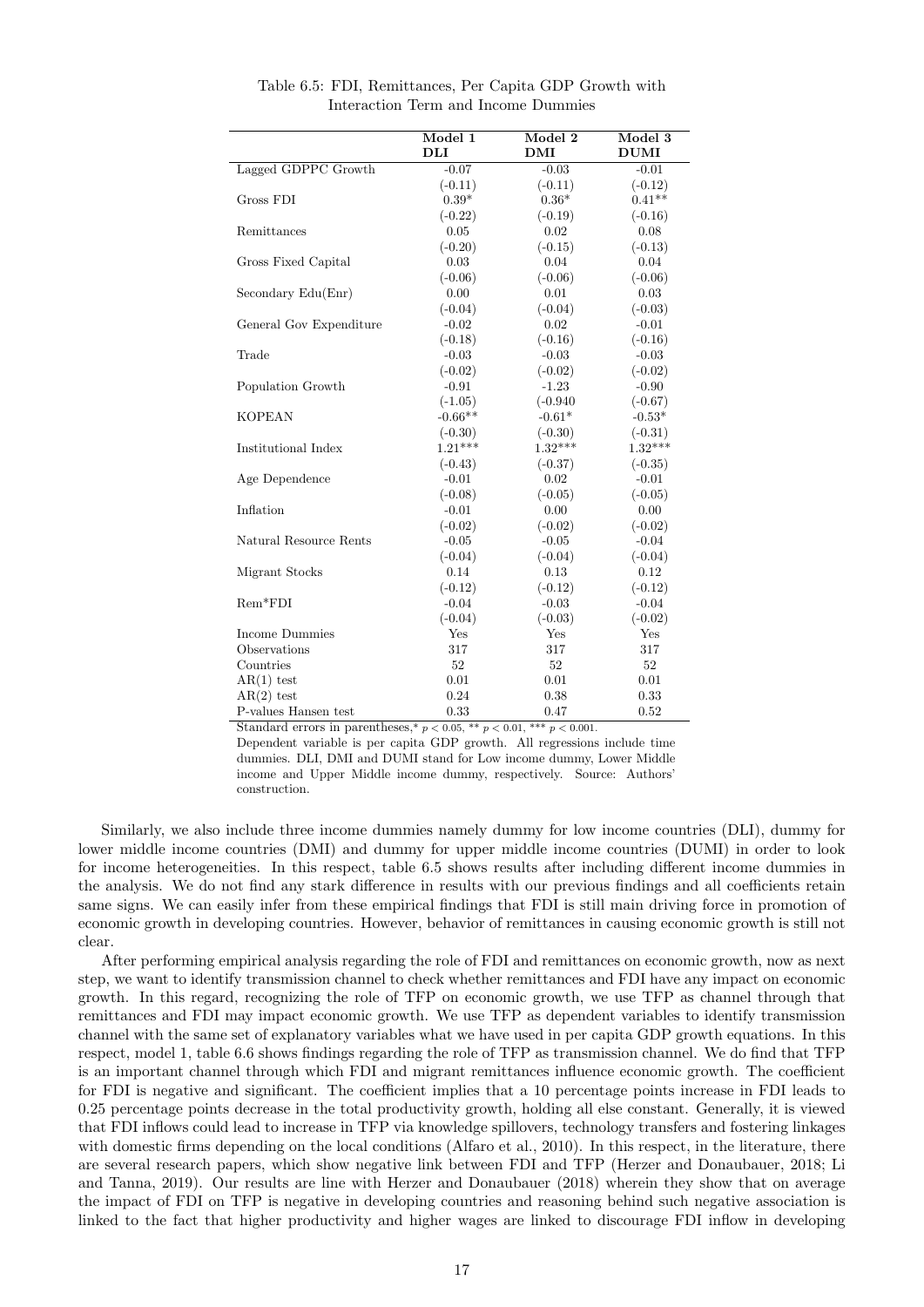|                         | Model 1        | Model 2    | Model 3     |
|-------------------------|----------------|------------|-------------|
|                         | $\mathbf{DLI}$ | <b>DMI</b> | <b>DUMI</b> |
| Lagged GDPPC Growth     | $-0.07$        | $-0.03$    | $-0.01$     |
|                         | $(-0.11)$      | $(-0.11)$  | $(-0.12)$   |
| Gross FDI               | $0.39*$        | $0.36*$    | $0.41**$    |
|                         | $(-0.22)$      | $(-0.19)$  | $(-0.16)$   |
| Remittances             | 0.05           | 0.02       | 0.08        |
|                         | $(-0.20)$      | $(-0.15)$  | $(-0.13)$   |
| Gross Fixed Capital     | 0.03           | 0.04       | $0.04\,$    |
|                         | $(-0.06)$      | $(-0.06)$  | $(-0.06)$   |
| Secondary Edu(Enr)      | 0.00           | 0.01       | 0.03        |
|                         | $(-0.04)$      | $(-0.04)$  | $(-0.03)$   |
| General Gov Expenditure | $-0.02$        | 0.02       | $-0.01$     |
|                         | $(-0.18)$      | $(-0.16)$  | $(-0.16)$   |
| Trade                   | $-0.03$        | $-0.03$    | $-0.03$     |
|                         | $(-0.02)$      | $(-0.02)$  | $(-0.02)$   |
| Population Growth       | $-0.91$        | $-1.23$    | $-0.90$     |
|                         | $(-1.05)$      | $(-0.940)$ | $(-0.67)$   |
| <b>KOPEAN</b>           | $-0.66**$      | $-0.61*$   | $-0.53*$    |
|                         | $(-0.30)$      | $(-0.30)$  | $(-0.31)$   |
| Institutional Index     | $1.21***$      | $1.32***$  | $1.32***$   |
|                         | $(-0.43)$      | $(-0.37)$  | $(-0.35)$   |
| Age Dependence          | $-0.01$        | 0.02       | $-0.01$     |
|                         | $(-0.08)$      | $(-0.05)$  | $(-0.05)$   |
| Inflation               | $-0.01$        | 0.00       | 0.00        |
|                         | $(-0.02)$      | $(-0.02)$  | $(-0.02)$   |
| Natural Resource Rents  | $-0.05$        | $-0.05$    | $-0.04$     |
|                         | $(-0.04)$      | $(-0.04)$  | $(-0.04)$   |
| Migrant Stocks          | 0.14           | 0.13       | 0.12        |
|                         | $(-0.12)$      | $(-0.12)$  | $(-0.12)$   |
| $Rem*FDI$               | $-0.04$        | $-0.03$    | $-0.04$     |
|                         | $(-0.04)$      | $(-0.03)$  | $(-0.02)$   |
| Income Dummies          | Yes            | Yes        | Yes         |
| Observations            | 317            | 317        | 317         |
| Countries               | 52             | 52         | 52          |
| $AR(1)$ test            | 0.01           | 0.01       | 0.01        |
| $AR(2)$ test            | 0.24           | 0.38       | 0.33        |
| P-values Hansen test    | 0.33           | 0.47       | 0.52        |

Table 6.5: FDI, Remittances, Per Capita GDP Growth with Interaction Term and Income Dummies

Standard errors in parentheses,\*  $p < 0.05$ , \*\*  $p < 0.01$ , \*\*\*  $p < 0.001$ .

Dependent variable is per capita GDP growth. All regressions include time dummies. DLI, DMI and DUMI stand for Low income dummy, Lower Middle income and Upper Middle income dummy, respectively. Source: Authors' construction.

Similarly, we also include three income dummies namely dummy for low income countries (DLI), dummy for lower middle income countries (DMI) and dummy for upper middle income countries (DUMI) in order to look for income heterogeneities. In this respect, table 6.5 shows results after including different income dummies in the analysis. We do not find any stark difference in results with our previous findings and all coefficients retain same signs. We can easily infer from these empirical findings that FDI is still main driving force in promotion of economic growth in developing countries. However, behavior of remittances in causing economic growth is still not clear.

After performing empirical analysis regarding the role of FDI and remittances on economic growth, now as next step, we want to identify transmission channel to check whether remittances and FDI have any impact on economic growth. In this regard, recognizing the role of TFP on economic growth, we use TFP as channel through that remittances and FDI may impact economic growth. We use TFP as dependent variables to identify transmission channel with the same set of explanatory variables what we have used in per capita GDP growth equations. In this respect, model 1, table 6.6 shows findings regarding the role of TFP as transmission channel. We do find that TFP is an important channel through which FDI and migrant remittances influence economic growth. The coefficient for FDI is negative and significant. The coefficient implies that a 10 percentage points increase in FDI leads to 0.25 percentage points decrease in the total productivity growth, holding all else constant. Generally, it is viewed that FDI inflows could lead to increase in TFP via knowledge spillovers, technology transfers and fostering linkages with domestic firms depending on the local conditions (Alfaro et al., 2010). In this respect, in the literature, there are several research papers, which show negative link between FDI and TFP (Herzer and Donaubauer, 2018; Li and Tanna, 2019). Our results are line with Herzer and Donaubauer (2018) wherein they show that on average the impact of FDI on TFP is negative in developing countries and reasoning behind such negative association is linked to the fact that higher productivity and higher wages are linked to discourage FDI inflow in developing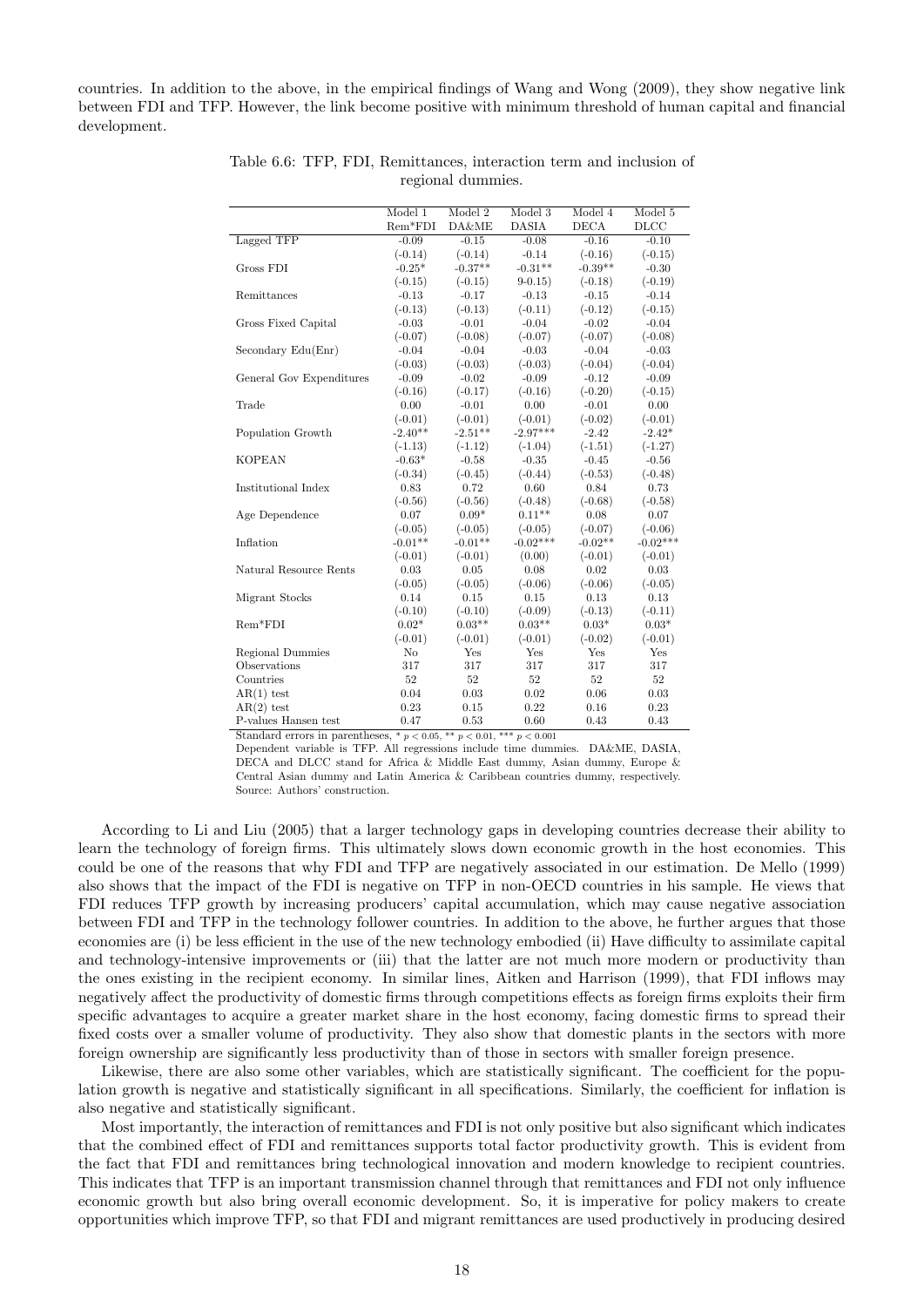countries. In addition to the above, in the empirical findings of Wang and Wong (2009), they show negative link between FDI and TFP. However, the link become positive with minimum threshold of human capital and financial development.

|                          | Model 1   | Model 2   | Model 3      | Model 4     | Model 5     |
|--------------------------|-----------|-----------|--------------|-------------|-------------|
|                          | $Rem*FDI$ | DA&ME     | <b>DASIA</b> | <b>DECA</b> | <b>DLCC</b> |
| Lagged TFP               | $-0.09$   | $-0.15$   | $-0.08$      | $-0.16$     | $-0.10$     |
|                          | $(-0.14)$ | $(-0.14)$ | $-0.14$      | $(-0.16)$   | $(-0.15)$   |
| Gross FDI                | $-0.25*$  | $-0.37**$ | $-0.31**$    | $-0.39**$   | $-0.30$     |
|                          | $(-0.15)$ | $(-0.15)$ | $9-0.15$     | $(-0.18)$   | $(-0.19)$   |
| Remittances              | $-0.13$   | $-0.17$   | $-0.13$      | $-0.15$     | $-0.14$     |
|                          | $(-0.13)$ | $(-0.13)$ | $(-0.11)$    | $(-0.12)$   | $(-0.15)$   |
| Gross Fixed Capital      | $-0.03$   | $-0.01$   | $-0.04$      | $-0.02$     | $-0.04$     |
|                          | $(-0.07)$ | $(-0.08)$ | $(-0.07)$    | $(-0.07)$   | $(-0.08)$   |
| Secondary Edu(Enr)       | $-0.04$   | $-0.04$   | $-0.03$      | $-0.04$     | $-0.03$     |
|                          | $(-0.03)$ | $(-0.03)$ | $(-0.03)$    | $(-0.04)$   | $(-0.04)$   |
| General Gov Expenditures | $-0.09$   | $-0.02$   | $-0.09$      | $-0.12$     | $-0.09$     |
|                          | $(-0.16)$ | $(-0.17)$ | $(-0.16)$    | $(-0.20)$   | $(-0.15)$   |
| Trade                    | 0.00      | $-0.01$   | 0.00         | $-0.01$     | 0.00        |
|                          | $(-0.01)$ | $(-0.01)$ | $(-0.01)$    | $(-0.02)$   | $(-0.01)$   |
| Population Growth        | $-2.40**$ | $-2.51**$ | $-2.97***$   | $-2.42$     | $-2.42*$    |
|                          | $(-1.13)$ | $(-1.12)$ | $(-1.04)$    | $(-1.51)$   | $(-1.27)$   |
| <b>KOPEAN</b>            | $-0.63*$  | $-0.58$   | $-0.35$      | $-0.45$     | $-0.56$     |
|                          | $(-0.34)$ | $(-0.45)$ | $(-0.44)$    | $(-0.53)$   | $(-0.48)$   |
| Institutional Index      | 0.83      | 0.72      | 0.60         | 0.84        | 0.73        |
|                          | $(-0.56)$ | $(-0.56)$ | $(-0.48)$    | $(-0.68)$   | $(-0.58)$   |
| Age Dependence           | 0.07      | $0.09*$   | $0.11**$     | 0.08        | 0.07        |
|                          | $(-0.05)$ | $(-0.05)$ | $(-0.05)$    | $(-0.07)$   | $(-0.06)$   |
| Inflation                | $-0.01**$ | $-0.01**$ | $-0.02***$   | $-0.02**$   | $-0.02***$  |
|                          | $(-0.01)$ | $(-0.01)$ | (0.00)       | $(-0.01)$   | $(-0.01)$   |
| Natural Resource Rents   | 0.03      | 0.05      | 0.08         | 0.02        | 0.03        |
|                          | $(-0.05)$ | $(-0.05)$ | $(-0.06)$    | $(-0.06)$   | $(-0.05)$   |
| Migrant Stocks           | 0.14      | 0.15      | 0.15         | 0.13        | 0.13        |
|                          | $(-0.10)$ | $(-0.10)$ | $(-0.09)$    | $(-0.13)$   | $(-0.11)$   |
| $Rem*FDI$                | $0.02*$   | $0.03**$  | $0.03**$     | $0.03*$     | $0.03*$     |
|                          | $(-0.01)$ | $(-0.01)$ | $(-0.01)$    | $(-0.02)$   | $(-0.01)$   |
| Regional Dummies         | No        | Yes       | Yes          | Yes         | Yes         |
| Observations             | 317       | 317       | 317          | 317         | 317         |
| Countries                | 52        | 52        | 52           | 52          | 52          |
| $AR(1)$ test             | 0.04      | 0.03      | 0.02         | 0.06        | 0.03        |
| $AR(2)$ test             | 0.23      | 0.15      | 0.22         | 0.16        | 0.23        |
| P-values Hansen test     | 0.47      | 0.53      | 0.60         | 0.43        | 0.43        |

Table 6.6: TFP, FDI, Remittances, interaction term and inclusion of regional dummies.

Standard errors in parentheses,  $* p < 0.05, ** p < 0.01, ** p < 0.001$ 

Dependent variable is TFP. All regressions include time dummies. DA&ME, DASIA, DECA and DLCC stand for Africa & Middle East dummy, Asian dummy, Europe & Central Asian dummy and Latin America & Caribbean countries dummy, respectively. Source: Authors' construction.

According to Li and Liu (2005) that a larger technology gaps in developing countries decrease their ability to learn the technology of foreign firms. This ultimately slows down economic growth in the host economies. This could be one of the reasons that why FDI and TFP are negatively associated in our estimation. De Mello (1999) also shows that the impact of the FDI is negative on TFP in non-OECD countries in his sample. He views that FDI reduces TFP growth by increasing producers' capital accumulation, which may cause negative association between FDI and TFP in the technology follower countries. In addition to the above, he further argues that those economies are (i) be less efficient in the use of the new technology embodied (ii) Have difficulty to assimilate capital and technology-intensive improvements or (iii) that the latter are not much more modern or productivity than the ones existing in the recipient economy. In similar lines, Aitken and Harrison (1999), that FDI inflows may negatively affect the productivity of domestic firms through competitions effects as foreign firms exploits their firm specific advantages to acquire a greater market share in the host economy, facing domestic firms to spread their fixed costs over a smaller volume of productivity. They also show that domestic plants in the sectors with more foreign ownership are significantly less productivity than of those in sectors with smaller foreign presence.

Likewise, there are also some other variables, which are statistically significant. The coefficient for the population growth is negative and statistically significant in all specifications. Similarly, the coefficient for inflation is also negative and statistically significant.

Most importantly, the interaction of remittances and FDI is not only positive but also significant which indicates that the combined effect of FDI and remittances supports total factor productivity growth. This is evident from the fact that FDI and remittances bring technological innovation and modern knowledge to recipient countries. This indicates that TFP is an important transmission channel through that remittances and FDI not only influence economic growth but also bring overall economic development. So, it is imperative for policy makers to create opportunities which improve TFP, so that FDI and migrant remittances are used productively in producing desired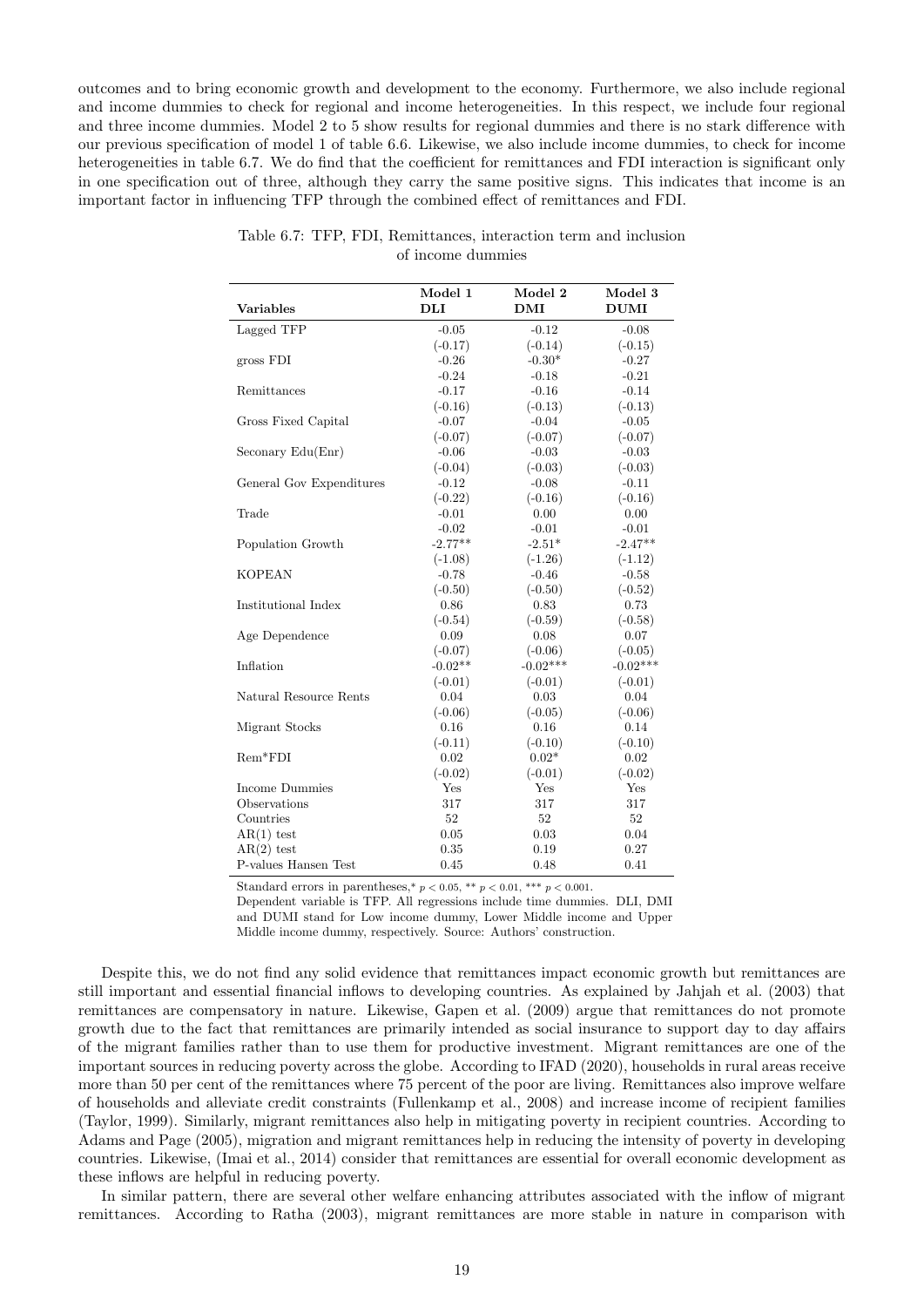outcomes and to bring economic growth and development to the economy. Furthermore, we also include regional and income dummies to check for regional and income heterogeneities. In this respect, we include four regional and three income dummies. Model 2 to 5 show results for regional dummies and there is no stark difference with our previous specification of model 1 of table 6.6. Likewise, we also include income dummies, to check for income heterogeneities in table 6.7. We do find that the coefficient for remittances and FDI interaction is significant only in one specification out of three, although they carry the same positive signs. This indicates that income is an important factor in influencing TFP through the combined effect of remittances and FDI.

|                          | Model 1   | Model 2    | Model 3     |
|--------------------------|-----------|------------|-------------|
| <b>Variables</b>         | DLI       | DMI        | <b>DUMI</b> |
| Lagged TFP               | $-0.05$   | $-0.12$    | $-0.08$     |
|                          | $(-0.17)$ | $(-0.14)$  | $(-0.15)$   |
| gross FDI                | $-0.26$   | $-0.30*$   | $-0.27$     |
|                          | $-0.24$   | $-0.18$    | $-0.21$     |
| Remittances              | $-0.17$   | $-0.16$    | $-0.14$     |
|                          | $(-0.16)$ | $(-0.13)$  | $(-0.13)$   |
| Gross Fixed Capital      | $-0.07$   | $-0.04$    | $-0.05$     |
|                          | $(-0.07)$ | $(-0.07)$  | $(-0.07)$   |
| Seconary Edu(Enr)        | $-0.06$   | $-0.03$    | $-0.03$     |
|                          | $(-0.04)$ | $(-0.03)$  | $(-0.03)$   |
| General Gov Expenditures | $-0.12$   | $-0.08$    | $-0.11$     |
|                          | $(-0.22)$ | $(-0.16)$  | $(-0.16)$   |
| Trade                    | $-0.01$   | 0.00       | 0.00        |
|                          | $-0.02$   | $-0.01$    | $-0.01$     |
| Population Growth        | $-2.77**$ | $-2.51*$   | $-2.47**$   |
|                          | $(-1.08)$ | $(-1.26)$  | $(-1.12)$   |
| <b>KOPEAN</b>            | $-0.78$   | $-0.46$    | $-0.58$     |
|                          | $(-0.50)$ | $(-0.50)$  | $(-0.52)$   |
| Institutional Index      | 0.86      | 0.83       | 0.73        |
|                          | $(-0.54)$ | $(-0.59)$  | $(-0.58)$   |
| Age Dependence           | 0.09      | 0.08       | 0.07        |
|                          | $(-0.07)$ | $(-0.06)$  | $(-0.05)$   |
| Inflation                | $-0.02**$ | $-0.02***$ | $-0.02***$  |
|                          | $(-0.01)$ | $(-0.01)$  | $(-0.01)$   |
| Natural Resource Rents   | 0.04      | 0.03       | 0.04        |
|                          | $(-0.06)$ | $(-0.05)$  | $(-0.06)$   |
| Migrant Stocks           | 0.16      | 0.16       | 0.14        |
|                          | $(-0.11)$ | $(-0.10)$  | $(-0.10)$   |
| $Rem*FDI$                | 0.02      | $0.02*$    | 0.02        |
|                          | $(-0.02)$ | $(-0.01)$  | $(-0.02)$   |
| Income Dummies           | Yes       | Yes        | Yes         |
| Observations             | 317       | 317        | 317         |
| Countries                | 52        | 52         | 52          |
| $AR(1)$ test             | 0.05      | 0.03       | 0.04        |
| $AR(2)$ test             | 0.35      | 0.19       | 0.27        |
| P-values Hansen Test     | 0.45      | 0.48       | 0.41        |

| Table 6.7: TFP, FDI, Remittances, interaction term and inclusion |                   |  |  |
|------------------------------------------------------------------|-------------------|--|--|
|                                                                  | of income dummies |  |  |

Standard errors in parentheses,\*  $p < 0.05$ ,\*\*  $p < 0.01$ ,\*\*\*  $p < 0.001$ .

Dependent variable is TFP. All regressions include time dummies. DLI, DMI and DUMI stand for Low income dummy, Lower Middle income and Upper Middle income dummy, respectively. Source: Authors' construction.

Despite this, we do not find any solid evidence that remittances impact economic growth but remittances are still important and essential financial inflows to developing countries. As explained by Jahjah et al. (2003) that remittances are compensatory in nature. Likewise, Gapen et al. (2009) argue that remittances do not promote growth due to the fact that remittances are primarily intended as social insurance to support day to day affairs of the migrant families rather than to use them for productive investment. Migrant remittances are one of the important sources in reducing poverty across the globe. According to IFAD (2020), households in rural areas receive more than 50 per cent of the remittances where 75 percent of the poor are living. Remittances also improve welfare of households and alleviate credit constraints (Fullenkamp et al., 2008) and increase income of recipient families (Taylor, 1999). Similarly, migrant remittances also help in mitigating poverty in recipient countries. According to Adams and Page (2005), migration and migrant remittances help in reducing the intensity of poverty in developing countries. Likewise, (Imai et al., 2014) consider that remittances are essential for overall economic development as these inflows are helpful in reducing poverty.

In similar pattern, there are several other welfare enhancing attributes associated with the inflow of migrant remittances. According to Ratha (2003), migrant remittances are more stable in nature in comparison with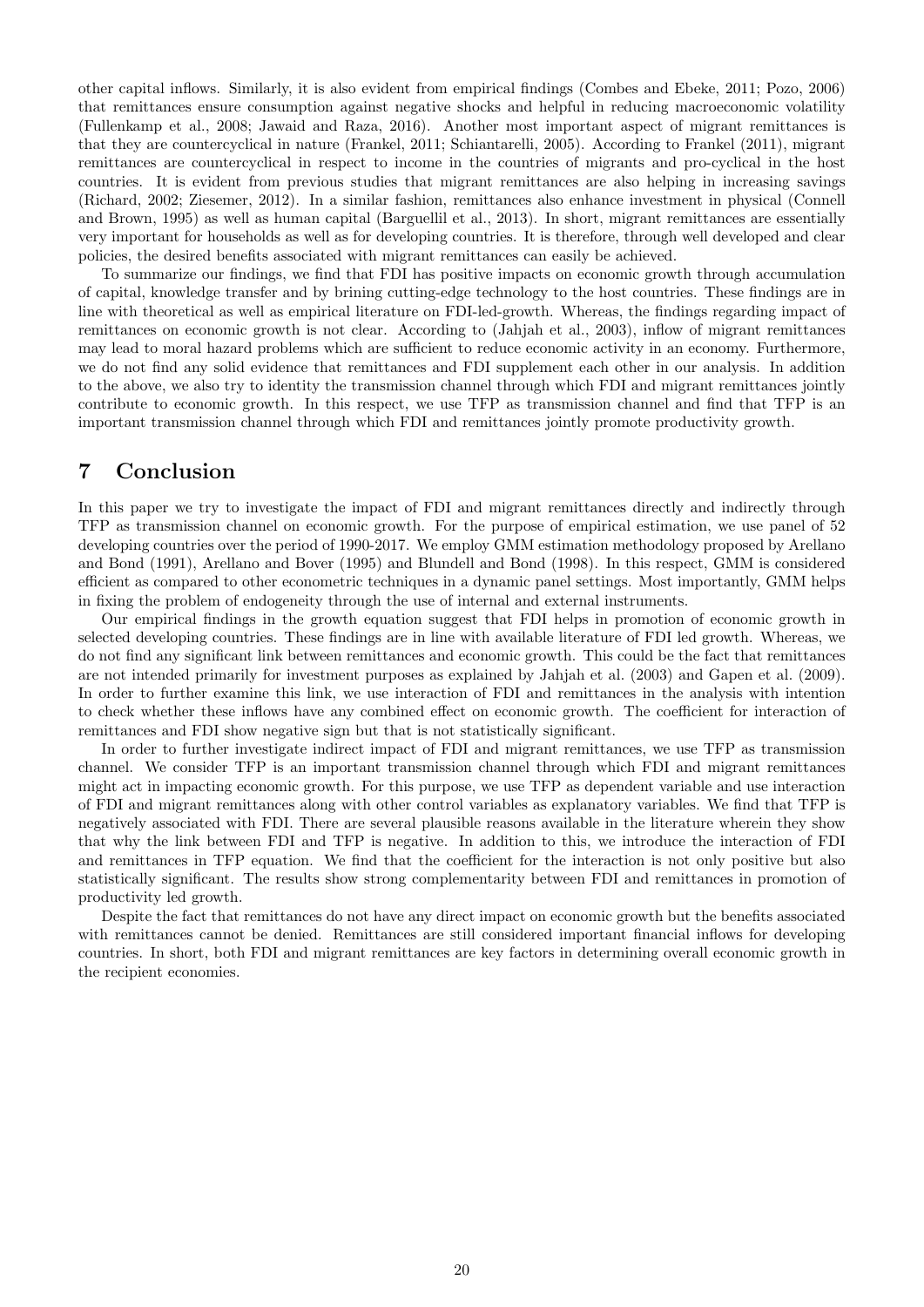other capital inflows. Similarly, it is also evident from empirical findings (Combes and Ebeke, 2011; Pozo, 2006) that remittances ensure consumption against negative shocks and helpful in reducing macroeconomic volatility (Fullenkamp et al., 2008; Jawaid and Raza, 2016). Another most important aspect of migrant remittances is that they are countercyclical in nature (Frankel, 2011; Schiantarelli, 2005). According to Frankel (2011), migrant remittances are countercyclical in respect to income in the countries of migrants and pro-cyclical in the host countries. It is evident from previous studies that migrant remittances are also helping in increasing savings (Richard, 2002; Ziesemer, 2012). In a similar fashion, remittances also enhance investment in physical (Connell and Brown, 1995) as well as human capital (Barguellil et al., 2013). In short, migrant remittances are essentially very important for households as well as for developing countries. It is therefore, through well developed and clear policies, the desired benefits associated with migrant remittances can easily be achieved.

To summarize our findings, we find that FDI has positive impacts on economic growth through accumulation of capital, knowledge transfer and by brining cutting-edge technology to the host countries. These findings are in line with theoretical as well as empirical literature on FDI-led-growth. Whereas, the findings regarding impact of remittances on economic growth is not clear. According to (Jahjah et al., 2003), inflow of migrant remittances may lead to moral hazard problems which are sufficient to reduce economic activity in an economy. Furthermore, we do not find any solid evidence that remittances and FDI supplement each other in our analysis. In addition to the above, we also try to identity the transmission channel through which FDI and migrant remittances jointly contribute to economic growth. In this respect, we use TFP as transmission channel and find that TFP is an important transmission channel through which FDI and remittances jointly promote productivity growth.

# 7 Conclusion

In this paper we try to investigate the impact of FDI and migrant remittances directly and indirectly through TFP as transmission channel on economic growth. For the purpose of empirical estimation, we use panel of 52 developing countries over the period of 1990-2017. We employ GMM estimation methodology proposed by Arellano and Bond (1991), Arellano and Bover (1995) and Blundell and Bond (1998). In this respect, GMM is considered efficient as compared to other econometric techniques in a dynamic panel settings. Most importantly, GMM helps in fixing the problem of endogeneity through the use of internal and external instruments.

Our empirical findings in the growth equation suggest that FDI helps in promotion of economic growth in selected developing countries. These findings are in line with available literature of FDI led growth. Whereas, we do not find any significant link between remittances and economic growth. This could be the fact that remittances are not intended primarily for investment purposes as explained by Jahjah et al. (2003) and Gapen et al. (2009). In order to further examine this link, we use interaction of FDI and remittances in the analysis with intention to check whether these inflows have any combined effect on economic growth. The coefficient for interaction of remittances and FDI show negative sign but that is not statistically significant.

In order to further investigate indirect impact of FDI and migrant remittances, we use TFP as transmission channel. We consider TFP is an important transmission channel through which FDI and migrant remittances might act in impacting economic growth. For this purpose, we use TFP as dependent variable and use interaction of FDI and migrant remittances along with other control variables as explanatory variables. We find that TFP is negatively associated with FDI. There are several plausible reasons available in the literature wherein they show that why the link between FDI and TFP is negative. In addition to this, we introduce the interaction of FDI and remittances in TFP equation. We find that the coefficient for the interaction is not only positive but also statistically significant. The results show strong complementarity between FDI and remittances in promotion of productivity led growth.

Despite the fact that remittances do not have any direct impact on economic growth but the benefits associated with remittances cannot be denied. Remittances are still considered important financial inflows for developing countries. In short, both FDI and migrant remittances are key factors in determining overall economic growth in the recipient economies.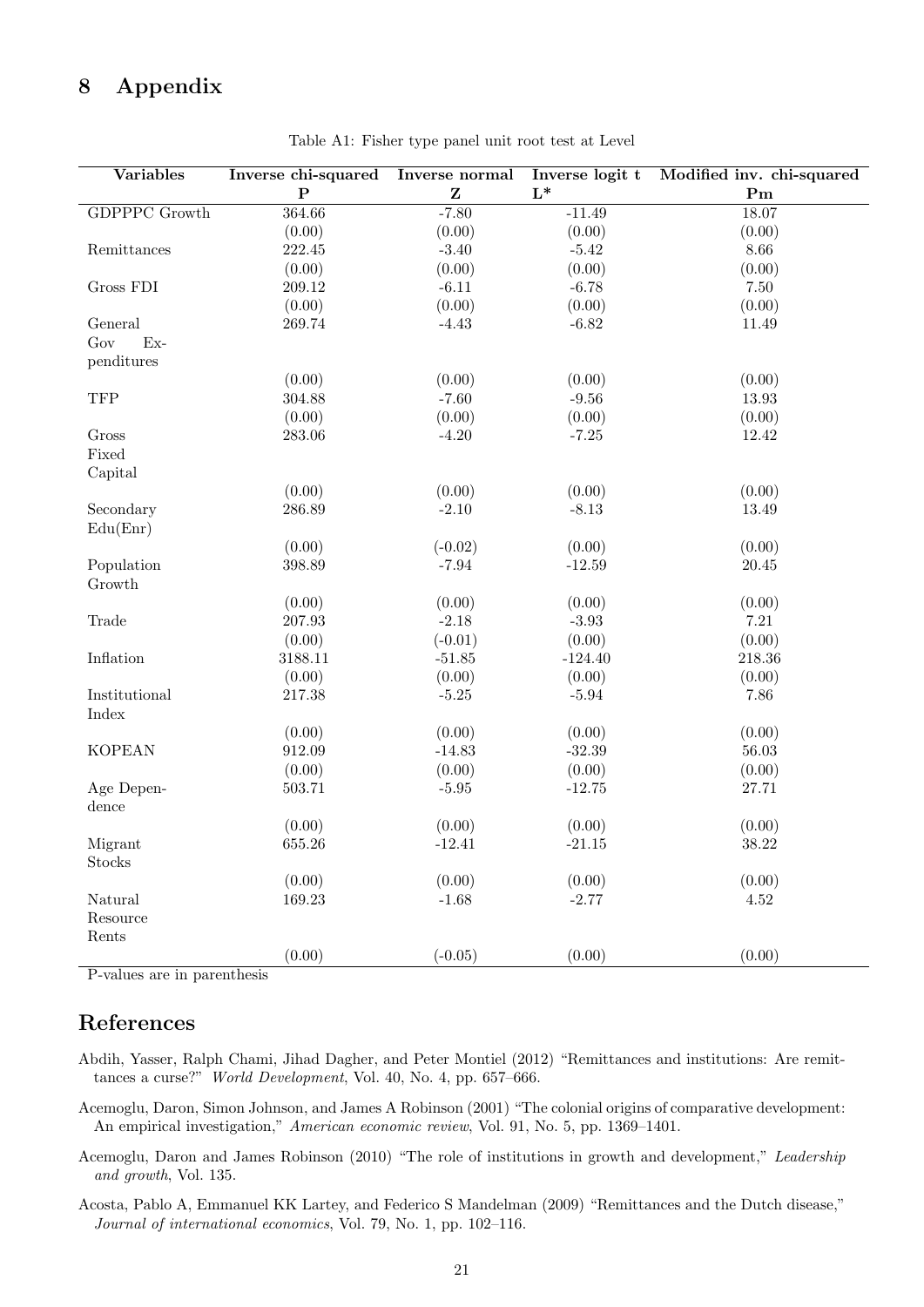# 8 Appendix

| <b>Variables</b>            | Inverse chi-squared      | Inverse normal                                                   | Inverse logit t<br>$L^*$ | Modified inv. chi-squared |
|-----------------------------|--------------------------|------------------------------------------------------------------|--------------------------|---------------------------|
| <b>GDPPPC</b> Growth        | ${\bf P}$<br>364.66      | $\mathbf{Z}% ^{T}=\mathbf{Z}^{T}\times\mathbf{Z}^{T}$<br>$-7.80$ |                          | ${\bf Pm}$                |
|                             | (0.00)                   | (0.00)                                                           | $-11.49$<br>(0.00)       | 18.07<br>(0.00)           |
| Remittances                 | 222.45                   | $-3.40$                                                          | $-5.42$                  | 8.66                      |
|                             | (0.00)                   |                                                                  |                          |                           |
|                             |                          | (0.00)                                                           | (0.00)                   | (0.00)                    |
| Gross FDI                   | $\hphantom{0,\!0}209.12$ | $-6.11$                                                          | $-6.78$                  | $7.50\,$                  |
|                             | (0.00)                   | (0.00)                                                           | (0.00)                   | (0.00)                    |
| General                     | 269.74                   | $-4.43$                                                          | $-6.82$                  | 11.49                     |
| $Ex-$<br>Gov                |                          |                                                                  |                          |                           |
| penditures                  |                          |                                                                  |                          |                           |
|                             | (0.00)                   | (0.00)                                                           | (0.00)                   | (0.00)                    |
| <b>TFP</b>                  | 304.88                   | $-7.60$                                                          | $-9.56$                  | 13.93                     |
|                             | (0.00)                   | (0.00)                                                           | (0.00)                   | (0.00)                    |
| Gross                       | 283.06                   | $-4.20$                                                          | $-7.25$                  | 12.42                     |
| Fixed                       |                          |                                                                  |                          |                           |
| Capital                     |                          |                                                                  |                          |                           |
|                             | (0.00)                   | (0.00)                                                           | (0.00)                   | (0.00)                    |
| Secondary                   | 286.89                   | $-2.10$                                                          | $-8.13$                  | 13.49                     |
| Edu(Enr)                    |                          |                                                                  |                          |                           |
|                             | (0.00)                   | $(-0.02)$                                                        | (0.00)                   | (0.00)                    |
| Population                  | 398.89                   | $-7.94$                                                          | $-12.59$                 | 20.45                     |
| Growth                      |                          |                                                                  |                          |                           |
|                             | (0.00)                   | (0.00)                                                           | (0.00)                   | (0.00)                    |
| Trade                       | 207.93                   | $-2.18$                                                          | $-3.93$                  | $7.21\,$                  |
|                             | (0.00)                   | $(-0.01)$                                                        | (0.00)                   | (0.00)                    |
| Inflation                   | 3188.11                  | $-51.85$                                                         | $-124.40$                | 218.36                    |
|                             | (0.00)                   | (0.00)                                                           | (0.00)                   | (0.00)                    |
| Institutional               | 217.38                   | $-5.25$                                                          | $-5.94$                  | 7.86                      |
| Index                       |                          |                                                                  |                          |                           |
|                             | (0.00)                   | (0.00)                                                           | (0.00)                   | (0.00)                    |
| <b>KOPEAN</b>               | 912.09                   | $-14.83$                                                         | $-32.39$                 | 56.03                     |
|                             | (0.00)                   | (0.00)                                                           | (0.00)                   | (0.00)                    |
| Age Depen-                  | 503.71                   | $-5.95$                                                          | $-12.75$                 | 27.71                     |
| dence                       |                          |                                                                  |                          |                           |
|                             | (0.00)                   | (0.00)                                                           | (0.00)                   | (0.00)                    |
| Migrant                     | 655.26                   | $-12.41$                                                         | $-21.15$                 | 38.22                     |
| Stocks                      |                          |                                                                  |                          |                           |
|                             | (0.00)                   | (0.00)                                                           | (0.00)                   | (0.00)                    |
| Natural                     | 169.23                   | $-1.68$                                                          | $-2.77$                  | $4.52\,$                  |
| Resource                    |                          |                                                                  |                          |                           |
| Rents                       |                          |                                                                  |                          |                           |
|                             | (0.00)                   | $(-0.05)$                                                        | (0.00)                   | (0.00)                    |
| D volues are in perenthesis |                          |                                                                  |                          |                           |

Table A1: Fisher type panel unit root test at Level

P-values are in parenthesis

# References

Abdih, Yasser, Ralph Chami, Jihad Dagher, and Peter Montiel (2012) "Remittances and institutions: Are remittances a curse?" World Development, Vol. 40, No. 4, pp. 657–666.

Acemoglu, Daron, Simon Johnson, and James A Robinson (2001) "The colonial origins of comparative development: An empirical investigation," American economic review, Vol. 91, No. 5, pp. 1369–1401.

- Acemoglu, Daron and James Robinson (2010) "The role of institutions in growth and development," Leadership and growth, Vol. 135.
- Acosta, Pablo A, Emmanuel KK Lartey, and Federico S Mandelman (2009) "Remittances and the Dutch disease," Journal of international economics, Vol. 79, No. 1, pp. 102–116.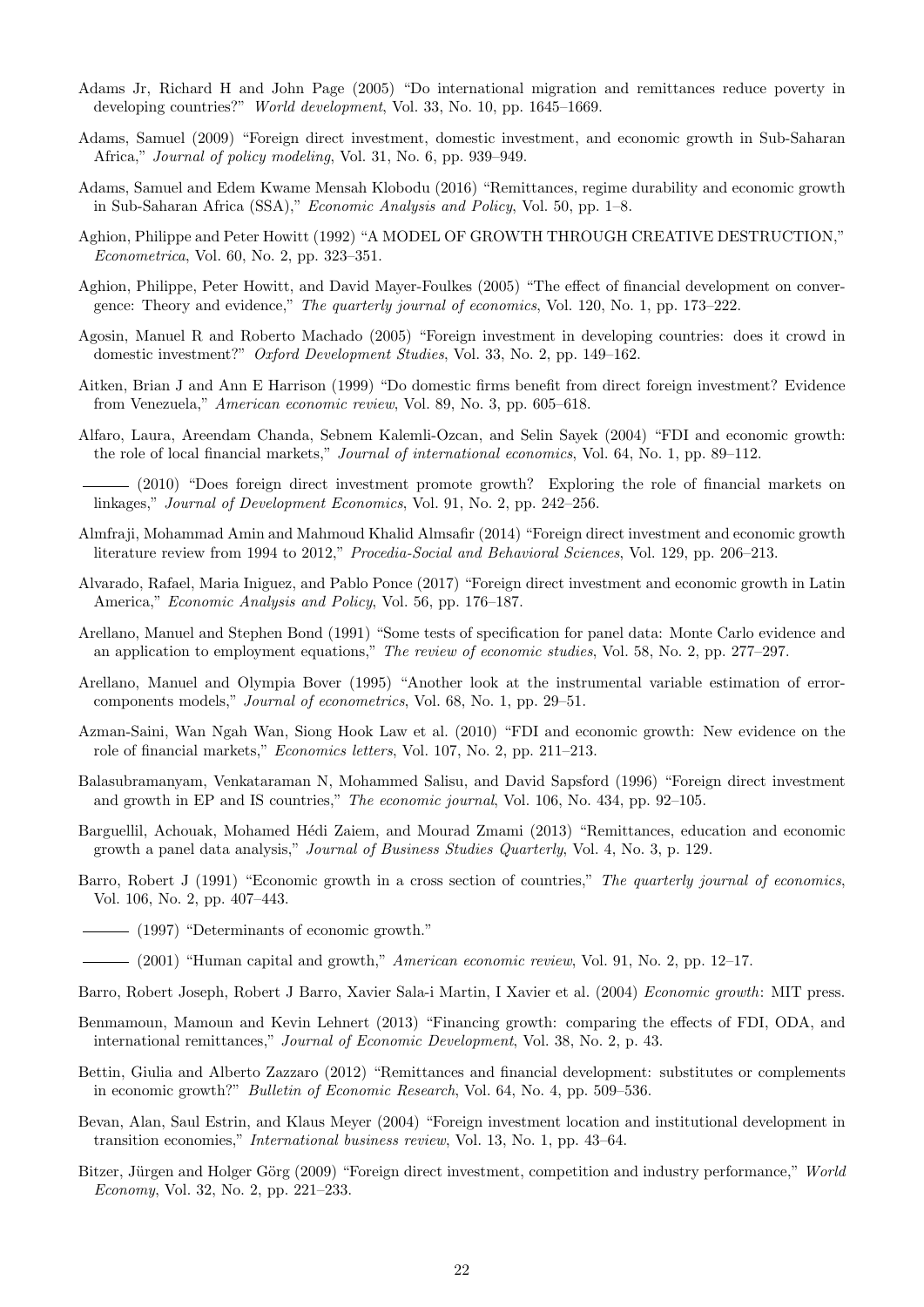- Adams Jr, Richard H and John Page (2005) "Do international migration and remittances reduce poverty in developing countries?" World development, Vol. 33, No. 10, pp. 1645–1669.
- Adams, Samuel (2009) "Foreign direct investment, domestic investment, and economic growth in Sub-Saharan Africa," Journal of policy modeling, Vol. 31, No. 6, pp. 939–949.
- Adams, Samuel and Edem Kwame Mensah Klobodu (2016) "Remittances, regime durability and economic growth in Sub-Saharan Africa (SSA)," Economic Analysis and Policy, Vol. 50, pp. 1–8.
- Aghion, Philippe and Peter Howitt (1992) "A MODEL OF GROWTH THROUGH CREATIVE DESTRUCTION," Econometrica, Vol. 60, No. 2, pp. 323–351.
- Aghion, Philippe, Peter Howitt, and David Mayer-Foulkes (2005) "The effect of financial development on convergence: Theory and evidence," The quarterly journal of economics, Vol. 120, No. 1, pp. 173–222.
- Agosin, Manuel R and Roberto Machado (2005) "Foreign investment in developing countries: does it crowd in domestic investment?" Oxford Development Studies, Vol. 33, No. 2, pp. 149–162.
- Aitken, Brian J and Ann E Harrison (1999) "Do domestic firms benefit from direct foreign investment? Evidence from Venezuela," American economic review, Vol. 89, No. 3, pp. 605–618.
- Alfaro, Laura, Areendam Chanda, Sebnem Kalemli-Ozcan, and Selin Sayek (2004) "FDI and economic growth: the role of local financial markets," Journal of international economics, Vol. 64, No. 1, pp. 89–112.
- (2010) "Does foreign direct investment promote growth? Exploring the role of financial markets on linkages," Journal of Development Economics, Vol. 91, No. 2, pp. 242–256.
- Almfraji, Mohammad Amin and Mahmoud Khalid Almsafir (2014) "Foreign direct investment and economic growth literature review from 1994 to 2012," Procedia-Social and Behavioral Sciences, Vol. 129, pp. 206–213.
- Alvarado, Rafael, Maria Iniguez, and Pablo Ponce (2017) "Foreign direct investment and economic growth in Latin America," Economic Analysis and Policy, Vol. 56, pp. 176–187.
- Arellano, Manuel and Stephen Bond (1991) "Some tests of specification for panel data: Monte Carlo evidence and an application to employment equations," The review of economic studies, Vol. 58, No. 2, pp. 277–297.
- Arellano, Manuel and Olympia Bover (1995) "Another look at the instrumental variable estimation of errorcomponents models," Journal of econometrics, Vol. 68, No. 1, pp. 29–51.
- Azman-Saini, Wan Ngah Wan, Siong Hook Law et al. (2010) "FDI and economic growth: New evidence on the role of financial markets," Economics letters, Vol. 107, No. 2, pp. 211–213.
- Balasubramanyam, Venkataraman N, Mohammed Salisu, and David Sapsford (1996) "Foreign direct investment and growth in EP and IS countries," The economic journal, Vol. 106, No. 434, pp. 92–105.
- Barguellil, Achouak, Mohamed Hédi Zaiem, and Mourad Zmami (2013) "Remittances, education and economic growth a panel data analysis," Journal of Business Studies Quarterly, Vol. 4, No. 3, p. 129.
- Barro, Robert J (1991) "Economic growth in a cross section of countries," The quarterly journal of economics, Vol. 106, No. 2, pp. 407–443.
- (1997) "Determinants of economic growth."
- $-$  (2001) "Human capital and growth," *American economic review*, Vol. 91, No. 2, pp. 12–17.
- Barro, Robert Joseph, Robert J Barro, Xavier Sala-i Martin, I Xavier et al. (2004) Economic growth: MIT press.
- Benmamoun, Mamoun and Kevin Lehnert (2013) "Financing growth: comparing the effects of FDI, ODA, and international remittances," Journal of Economic Development, Vol. 38, No. 2, p. 43.
- Bettin, Giulia and Alberto Zazzaro (2012) "Remittances and financial development: substitutes or complements in economic growth?" Bulletin of Economic Research, Vol. 64, No. 4, pp. 509–536.
- Bevan, Alan, Saul Estrin, and Klaus Meyer (2004) "Foreign investment location and institutional development in transition economies," International business review, Vol. 13, No. 1, pp. 43–64.
- Bitzer, Jürgen and Holger Görg (2009) "Foreign direct investment, competition and industry performance," World Economy, Vol. 32, No. 2, pp. 221–233.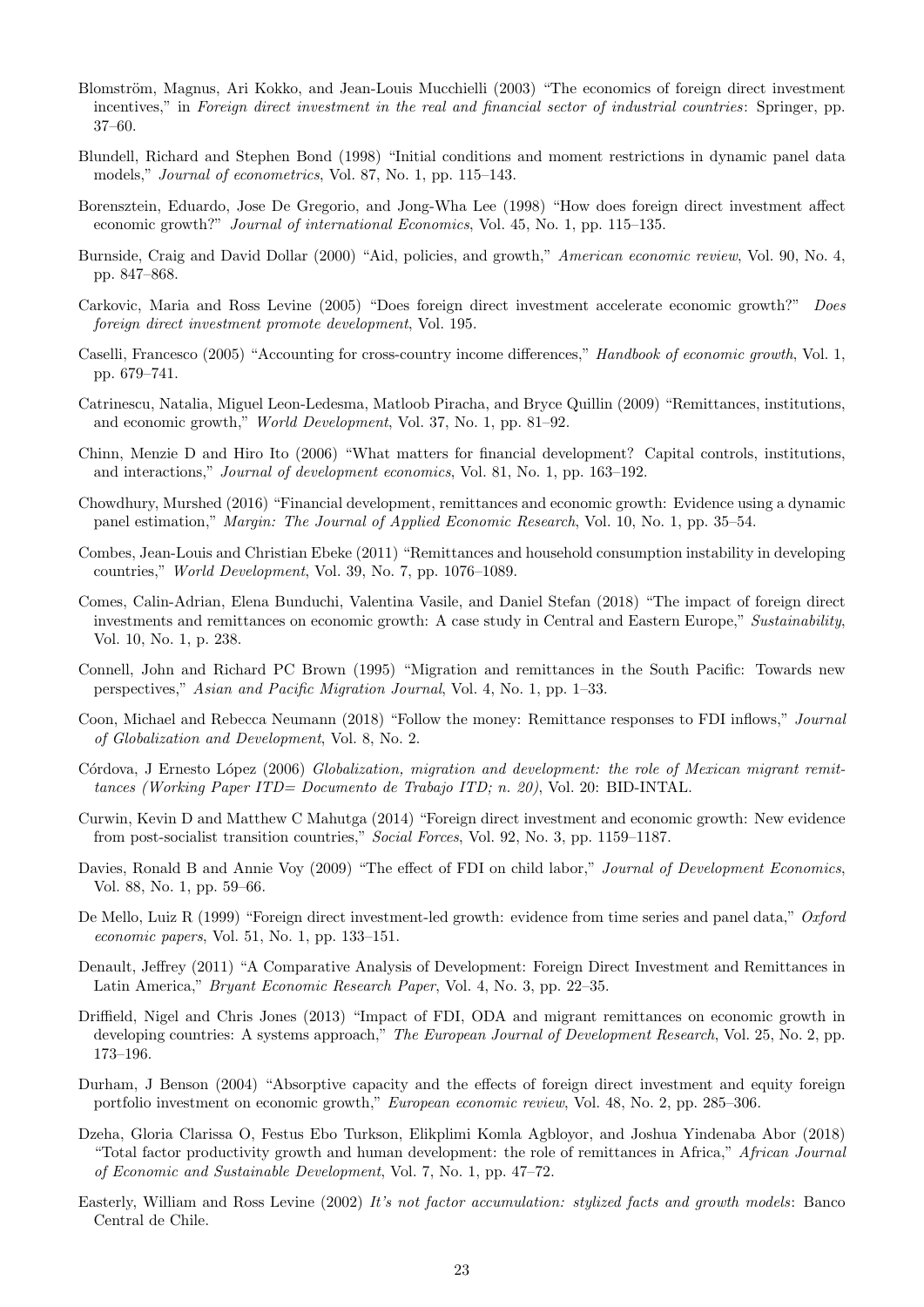- Blomström, Magnus, Ari Kokko, and Jean-Louis Mucchielli (2003) "The economics of foreign direct investment incentives," in Foreign direct investment in the real and financial sector of industrial countries: Springer, pp. 37–60.
- Blundell, Richard and Stephen Bond (1998) "Initial conditions and moment restrictions in dynamic panel data models," Journal of econometrics, Vol. 87, No. 1, pp. 115–143.
- Borensztein, Eduardo, Jose De Gregorio, and Jong-Wha Lee (1998) "How does foreign direct investment affect economic growth?" Journal of international Economics, Vol. 45, No. 1, pp. 115–135.
- Burnside, Craig and David Dollar (2000) "Aid, policies, and growth," American economic review, Vol. 90, No. 4, pp. 847–868.
- Carkovic, Maria and Ross Levine (2005) "Does foreign direct investment accelerate economic growth?" Does foreign direct investment promote development, Vol. 195.
- Caselli, Francesco (2005) "Accounting for cross-country income differences," Handbook of economic growth, Vol. 1, pp. 679–741.
- Catrinescu, Natalia, Miguel Leon-Ledesma, Matloob Piracha, and Bryce Quillin (2009) "Remittances, institutions, and economic growth," World Development, Vol. 37, No. 1, pp. 81–92.
- Chinn, Menzie D and Hiro Ito (2006) "What matters for financial development? Capital controls, institutions, and interactions," Journal of development economics, Vol. 81, No. 1, pp. 163–192.
- Chowdhury, Murshed (2016) "Financial development, remittances and economic growth: Evidence using a dynamic panel estimation," Margin: The Journal of Applied Economic Research, Vol. 10, No. 1, pp. 35–54.
- Combes, Jean-Louis and Christian Ebeke (2011) "Remittances and household consumption instability in developing countries," World Development, Vol. 39, No. 7, pp. 1076–1089.
- Comes, Calin-Adrian, Elena Bunduchi, Valentina Vasile, and Daniel Stefan (2018) "The impact of foreign direct investments and remittances on economic growth: A case study in Central and Eastern Europe," Sustainability, Vol. 10, No. 1, p. 238.
- Connell, John and Richard PC Brown (1995) "Migration and remittances in the South Pacific: Towards new perspectives," Asian and Pacific Migration Journal, Vol. 4, No. 1, pp. 1–33.
- Coon, Michael and Rebecca Neumann (2018) "Follow the money: Remittance responses to FDI inflows," Journal of Globalization and Development, Vol. 8, No. 2.
- Córdova, J Ernesto López (2006) Globalization, migration and development: the role of Mexican migrant remittances (Working Paper ITD= Documento de Trabajo ITD; n. 20), Vol. 20: BID-INTAL.
- Curwin, Kevin D and Matthew C Mahutga (2014) "Foreign direct investment and economic growth: New evidence from post-socialist transition countries," Social Forces, Vol. 92, No. 3, pp. 1159–1187.
- Davies, Ronald B and Annie Voy (2009) "The effect of FDI on child labor," Journal of Development Economics, Vol. 88, No. 1, pp. 59–66.
- De Mello, Luiz R (1999) "Foreign direct investment-led growth: evidence from time series and panel data," Oxford economic papers, Vol. 51, No. 1, pp. 133–151.
- Denault, Jeffrey (2011) "A Comparative Analysis of Development: Foreign Direct Investment and Remittances in Latin America," Bryant Economic Research Paper, Vol. 4, No. 3, pp. 22–35.
- Driffield, Nigel and Chris Jones (2013) "Impact of FDI, ODA and migrant remittances on economic growth in developing countries: A systems approach," The European Journal of Development Research, Vol. 25, No. 2, pp. 173–196.
- Durham, J Benson (2004) "Absorptive capacity and the effects of foreign direct investment and equity foreign portfolio investment on economic growth," European economic review, Vol. 48, No. 2, pp. 285–306.
- Dzeha, Gloria Clarissa O, Festus Ebo Turkson, Elikplimi Komla Agbloyor, and Joshua Yindenaba Abor (2018) "Total factor productivity growth and human development: the role of remittances in Africa," African Journal of Economic and Sustainable Development, Vol. 7, No. 1, pp. 47–72.
- Easterly, William and Ross Levine (2002) It's not factor accumulation: stylized facts and growth models: Banco Central de Chile.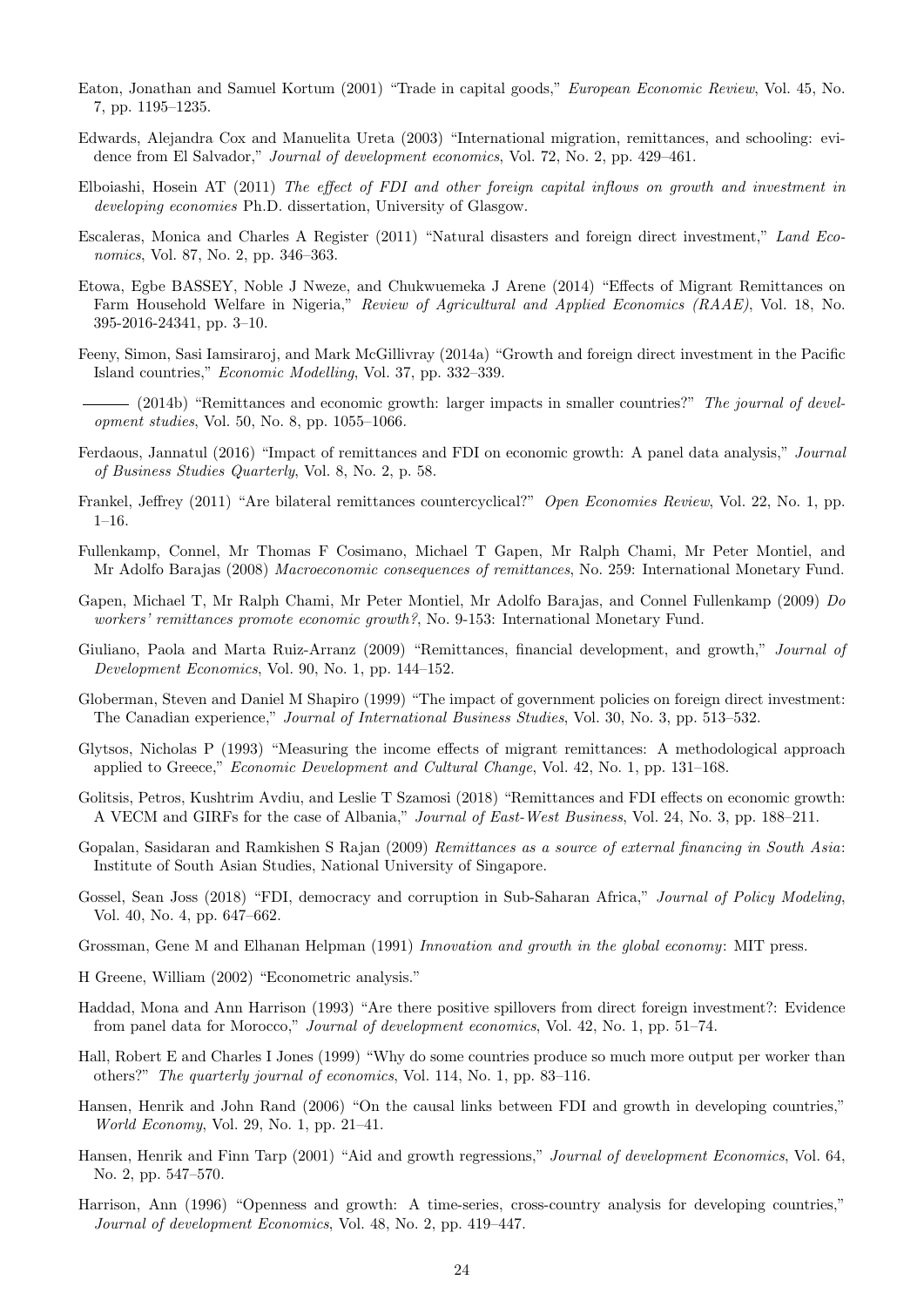- Eaton, Jonathan and Samuel Kortum (2001) "Trade in capital goods," European Economic Review, Vol. 45, No. 7, pp. 1195–1235.
- Edwards, Alejandra Cox and Manuelita Ureta (2003) "International migration, remittances, and schooling: evidence from El Salvador," Journal of development economics, Vol. 72, No. 2, pp. 429–461.
- Elboiashi, Hosein AT (2011) The effect of FDI and other foreign capital inflows on growth and investment in developing economies Ph.D. dissertation, University of Glasgow.
- Escaleras, Monica and Charles A Register (2011) "Natural disasters and foreign direct investment," Land Economics, Vol. 87, No. 2, pp. 346–363.
- Etowa, Egbe BASSEY, Noble J Nweze, and Chukwuemeka J Arene (2014) "Effects of Migrant Remittances on Farm Household Welfare in Nigeria," Review of Agricultural and Applied Economics (RAAE), Vol. 18, No. 395-2016-24341, pp. 3–10.
- Feeny, Simon, Sasi Iamsiraroj, and Mark McGillivray (2014a) "Growth and foreign direct investment in the Pacific Island countries," Economic Modelling, Vol. 37, pp. 332–339.

 $-$  (2014b) "Remittances and economic growth: larger impacts in smaller countries?" The journal of development studies, Vol. 50, No. 8, pp. 1055–1066.

- Ferdaous, Jannatul (2016) "Impact of remittances and FDI on economic growth: A panel data analysis," Journal of Business Studies Quarterly, Vol. 8, No. 2, p. 58.
- Frankel, Jeffrey (2011) "Are bilateral remittances countercyclical?" Open Economies Review, Vol. 22, No. 1, pp. 1–16.
- Fullenkamp, Connel, Mr Thomas F Cosimano, Michael T Gapen, Mr Ralph Chami, Mr Peter Montiel, and Mr Adolfo Barajas (2008) Macroeconomic consequences of remittances, No. 259: International Monetary Fund.
- Gapen, Michael T, Mr Ralph Chami, Mr Peter Montiel, Mr Adolfo Barajas, and Connel Fullenkamp (2009) Do workers' remittances promote economic growth?, No. 9-153: International Monetary Fund.
- Giuliano, Paola and Marta Ruiz-Arranz (2009) "Remittances, financial development, and growth," Journal of Development Economics, Vol. 90, No. 1, pp. 144–152.
- Globerman, Steven and Daniel M Shapiro (1999) "The impact of government policies on foreign direct investment: The Canadian experience," Journal of International Business Studies, Vol. 30, No. 3, pp. 513–532.
- Glytsos, Nicholas P (1993) "Measuring the income effects of migrant remittances: A methodological approach applied to Greece," Economic Development and Cultural Change, Vol. 42, No. 1, pp. 131–168.
- Golitsis, Petros, Kushtrim Avdiu, and Leslie T Szamosi (2018) "Remittances and FDI effects on economic growth: A VECM and GIRFs for the case of Albania," Journal of East-West Business, Vol. 24, No. 3, pp. 188–211.
- Gopalan, Sasidaran and Ramkishen S Rajan (2009) Remittances as a source of external financing in South Asia: Institute of South Asian Studies, National University of Singapore.
- Gossel, Sean Joss (2018) "FDI, democracy and corruption in Sub-Saharan Africa," Journal of Policy Modeling, Vol. 40, No. 4, pp. 647–662.
- Grossman, Gene M and Elhanan Helpman (1991) Innovation and growth in the global economy: MIT press.
- H Greene, William (2002) "Econometric analysis."
- Haddad, Mona and Ann Harrison (1993) "Are there positive spillovers from direct foreign investment?: Evidence from panel data for Morocco," Journal of development economics, Vol. 42, No. 1, pp. 51–74.
- Hall, Robert E and Charles I Jones (1999) "Why do some countries produce so much more output per worker than others?" The quarterly journal of economics, Vol. 114, No. 1, pp. 83–116.
- Hansen, Henrik and John Rand (2006) "On the causal links between FDI and growth in developing countries," World Economy, Vol. 29, No. 1, pp. 21–41.
- Hansen, Henrik and Finn Tarp (2001) "Aid and growth regressions," Journal of development Economics, Vol. 64, No. 2, pp. 547–570.
- Harrison, Ann (1996) "Openness and growth: A time-series, cross-country analysis for developing countries," Journal of development Economics, Vol. 48, No. 2, pp. 419–447.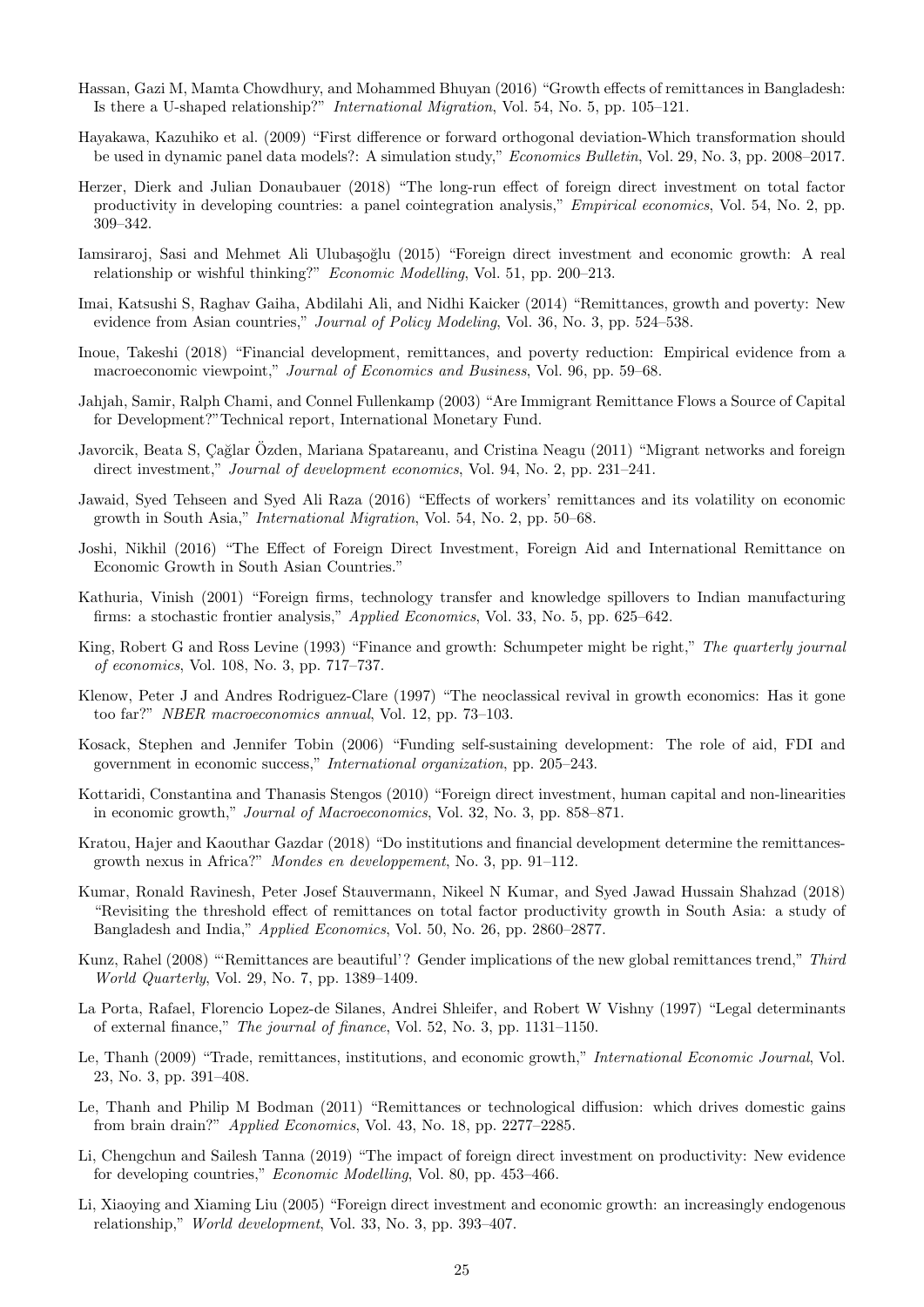- Hassan, Gazi M, Mamta Chowdhury, and Mohammed Bhuyan (2016) "Growth effects of remittances in Bangladesh: Is there a U-shaped relationship?" International Migration, Vol. 54, No. 5, pp. 105–121.
- Hayakawa, Kazuhiko et al. (2009) "First difference or forward orthogonal deviation-Which transformation should be used in dynamic panel data models?: A simulation study," Economics Bulletin, Vol. 29, No. 3, pp. 2008–2017.
- Herzer, Dierk and Julian Donaubauer (2018) "The long-run effect of foreign direct investment on total factor productivity in developing countries: a panel cointegration analysis," Empirical economics, Vol. 54, No. 2, pp. 309–342.
- Iamsiraroj, Sasi and Mehmet Ali Ulubaşoğlu (2015) "Foreign direct investment and economic growth: A real relationship or wishful thinking?" Economic Modelling, Vol. 51, pp. 200–213.
- Imai, Katsushi S, Raghav Gaiha, Abdilahi Ali, and Nidhi Kaicker (2014) "Remittances, growth and poverty: New evidence from Asian countries," *Journal of Policy Modeling*, Vol. 36, No. 3, pp. 524–538.
- Inoue, Takeshi (2018) "Financial development, remittances, and poverty reduction: Empirical evidence from a macroeconomic viewpoint," Journal of Economics and Business, Vol. 96, pp. 59–68.
- Jahjah, Samir, Ralph Chami, and Connel Fullenkamp (2003) "Are Immigrant Remittance Flows a Source of Capital for Development?"Technical report, International Monetary Fund.
- Javorcik, Beata S, Çağlar Özden, Mariana Spatareanu, and Cristina Neagu (2011) "Migrant networks and foreign direct investment," Journal of development economics, Vol. 94, No. 2, pp. 231–241.
- Jawaid, Syed Tehseen and Syed Ali Raza (2016) "Effects of workers' remittances and its volatility on economic growth in South Asia," International Migration, Vol. 54, No. 2, pp. 50–68.
- Joshi, Nikhil (2016) "The Effect of Foreign Direct Investment, Foreign Aid and International Remittance on Economic Growth in South Asian Countries."
- Kathuria, Vinish (2001) "Foreign firms, technology transfer and knowledge spillovers to Indian manufacturing firms: a stochastic frontier analysis," Applied Economics, Vol. 33, No. 5, pp. 625–642.
- King, Robert G and Ross Levine (1993) "Finance and growth: Schumpeter might be right," The quarterly journal of economics, Vol. 108, No. 3, pp. 717–737.
- Klenow, Peter J and Andres Rodriguez-Clare (1997) "The neoclassical revival in growth economics: Has it gone too far?" NBER macroeconomics annual, Vol. 12, pp. 73–103.
- Kosack, Stephen and Jennifer Tobin (2006) "Funding self-sustaining development: The role of aid, FDI and government in economic success," International organization, pp. 205–243.
- Kottaridi, Constantina and Thanasis Stengos (2010) "Foreign direct investment, human capital and non-linearities in economic growth," Journal of Macroeconomics, Vol. 32, No. 3, pp. 858–871.
- Kratou, Hajer and Kaouthar Gazdar (2018) "Do institutions and financial development determine the remittancesgrowth nexus in Africa?" Mondes en developpement, No. 3, pp. 91–112.
- Kumar, Ronald Ravinesh, Peter Josef Stauvermann, Nikeel N Kumar, and Syed Jawad Hussain Shahzad (2018) "Revisiting the threshold effect of remittances on total factor productivity growth in South Asia: a study of Bangladesh and India," Applied Economics, Vol. 50, No. 26, pp. 2860–2877.
- Kunz, Rahel (2008) "'Remittances are beautiful'? Gender implications of the new global remittances trend," Third World Quarterly, Vol. 29, No. 7, pp. 1389–1409.
- La Porta, Rafael, Florencio Lopez-de Silanes, Andrei Shleifer, and Robert W Vishny (1997) "Legal determinants of external finance," The journal of finance, Vol. 52, No. 3, pp. 1131–1150.
- Le, Thanh (2009) "Trade, remittances, institutions, and economic growth," International Economic Journal, Vol. 23, No. 3, pp. 391–408.
- Le, Thanh and Philip M Bodman (2011) "Remittances or technological diffusion: which drives domestic gains from brain drain?" Applied Economics, Vol. 43, No. 18, pp. 2277–2285.
- Li, Chengchun and Sailesh Tanna (2019) "The impact of foreign direct investment on productivity: New evidence for developing countries," Economic Modelling, Vol. 80, pp. 453–466.
- Li, Xiaoying and Xiaming Liu (2005) "Foreign direct investment and economic growth: an increasingly endogenous relationship," World development, Vol. 33, No. 3, pp. 393–407.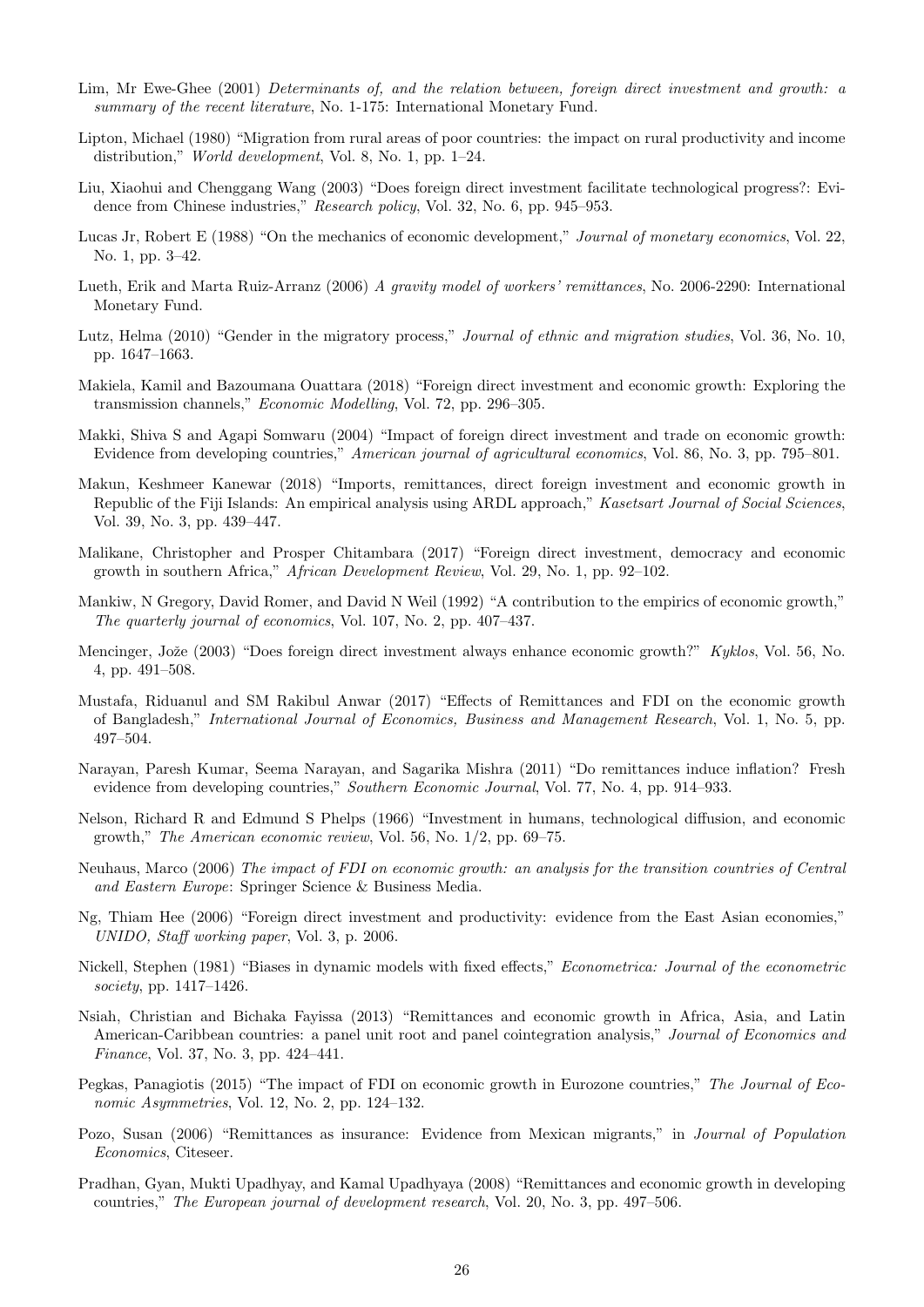- Lim, Mr Ewe-Ghee (2001) Determinants of, and the relation between, foreign direct investment and growth: a summary of the recent literature, No. 1-175: International Monetary Fund.
- Lipton, Michael (1980) "Migration from rural areas of poor countries: the impact on rural productivity and income distribution," World development, Vol. 8, No. 1, pp. 1–24.
- Liu, Xiaohui and Chenggang Wang (2003) "Does foreign direct investment facilitate technological progress?: Evidence from Chinese industries," Research policy, Vol. 32, No. 6, pp. 945–953.
- Lucas Jr, Robert E (1988) "On the mechanics of economic development," Journal of monetary economics, Vol. 22, No. 1, pp. 3–42.
- Lueth, Erik and Marta Ruiz-Arranz (2006) A gravity model of workers' remittances, No. 2006-2290: International Monetary Fund.
- Lutz, Helma (2010) "Gender in the migratory process," *Journal of ethnic and migration studies*, Vol. 36, No. 10, pp. 1647–1663.
- Makiela, Kamil and Bazoumana Ouattara (2018) "Foreign direct investment and economic growth: Exploring the transmission channels," Economic Modelling, Vol. 72, pp. 296–305.
- Makki, Shiva S and Agapi Somwaru (2004) "Impact of foreign direct investment and trade on economic growth: Evidence from developing countries," American journal of agricultural economics, Vol. 86, No. 3, pp. 795–801.
- Makun, Keshmeer Kanewar (2018) "Imports, remittances, direct foreign investment and economic growth in Republic of the Fiji Islands: An empirical analysis using ARDL approach," Kasetsart Journal of Social Sciences, Vol. 39, No. 3, pp. 439–447.
- Malikane, Christopher and Prosper Chitambara (2017) "Foreign direct investment, democracy and economic growth in southern Africa," African Development Review, Vol. 29, No. 1, pp. 92–102.
- Mankiw, N Gregory, David Romer, and David N Weil (1992) "A contribution to the empirics of economic growth," The quarterly journal of economics, Vol. 107, No. 2, pp. 407–437.
- Mencinger, Jože (2003) "Does foreign direct investment always enhance economic growth?" Kyklos, Vol. 56, No. 4, pp. 491–508.
- Mustafa, Riduanul and SM Rakibul Anwar (2017) "Effects of Remittances and FDI on the economic growth of Bangladesh," International Journal of Economics, Business and Management Research, Vol. 1, No. 5, pp. 497–504.
- Narayan, Paresh Kumar, Seema Narayan, and Sagarika Mishra (2011) "Do remittances induce inflation? Fresh evidence from developing countries," Southern Economic Journal, Vol. 77, No. 4, pp. 914–933.
- Nelson, Richard R and Edmund S Phelps (1966) "Investment in humans, technological diffusion, and economic growth," The American economic review, Vol. 56, No. 1/2, pp. 69–75.
- Neuhaus, Marco (2006) The impact of FDI on economic growth: an analysis for the transition countries of Central and Eastern Europe: Springer Science & Business Media.
- Ng, Thiam Hee (2006) "Foreign direct investment and productivity: evidence from the East Asian economies," UNIDO, Staff working paper, Vol. 3, p. 2006.
- Nickell, Stephen (1981) "Biases in dynamic models with fixed effects," Econometrica: Journal of the econometric society, pp. 1417–1426.
- Nsiah, Christian and Bichaka Fayissa (2013) "Remittances and economic growth in Africa, Asia, and Latin American-Caribbean countries: a panel unit root and panel cointegration analysis," Journal of Economics and Finance, Vol. 37, No. 3, pp. 424–441.
- Pegkas, Panagiotis (2015) "The impact of FDI on economic growth in Eurozone countries," The Journal of Economic Asymmetries, Vol. 12, No. 2, pp. 124–132.
- Pozo, Susan (2006) "Remittances as insurance: Evidence from Mexican migrants," in Journal of Population Economics, Citeseer.
- Pradhan, Gyan, Mukti Upadhyay, and Kamal Upadhyaya (2008) "Remittances and economic growth in developing countries," The European journal of development research, Vol. 20, No. 3, pp. 497–506.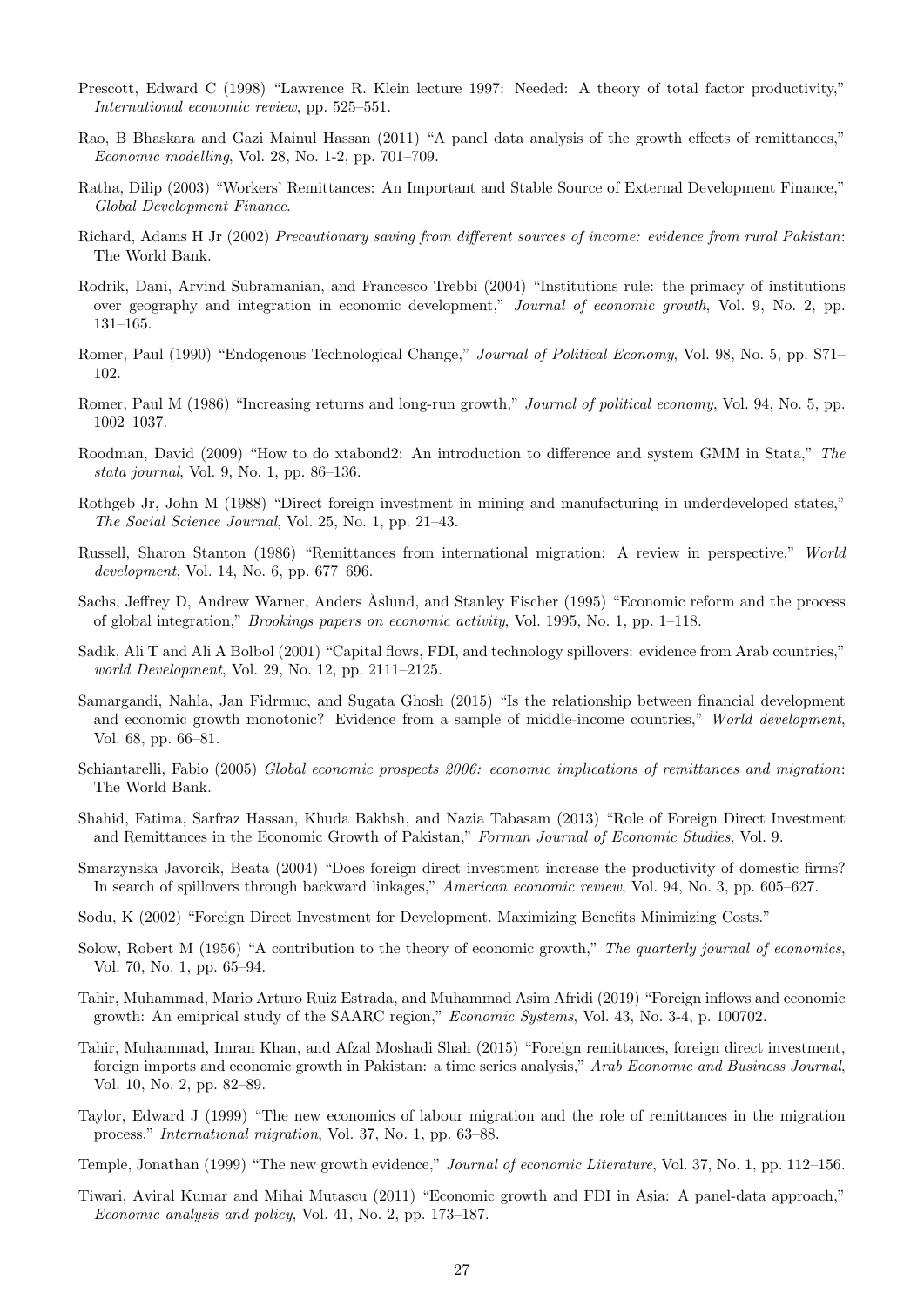- Prescott, Edward C (1998) "Lawrence R. Klein lecture 1997: Needed: A theory of total factor productivity," International economic review, pp. 525–551.
- Rao, B Bhaskara and Gazi Mainul Hassan (2011) "A panel data analysis of the growth effects of remittances," Economic modelling, Vol. 28, No. 1-2, pp. 701–709.
- Ratha, Dilip (2003) "Workers' Remittances: An Important and Stable Source of External Development Finance," Global Development Finance.
- Richard, Adams H Jr (2002) Precautionary saving from different sources of income: evidence from rural Pakistan: The World Bank.
- Rodrik, Dani, Arvind Subramanian, and Francesco Trebbi (2004) "Institutions rule: the primacy of institutions over geography and integration in economic development," Journal of economic growth, Vol. 9, No. 2, pp. 131–165.
- Romer, Paul (1990) "Endogenous Technological Change," Journal of Political Economy, Vol. 98, No. 5, pp. S71– 102.
- Romer, Paul M (1986) "Increasing returns and long-run growth," *Journal of political economy*, Vol. 94, No. 5, pp. 1002–1037.
- Roodman, David (2009) "How to do xtabond2: An introduction to difference and system GMM in Stata," The stata journal, Vol. 9, No. 1, pp. 86–136.
- Rothgeb Jr, John M (1988) "Direct foreign investment in mining and manufacturing in underdeveloped states," The Social Science Journal, Vol. 25, No. 1, pp. 21–43.
- Russell, Sharon Stanton (1986) "Remittances from international migration: A review in perspective," World development, Vol. 14, No. 6, pp. 677–696.
- Sachs, Jeffrey D, Andrew Warner, Anders Åslund, and Stanley Fischer (1995) "Economic reform and the process of global integration," Brookings papers on economic activity, Vol. 1995, No. 1, pp. 1–118.
- Sadik, Ali T and Ali A Bolbol (2001) "Capital flows, FDI, and technology spillovers: evidence from Arab countries," world Development, Vol. 29, No. 12, pp. 2111–2125.
- Samargandi, Nahla, Jan Fidrmuc, and Sugata Ghosh (2015) "Is the relationship between financial development and economic growth monotonic? Evidence from a sample of middle-income countries," World development, Vol. 68, pp. 66–81.
- Schiantarelli, Fabio (2005) Global economic prospects 2006: economic implications of remittances and migration: The World Bank.
- Shahid, Fatima, Sarfraz Hassan, Khuda Bakhsh, and Nazia Tabasam (2013) "Role of Foreign Direct Investment and Remittances in the Economic Growth of Pakistan," Forman Journal of Economic Studies, Vol. 9.
- Smarzynska Javorcik, Beata (2004) "Does foreign direct investment increase the productivity of domestic firms? In search of spillovers through backward linkages," American economic review, Vol. 94, No. 3, pp. 605–627.
- Sodu, K (2002) "Foreign Direct Investment for Development. Maximizing Benefits Minimizing Costs."
- Solow, Robert M (1956) "A contribution to the theory of economic growth," The quarterly journal of economics, Vol. 70, No. 1, pp. 65–94.
- Tahir, Muhammad, Mario Arturo Ruiz Estrada, and Muhammad Asim Afridi (2019) "Foreign inflows and economic growth: An emiprical study of the SAARC region," Economic Systems, Vol. 43, No. 3-4, p. 100702.
- Tahir, Muhammad, Imran Khan, and Afzal Moshadi Shah (2015) "Foreign remittances, foreign direct investment, foreign imports and economic growth in Pakistan: a time series analysis," Arab Economic and Business Journal, Vol. 10, No. 2, pp. 82–89.
- Taylor, Edward J (1999) "The new economics of labour migration and the role of remittances in the migration process," International migration, Vol. 37, No. 1, pp. 63–88.
- Temple, Jonathan (1999) "The new growth evidence," Journal of economic Literature, Vol. 37, No. 1, pp. 112–156.
- Tiwari, Aviral Kumar and Mihai Mutascu (2011) "Economic growth and FDI in Asia: A panel-data approach," Economic analysis and policy, Vol. 41, No. 2, pp. 173–187.